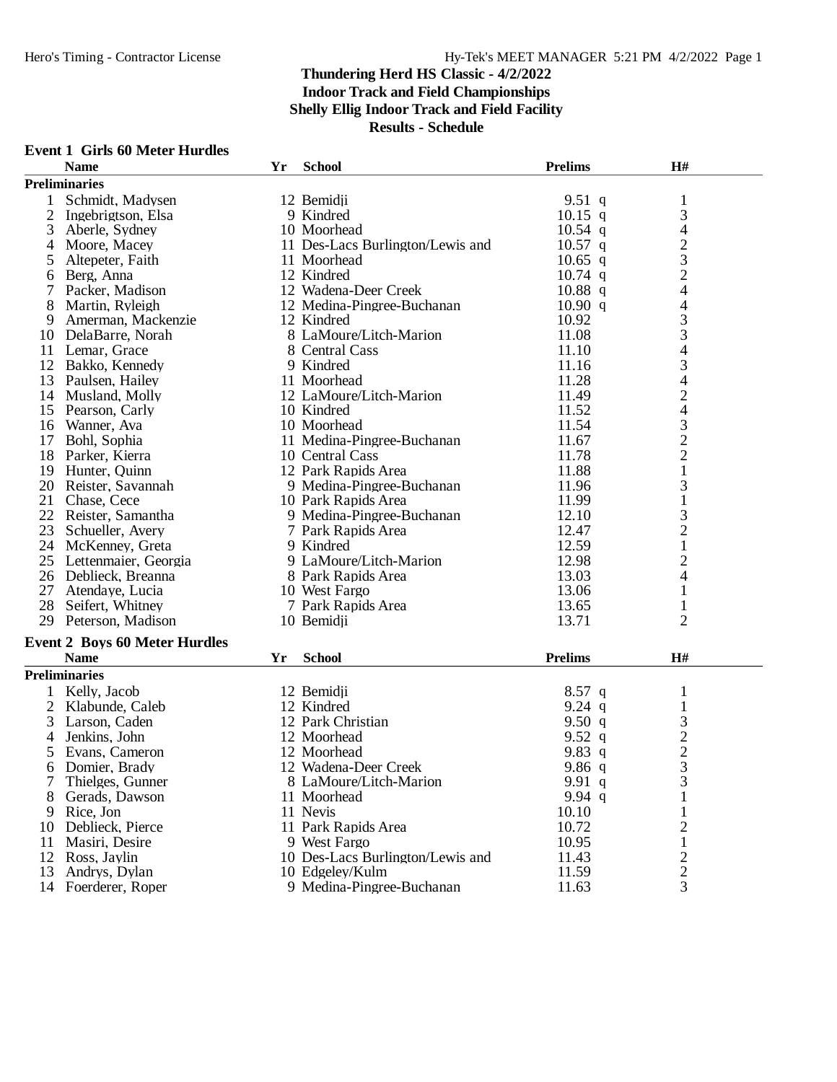#### **Event 1 Girls 60 Meter Hurdles**

| <b>Preliminaries</b><br>Schmidt, Madysen<br>12 Bemidji<br>9.51 q<br>$\mathbf{1}$<br>3<br>2<br>$10.15$ q<br>9 Kindred<br>Ingebrigtson, Elsa<br>4<br>3<br>$10.54$ q<br>Aberle, Sydney<br>10 Moorhead<br>$\frac{2}{3}$<br>Moore, Macey<br>11 Des-Lacs Burlington/Lewis and<br>$10.57$ q<br>4<br>Altepeter, Faith<br>11 Moorhead<br>$10.65$ q<br>5<br>$\overline{c}$<br>12 Kindred<br>Berg, Anna<br>$10.74$ q<br>6<br>$\overline{\mathcal{L}}$<br>Packer, Madison<br>12 Wadena-Deer Creek<br>$10.88$ q<br>$\overline{\mathcal{L}}$<br>8<br>12 Medina-Pingree-Buchanan<br>10.90 q<br>Martin, Ryleigh<br>$\frac{3}{3}$<br>10.92<br>Amerman, Mackenzie<br>12 Kindred<br>9<br>8 LaMoure/Litch-Marion<br>11.08<br>DelaBarre, Norah<br>10<br>$\overline{\mathcal{A}}$<br>8 Central Cass<br>11<br>Lemar, Grace<br>11.10<br>3<br>12<br>9 Kindred<br>11.16<br>Bakko, Kennedy<br>$\overline{\mathcal{L}}$<br>11.28<br>13<br>Paulsen, Hailey<br>11 Moorhead<br>$\overline{c}$<br>12 LaMoure/Litch-Marion<br>11.49<br>14<br>Musland, Molly<br>$\overline{\mathcal{A}}$<br>10 Kindred<br>11.52<br>15<br>Pearson, Carly<br>$\frac{3}{2}$<br>10 Moorhead<br>11.54<br>Wanner, Ava<br>16<br>11 Medina-Pingree-Buchanan<br>11.67<br>17<br>Bohl, Sophia<br>$\overline{c}$<br>18<br>11.78<br>Parker, Kierra<br>10 Central Cass<br>$\mathbf{1}$<br>11.88<br>Hunter, Quinn<br>12 Park Rapids Area<br>19<br>3<br>20<br>Reister, Savannah<br>9 Medina-Pingree-Buchanan<br>11.96<br>$\mathbf{1}$<br>21 Chase, Cece<br>11.99<br>10 Park Rapids Area<br>$\frac{3}{2}$<br>22 Reister, Samantha<br>12.10<br>9 Medina-Pingree-Buchanan<br>23<br>12.47<br>Schueller, Avery<br>7 Park Rapids Area<br>$\mathbf{1}$<br>12.59<br>24<br>McKenney, Greta<br>9 Kindred<br>$\overline{c}$<br>25<br>Lettenmaier, Georgia<br>9 LaMoure/Litch-Marion<br>12.98<br>4<br>13.03<br>26 Deblieck, Breanna<br>8 Park Rapids Area<br>27 Atendaye, Lucia<br>10 West Fargo<br>13.06<br>$\mathbf{1}$<br>28 Seifert, Whitney<br>13.65<br>7 Park Rapids Area<br>1<br>$\overline{2}$<br>10 Bemidji<br>13.71<br>29 Peterson, Madison<br><b>Event 2 Boys 60 Meter Hurdles</b><br><b>Name</b><br><b>School</b><br><b>Prelims</b><br>H#<br>Yr<br><b>Preliminaries</b><br>Kelly, Jacob<br>12 Bemidii<br>$8.57$ q<br>1<br>2<br>12 Kindred<br>9.24 $q$<br>$\mathbf{1}$<br>Klabunde, Caleb<br>$\frac{3}{2}$<br>9.50 $q$<br>3<br>Larson, Caden<br>12 Park Christian<br>Jenkins, John<br>12 Moorhead<br>9.52 q<br>$\overline{4}$<br>Evans, Cameron<br>12 Moorhead<br>9.83q<br>5<br>$\overline{3}$<br>6<br>12 Wadena-Deer Creek<br>9.86 q<br>Domier, Brady<br>Thielges, Gunner<br>8 LaMoure/Litch-Marion<br>3<br>9.91q<br>9.94 $q$<br>Gerads, Dawson<br>11 Moorhead<br>10.10<br>Rice, Jon<br>11 Nevis<br>9<br>1<br>$\overline{c}$<br>10.72<br>Deblieck, Pierce<br>11 Park Rapids Area<br>10<br>Masiri, Desire<br>9 West Fargo<br>10.95<br>$\mathbf{1}$<br>11 | <b>Name</b> | Yr | <b>School</b> | <b>Prelims</b> | H# |  |
|---------------------------------------------------------------------------------------------------------------------------------------------------------------------------------------------------------------------------------------------------------------------------------------------------------------------------------------------------------------------------------------------------------------------------------------------------------------------------------------------------------------------------------------------------------------------------------------------------------------------------------------------------------------------------------------------------------------------------------------------------------------------------------------------------------------------------------------------------------------------------------------------------------------------------------------------------------------------------------------------------------------------------------------------------------------------------------------------------------------------------------------------------------------------------------------------------------------------------------------------------------------------------------------------------------------------------------------------------------------------------------------------------------------------------------------------------------------------------------------------------------------------------------------------------------------------------------------------------------------------------------------------------------------------------------------------------------------------------------------------------------------------------------------------------------------------------------------------------------------------------------------------------------------------------------------------------------------------------------------------------------------------------------------------------------------------------------------------------------------------------------------------------------------------------------------------------------------------------------------------------------------------------------------------------------------------------------------------------------------------------------------------------------------------------------------------------------------------------------------------------------------------------------------------------------------------------------------------------------------------------------------------------------------------------------------------------------------------------------------------------------------------------------------------------------------------------------------------------------------------------------------|-------------|----|---------------|----------------|----|--|
|                                                                                                                                                                                                                                                                                                                                                                                                                                                                                                                                                                                                                                                                                                                                                                                                                                                                                                                                                                                                                                                                                                                                                                                                                                                                                                                                                                                                                                                                                                                                                                                                                                                                                                                                                                                                                                                                                                                                                                                                                                                                                                                                                                                                                                                                                                                                                                                                                                                                                                                                                                                                                                                                                                                                                                                                                                                                                       |             |    |               |                |    |  |
|                                                                                                                                                                                                                                                                                                                                                                                                                                                                                                                                                                                                                                                                                                                                                                                                                                                                                                                                                                                                                                                                                                                                                                                                                                                                                                                                                                                                                                                                                                                                                                                                                                                                                                                                                                                                                                                                                                                                                                                                                                                                                                                                                                                                                                                                                                                                                                                                                                                                                                                                                                                                                                                                                                                                                                                                                                                                                       |             |    |               |                |    |  |
|                                                                                                                                                                                                                                                                                                                                                                                                                                                                                                                                                                                                                                                                                                                                                                                                                                                                                                                                                                                                                                                                                                                                                                                                                                                                                                                                                                                                                                                                                                                                                                                                                                                                                                                                                                                                                                                                                                                                                                                                                                                                                                                                                                                                                                                                                                                                                                                                                                                                                                                                                                                                                                                                                                                                                                                                                                                                                       |             |    |               |                |    |  |
|                                                                                                                                                                                                                                                                                                                                                                                                                                                                                                                                                                                                                                                                                                                                                                                                                                                                                                                                                                                                                                                                                                                                                                                                                                                                                                                                                                                                                                                                                                                                                                                                                                                                                                                                                                                                                                                                                                                                                                                                                                                                                                                                                                                                                                                                                                                                                                                                                                                                                                                                                                                                                                                                                                                                                                                                                                                                                       |             |    |               |                |    |  |
|                                                                                                                                                                                                                                                                                                                                                                                                                                                                                                                                                                                                                                                                                                                                                                                                                                                                                                                                                                                                                                                                                                                                                                                                                                                                                                                                                                                                                                                                                                                                                                                                                                                                                                                                                                                                                                                                                                                                                                                                                                                                                                                                                                                                                                                                                                                                                                                                                                                                                                                                                                                                                                                                                                                                                                                                                                                                                       |             |    |               |                |    |  |
|                                                                                                                                                                                                                                                                                                                                                                                                                                                                                                                                                                                                                                                                                                                                                                                                                                                                                                                                                                                                                                                                                                                                                                                                                                                                                                                                                                                                                                                                                                                                                                                                                                                                                                                                                                                                                                                                                                                                                                                                                                                                                                                                                                                                                                                                                                                                                                                                                                                                                                                                                                                                                                                                                                                                                                                                                                                                                       |             |    |               |                |    |  |
|                                                                                                                                                                                                                                                                                                                                                                                                                                                                                                                                                                                                                                                                                                                                                                                                                                                                                                                                                                                                                                                                                                                                                                                                                                                                                                                                                                                                                                                                                                                                                                                                                                                                                                                                                                                                                                                                                                                                                                                                                                                                                                                                                                                                                                                                                                                                                                                                                                                                                                                                                                                                                                                                                                                                                                                                                                                                                       |             |    |               |                |    |  |
|                                                                                                                                                                                                                                                                                                                                                                                                                                                                                                                                                                                                                                                                                                                                                                                                                                                                                                                                                                                                                                                                                                                                                                                                                                                                                                                                                                                                                                                                                                                                                                                                                                                                                                                                                                                                                                                                                                                                                                                                                                                                                                                                                                                                                                                                                                                                                                                                                                                                                                                                                                                                                                                                                                                                                                                                                                                                                       |             |    |               |                |    |  |
|                                                                                                                                                                                                                                                                                                                                                                                                                                                                                                                                                                                                                                                                                                                                                                                                                                                                                                                                                                                                                                                                                                                                                                                                                                                                                                                                                                                                                                                                                                                                                                                                                                                                                                                                                                                                                                                                                                                                                                                                                                                                                                                                                                                                                                                                                                                                                                                                                                                                                                                                                                                                                                                                                                                                                                                                                                                                                       |             |    |               |                |    |  |
|                                                                                                                                                                                                                                                                                                                                                                                                                                                                                                                                                                                                                                                                                                                                                                                                                                                                                                                                                                                                                                                                                                                                                                                                                                                                                                                                                                                                                                                                                                                                                                                                                                                                                                                                                                                                                                                                                                                                                                                                                                                                                                                                                                                                                                                                                                                                                                                                                                                                                                                                                                                                                                                                                                                                                                                                                                                                                       |             |    |               |                |    |  |
|                                                                                                                                                                                                                                                                                                                                                                                                                                                                                                                                                                                                                                                                                                                                                                                                                                                                                                                                                                                                                                                                                                                                                                                                                                                                                                                                                                                                                                                                                                                                                                                                                                                                                                                                                                                                                                                                                                                                                                                                                                                                                                                                                                                                                                                                                                                                                                                                                                                                                                                                                                                                                                                                                                                                                                                                                                                                                       |             |    |               |                |    |  |
|                                                                                                                                                                                                                                                                                                                                                                                                                                                                                                                                                                                                                                                                                                                                                                                                                                                                                                                                                                                                                                                                                                                                                                                                                                                                                                                                                                                                                                                                                                                                                                                                                                                                                                                                                                                                                                                                                                                                                                                                                                                                                                                                                                                                                                                                                                                                                                                                                                                                                                                                                                                                                                                                                                                                                                                                                                                                                       |             |    |               |                |    |  |
|                                                                                                                                                                                                                                                                                                                                                                                                                                                                                                                                                                                                                                                                                                                                                                                                                                                                                                                                                                                                                                                                                                                                                                                                                                                                                                                                                                                                                                                                                                                                                                                                                                                                                                                                                                                                                                                                                                                                                                                                                                                                                                                                                                                                                                                                                                                                                                                                                                                                                                                                                                                                                                                                                                                                                                                                                                                                                       |             |    |               |                |    |  |
|                                                                                                                                                                                                                                                                                                                                                                                                                                                                                                                                                                                                                                                                                                                                                                                                                                                                                                                                                                                                                                                                                                                                                                                                                                                                                                                                                                                                                                                                                                                                                                                                                                                                                                                                                                                                                                                                                                                                                                                                                                                                                                                                                                                                                                                                                                                                                                                                                                                                                                                                                                                                                                                                                                                                                                                                                                                                                       |             |    |               |                |    |  |
|                                                                                                                                                                                                                                                                                                                                                                                                                                                                                                                                                                                                                                                                                                                                                                                                                                                                                                                                                                                                                                                                                                                                                                                                                                                                                                                                                                                                                                                                                                                                                                                                                                                                                                                                                                                                                                                                                                                                                                                                                                                                                                                                                                                                                                                                                                                                                                                                                                                                                                                                                                                                                                                                                                                                                                                                                                                                                       |             |    |               |                |    |  |
|                                                                                                                                                                                                                                                                                                                                                                                                                                                                                                                                                                                                                                                                                                                                                                                                                                                                                                                                                                                                                                                                                                                                                                                                                                                                                                                                                                                                                                                                                                                                                                                                                                                                                                                                                                                                                                                                                                                                                                                                                                                                                                                                                                                                                                                                                                                                                                                                                                                                                                                                                                                                                                                                                                                                                                                                                                                                                       |             |    |               |                |    |  |
|                                                                                                                                                                                                                                                                                                                                                                                                                                                                                                                                                                                                                                                                                                                                                                                                                                                                                                                                                                                                                                                                                                                                                                                                                                                                                                                                                                                                                                                                                                                                                                                                                                                                                                                                                                                                                                                                                                                                                                                                                                                                                                                                                                                                                                                                                                                                                                                                                                                                                                                                                                                                                                                                                                                                                                                                                                                                                       |             |    |               |                |    |  |
|                                                                                                                                                                                                                                                                                                                                                                                                                                                                                                                                                                                                                                                                                                                                                                                                                                                                                                                                                                                                                                                                                                                                                                                                                                                                                                                                                                                                                                                                                                                                                                                                                                                                                                                                                                                                                                                                                                                                                                                                                                                                                                                                                                                                                                                                                                                                                                                                                                                                                                                                                                                                                                                                                                                                                                                                                                                                                       |             |    |               |                |    |  |
|                                                                                                                                                                                                                                                                                                                                                                                                                                                                                                                                                                                                                                                                                                                                                                                                                                                                                                                                                                                                                                                                                                                                                                                                                                                                                                                                                                                                                                                                                                                                                                                                                                                                                                                                                                                                                                                                                                                                                                                                                                                                                                                                                                                                                                                                                                                                                                                                                                                                                                                                                                                                                                                                                                                                                                                                                                                                                       |             |    |               |                |    |  |
|                                                                                                                                                                                                                                                                                                                                                                                                                                                                                                                                                                                                                                                                                                                                                                                                                                                                                                                                                                                                                                                                                                                                                                                                                                                                                                                                                                                                                                                                                                                                                                                                                                                                                                                                                                                                                                                                                                                                                                                                                                                                                                                                                                                                                                                                                                                                                                                                                                                                                                                                                                                                                                                                                                                                                                                                                                                                                       |             |    |               |                |    |  |
|                                                                                                                                                                                                                                                                                                                                                                                                                                                                                                                                                                                                                                                                                                                                                                                                                                                                                                                                                                                                                                                                                                                                                                                                                                                                                                                                                                                                                                                                                                                                                                                                                                                                                                                                                                                                                                                                                                                                                                                                                                                                                                                                                                                                                                                                                                                                                                                                                                                                                                                                                                                                                                                                                                                                                                                                                                                                                       |             |    |               |                |    |  |
|                                                                                                                                                                                                                                                                                                                                                                                                                                                                                                                                                                                                                                                                                                                                                                                                                                                                                                                                                                                                                                                                                                                                                                                                                                                                                                                                                                                                                                                                                                                                                                                                                                                                                                                                                                                                                                                                                                                                                                                                                                                                                                                                                                                                                                                                                                                                                                                                                                                                                                                                                                                                                                                                                                                                                                                                                                                                                       |             |    |               |                |    |  |
|                                                                                                                                                                                                                                                                                                                                                                                                                                                                                                                                                                                                                                                                                                                                                                                                                                                                                                                                                                                                                                                                                                                                                                                                                                                                                                                                                                                                                                                                                                                                                                                                                                                                                                                                                                                                                                                                                                                                                                                                                                                                                                                                                                                                                                                                                                                                                                                                                                                                                                                                                                                                                                                                                                                                                                                                                                                                                       |             |    |               |                |    |  |
|                                                                                                                                                                                                                                                                                                                                                                                                                                                                                                                                                                                                                                                                                                                                                                                                                                                                                                                                                                                                                                                                                                                                                                                                                                                                                                                                                                                                                                                                                                                                                                                                                                                                                                                                                                                                                                                                                                                                                                                                                                                                                                                                                                                                                                                                                                                                                                                                                                                                                                                                                                                                                                                                                                                                                                                                                                                                                       |             |    |               |                |    |  |
|                                                                                                                                                                                                                                                                                                                                                                                                                                                                                                                                                                                                                                                                                                                                                                                                                                                                                                                                                                                                                                                                                                                                                                                                                                                                                                                                                                                                                                                                                                                                                                                                                                                                                                                                                                                                                                                                                                                                                                                                                                                                                                                                                                                                                                                                                                                                                                                                                                                                                                                                                                                                                                                                                                                                                                                                                                                                                       |             |    |               |                |    |  |
|                                                                                                                                                                                                                                                                                                                                                                                                                                                                                                                                                                                                                                                                                                                                                                                                                                                                                                                                                                                                                                                                                                                                                                                                                                                                                                                                                                                                                                                                                                                                                                                                                                                                                                                                                                                                                                                                                                                                                                                                                                                                                                                                                                                                                                                                                                                                                                                                                                                                                                                                                                                                                                                                                                                                                                                                                                                                                       |             |    |               |                |    |  |
|                                                                                                                                                                                                                                                                                                                                                                                                                                                                                                                                                                                                                                                                                                                                                                                                                                                                                                                                                                                                                                                                                                                                                                                                                                                                                                                                                                                                                                                                                                                                                                                                                                                                                                                                                                                                                                                                                                                                                                                                                                                                                                                                                                                                                                                                                                                                                                                                                                                                                                                                                                                                                                                                                                                                                                                                                                                                                       |             |    |               |                |    |  |
|                                                                                                                                                                                                                                                                                                                                                                                                                                                                                                                                                                                                                                                                                                                                                                                                                                                                                                                                                                                                                                                                                                                                                                                                                                                                                                                                                                                                                                                                                                                                                                                                                                                                                                                                                                                                                                                                                                                                                                                                                                                                                                                                                                                                                                                                                                                                                                                                                                                                                                                                                                                                                                                                                                                                                                                                                                                                                       |             |    |               |                |    |  |
|                                                                                                                                                                                                                                                                                                                                                                                                                                                                                                                                                                                                                                                                                                                                                                                                                                                                                                                                                                                                                                                                                                                                                                                                                                                                                                                                                                                                                                                                                                                                                                                                                                                                                                                                                                                                                                                                                                                                                                                                                                                                                                                                                                                                                                                                                                                                                                                                                                                                                                                                                                                                                                                                                                                                                                                                                                                                                       |             |    |               |                |    |  |
|                                                                                                                                                                                                                                                                                                                                                                                                                                                                                                                                                                                                                                                                                                                                                                                                                                                                                                                                                                                                                                                                                                                                                                                                                                                                                                                                                                                                                                                                                                                                                                                                                                                                                                                                                                                                                                                                                                                                                                                                                                                                                                                                                                                                                                                                                                                                                                                                                                                                                                                                                                                                                                                                                                                                                                                                                                                                                       |             |    |               |                |    |  |
|                                                                                                                                                                                                                                                                                                                                                                                                                                                                                                                                                                                                                                                                                                                                                                                                                                                                                                                                                                                                                                                                                                                                                                                                                                                                                                                                                                                                                                                                                                                                                                                                                                                                                                                                                                                                                                                                                                                                                                                                                                                                                                                                                                                                                                                                                                                                                                                                                                                                                                                                                                                                                                                                                                                                                                                                                                                                                       |             |    |               |                |    |  |
|                                                                                                                                                                                                                                                                                                                                                                                                                                                                                                                                                                                                                                                                                                                                                                                                                                                                                                                                                                                                                                                                                                                                                                                                                                                                                                                                                                                                                                                                                                                                                                                                                                                                                                                                                                                                                                                                                                                                                                                                                                                                                                                                                                                                                                                                                                                                                                                                                                                                                                                                                                                                                                                                                                                                                                                                                                                                                       |             |    |               |                |    |  |
|                                                                                                                                                                                                                                                                                                                                                                                                                                                                                                                                                                                                                                                                                                                                                                                                                                                                                                                                                                                                                                                                                                                                                                                                                                                                                                                                                                                                                                                                                                                                                                                                                                                                                                                                                                                                                                                                                                                                                                                                                                                                                                                                                                                                                                                                                                                                                                                                                                                                                                                                                                                                                                                                                                                                                                                                                                                                                       |             |    |               |                |    |  |
|                                                                                                                                                                                                                                                                                                                                                                                                                                                                                                                                                                                                                                                                                                                                                                                                                                                                                                                                                                                                                                                                                                                                                                                                                                                                                                                                                                                                                                                                                                                                                                                                                                                                                                                                                                                                                                                                                                                                                                                                                                                                                                                                                                                                                                                                                                                                                                                                                                                                                                                                                                                                                                                                                                                                                                                                                                                                                       |             |    |               |                |    |  |
|                                                                                                                                                                                                                                                                                                                                                                                                                                                                                                                                                                                                                                                                                                                                                                                                                                                                                                                                                                                                                                                                                                                                                                                                                                                                                                                                                                                                                                                                                                                                                                                                                                                                                                                                                                                                                                                                                                                                                                                                                                                                                                                                                                                                                                                                                                                                                                                                                                                                                                                                                                                                                                                                                                                                                                                                                                                                                       |             |    |               |                |    |  |
|                                                                                                                                                                                                                                                                                                                                                                                                                                                                                                                                                                                                                                                                                                                                                                                                                                                                                                                                                                                                                                                                                                                                                                                                                                                                                                                                                                                                                                                                                                                                                                                                                                                                                                                                                                                                                                                                                                                                                                                                                                                                                                                                                                                                                                                                                                                                                                                                                                                                                                                                                                                                                                                                                                                                                                                                                                                                                       |             |    |               |                |    |  |
|                                                                                                                                                                                                                                                                                                                                                                                                                                                                                                                                                                                                                                                                                                                                                                                                                                                                                                                                                                                                                                                                                                                                                                                                                                                                                                                                                                                                                                                                                                                                                                                                                                                                                                                                                                                                                                                                                                                                                                                                                                                                                                                                                                                                                                                                                                                                                                                                                                                                                                                                                                                                                                                                                                                                                                                                                                                                                       |             |    |               |                |    |  |
|                                                                                                                                                                                                                                                                                                                                                                                                                                                                                                                                                                                                                                                                                                                                                                                                                                                                                                                                                                                                                                                                                                                                                                                                                                                                                                                                                                                                                                                                                                                                                                                                                                                                                                                                                                                                                                                                                                                                                                                                                                                                                                                                                                                                                                                                                                                                                                                                                                                                                                                                                                                                                                                                                                                                                                                                                                                                                       |             |    |               |                |    |  |
|                                                                                                                                                                                                                                                                                                                                                                                                                                                                                                                                                                                                                                                                                                                                                                                                                                                                                                                                                                                                                                                                                                                                                                                                                                                                                                                                                                                                                                                                                                                                                                                                                                                                                                                                                                                                                                                                                                                                                                                                                                                                                                                                                                                                                                                                                                                                                                                                                                                                                                                                                                                                                                                                                                                                                                                                                                                                                       |             |    |               |                |    |  |
|                                                                                                                                                                                                                                                                                                                                                                                                                                                                                                                                                                                                                                                                                                                                                                                                                                                                                                                                                                                                                                                                                                                                                                                                                                                                                                                                                                                                                                                                                                                                                                                                                                                                                                                                                                                                                                                                                                                                                                                                                                                                                                                                                                                                                                                                                                                                                                                                                                                                                                                                                                                                                                                                                                                                                                                                                                                                                       |             |    |               |                |    |  |
|                                                                                                                                                                                                                                                                                                                                                                                                                                                                                                                                                                                                                                                                                                                                                                                                                                                                                                                                                                                                                                                                                                                                                                                                                                                                                                                                                                                                                                                                                                                                                                                                                                                                                                                                                                                                                                                                                                                                                                                                                                                                                                                                                                                                                                                                                                                                                                                                                                                                                                                                                                                                                                                                                                                                                                                                                                                                                       |             |    |               |                |    |  |
|                                                                                                                                                                                                                                                                                                                                                                                                                                                                                                                                                                                                                                                                                                                                                                                                                                                                                                                                                                                                                                                                                                                                                                                                                                                                                                                                                                                                                                                                                                                                                                                                                                                                                                                                                                                                                                                                                                                                                                                                                                                                                                                                                                                                                                                                                                                                                                                                                                                                                                                                                                                                                                                                                                                                                                                                                                                                                       |             |    |               |                |    |  |
|                                                                                                                                                                                                                                                                                                                                                                                                                                                                                                                                                                                                                                                                                                                                                                                                                                                                                                                                                                                                                                                                                                                                                                                                                                                                                                                                                                                                                                                                                                                                                                                                                                                                                                                                                                                                                                                                                                                                                                                                                                                                                                                                                                                                                                                                                                                                                                                                                                                                                                                                                                                                                                                                                                                                                                                                                                                                                       |             |    |               |                |    |  |
|                                                                                                                                                                                                                                                                                                                                                                                                                                                                                                                                                                                                                                                                                                                                                                                                                                                                                                                                                                                                                                                                                                                                                                                                                                                                                                                                                                                                                                                                                                                                                                                                                                                                                                                                                                                                                                                                                                                                                                                                                                                                                                                                                                                                                                                                                                                                                                                                                                                                                                                                                                                                                                                                                                                                                                                                                                                                                       |             |    |               |                |    |  |
|                                                                                                                                                                                                                                                                                                                                                                                                                                                                                                                                                                                                                                                                                                                                                                                                                                                                                                                                                                                                                                                                                                                                                                                                                                                                                                                                                                                                                                                                                                                                                                                                                                                                                                                                                                                                                                                                                                                                                                                                                                                                                                                                                                                                                                                                                                                                                                                                                                                                                                                                                                                                                                                                                                                                                                                                                                                                                       |             |    |               |                |    |  |
|                                                                                                                                                                                                                                                                                                                                                                                                                                                                                                                                                                                                                                                                                                                                                                                                                                                                                                                                                                                                                                                                                                                                                                                                                                                                                                                                                                                                                                                                                                                                                                                                                                                                                                                                                                                                                                                                                                                                                                                                                                                                                                                                                                                                                                                                                                                                                                                                                                                                                                                                                                                                                                                                                                                                                                                                                                                                                       |             |    |               |                |    |  |
| 2<br>Ross, Jaylin<br>10 Des-Lacs Burlington/Lewis and<br>11.43<br>12                                                                                                                                                                                                                                                                                                                                                                                                                                                                                                                                                                                                                                                                                                                                                                                                                                                                                                                                                                                                                                                                                                                                                                                                                                                                                                                                                                                                                                                                                                                                                                                                                                                                                                                                                                                                                                                                                                                                                                                                                                                                                                                                                                                                                                                                                                                                                                                                                                                                                                                                                                                                                                                                                                                                                                                                                  |             |    |               |                |    |  |
| $\overline{c}$<br>11.59<br>13<br>Andrys, Dylan<br>10 Edgeley/Kulm                                                                                                                                                                                                                                                                                                                                                                                                                                                                                                                                                                                                                                                                                                                                                                                                                                                                                                                                                                                                                                                                                                                                                                                                                                                                                                                                                                                                                                                                                                                                                                                                                                                                                                                                                                                                                                                                                                                                                                                                                                                                                                                                                                                                                                                                                                                                                                                                                                                                                                                                                                                                                                                                                                                                                                                                                     |             |    |               |                |    |  |
| 3<br>9 Medina-Pingree-Buchanan<br>11.63<br>Foerderer, Roper<br>14                                                                                                                                                                                                                                                                                                                                                                                                                                                                                                                                                                                                                                                                                                                                                                                                                                                                                                                                                                                                                                                                                                                                                                                                                                                                                                                                                                                                                                                                                                                                                                                                                                                                                                                                                                                                                                                                                                                                                                                                                                                                                                                                                                                                                                                                                                                                                                                                                                                                                                                                                                                                                                                                                                                                                                                                                     |             |    |               |                |    |  |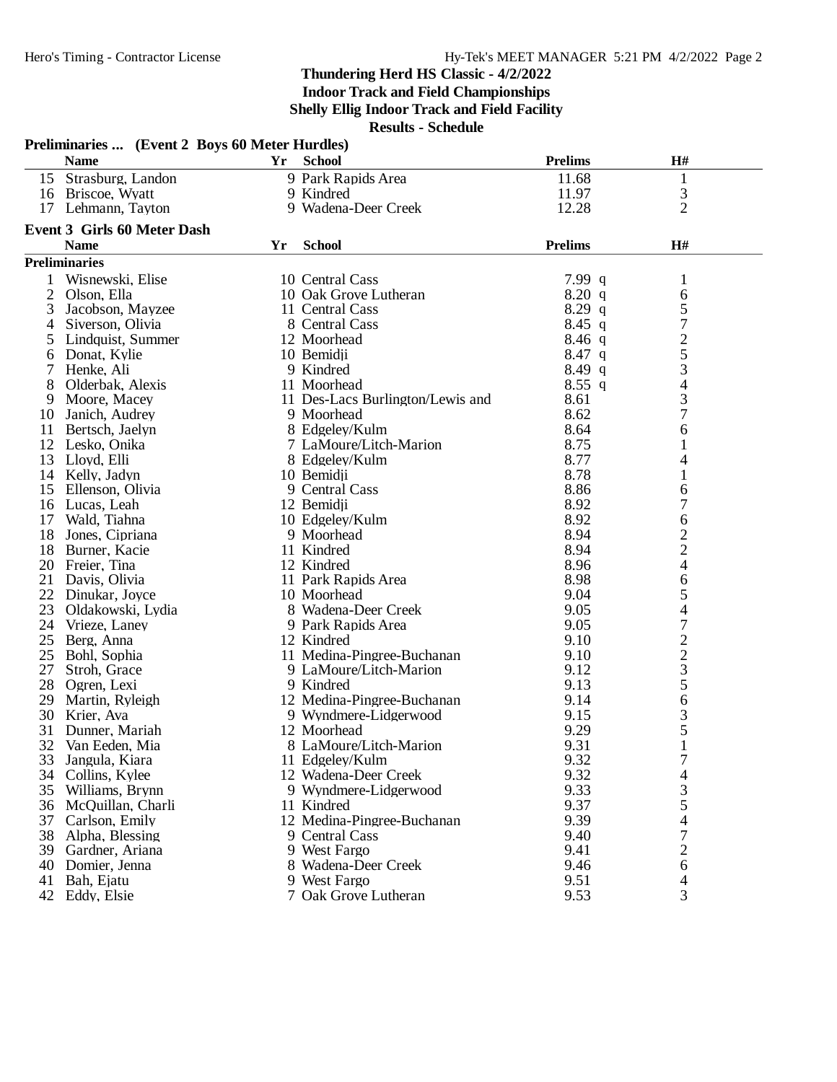|    | Preliminaries  (Event 2 Boys 60 Meter Hurdles)<br><b>Name</b> | Yr | <b>School</b>                    | <b>Prelims</b> | H#                                              |  |
|----|---------------------------------------------------------------|----|----------------------------------|----------------|-------------------------------------------------|--|
|    | 15 Strasburg, Landon                                          |    | 9 Park Rapids Area               | 11.68          | 1                                               |  |
|    | 16 Briscoe, Wyatt                                             |    | 9 Kindred                        | 11.97          | 3                                               |  |
|    | 17 Lehmann, Tayton                                            |    | 9 Wadena-Deer Creek              | 12.28          | $\overline{2}$                                  |  |
|    | Event 3 Girls 60 Meter Dash                                   |    |                                  |                |                                                 |  |
|    | <b>Name</b>                                                   | Yr | <b>School</b>                    | <b>Prelims</b> | H#                                              |  |
|    | <b>Preliminaries</b>                                          |    |                                  |                |                                                 |  |
|    | Wisnewski, Elise                                              |    | 10 Central Cass                  | 7.99 $q$       | 1                                               |  |
| 2  | Olson, Ella                                                   |    | 10 Oak Grove Lutheran            | 8.20 q         | 6                                               |  |
| 3  | Jacobson, Mayzee                                              |    | 11 Central Cass                  | $8.29$ q       |                                                 |  |
| 4  | Siverson, Olivia                                              |    | 8 Central Cass                   | $8.45$ q       | $\frac{5}{7}$                                   |  |
| 5  | Lindquist, Summer                                             |    | 12 Moorhead                      | $8.46$ q       | $\overline{c}$                                  |  |
| 6  | Donat, Kylie                                                  |    | 10 Bemidji                       | $8.47$ q       | 5                                               |  |
| 7  | Henke, Ali                                                    |    | 9 Kindred                        | $8.49$ q       | 3                                               |  |
| 8  | Olderbak, Alexis                                              |    | 11 Moorhead                      | $8.55$ q       | $\overline{\mathcal{L}}$                        |  |
| 9  | Moore, Macey                                                  |    | 11 Des-Lacs Burlington/Lewis and | 8.61           | 3                                               |  |
| 10 | Janich, Audrey                                                |    | 9 Moorhead                       | 8.62           | $\overline{7}$                                  |  |
| 11 | Bertsch, Jaelyn                                               |    | 8 Edgeley/Kulm                   | 8.64           | 6                                               |  |
| 12 | Lesko, Onika                                                  |    | 7 LaMoure/Litch-Marion           | 8.75           | 1                                               |  |
| 13 | Lloyd, Elli                                                   |    | 8 Edgeley/Kulm                   | 8.77           | 4                                               |  |
| 14 | Kelly, Jadyn                                                  |    | 10 Bemidji                       | 8.78           | $\mathbf{1}$                                    |  |
| 15 | Ellenson, Olivia                                              |    | 9 Central Cass                   | 8.86           | 6                                               |  |
|    | 16 Lucas, Leah                                                |    | 12 Bemidji                       | 8.92           | $\overline{7}$                                  |  |
| 17 | Wald, Tiahna                                                  |    | 10 Edgelev/Kulm                  | 8.92           | 6                                               |  |
| 18 | Jones, Cipriana                                               |    | 9 Moorhead                       | 8.94           |                                                 |  |
| 18 | Burner, Kacie                                                 |    | 11 Kindred                       | 8.94           | $\frac{2}{2}$                                   |  |
| 20 | Freier, Tina                                                  |    | 12 Kindred                       | 8.96           | $\overline{4}$                                  |  |
| 21 | Davis, Olivia                                                 |    | 11 Park Rapids Area              | 8.98           | 6                                               |  |
| 22 | Dinukar, Joyce                                                |    | 10 Moorhead                      | 9.04           | 5                                               |  |
| 23 | Oldakowski, Lydia                                             |    | 8 Wadena-Deer Creek              | 9.05           | $\overline{4}$                                  |  |
| 24 | Vrieze, Laney                                                 |    | 9 Park Rapids Area               | 9.05           | $\overline{7}$                                  |  |
| 25 | Berg, Anna                                                    |    | 12 Kindred                       | 9.10           |                                                 |  |
| 25 | Bohl, Sophia                                                  |    | 11 Medina-Pingree-Buchanan       | 9.10           | $\begin{array}{c} 2 \\ 2 \\ 3 \\ 5 \end{array}$ |  |
| 27 | Stroh, Grace                                                  |    | 9 LaMoure/Litch-Marion           | 9.12           |                                                 |  |
| 28 | Ogren, Lexi                                                   |    | 9 Kindred                        | 9.13           |                                                 |  |
| 29 | Martin, Ryleigh                                               |    | 12 Medina-Pingree-Buchanan       | 9.14           | 6                                               |  |
| 30 | Krier, Ava                                                    |    | 9 Wyndmere-Lidgerwood            | 9.15           | 3                                               |  |
| 31 | Dunner, Mariah                                                |    | 12 Moorhead                      | 9.29           | 5                                               |  |
| 32 | Van Eeden, Mia                                                |    | 8 LaMoure/Litch-Marion           | 9.31           | $\mathbf{1}$                                    |  |
| 33 | Jangula, Kiara                                                |    | 11 Edgelev/Kulm                  | 9.32           | 7                                               |  |
| 34 | Collins, Kylee                                                |    | 12 Wadena-Deer Creek             | 9.32           | 4                                               |  |
| 35 | Williams, Brynn                                               |    | 9 Wyndmere-Lidgerwood            | 9.33           | 3                                               |  |
| 36 | McQuillan, Charli                                             |    | 11 Kindred                       | 9.37           | 5                                               |  |
| 37 | Carlson, Emily                                                |    | 12 Medina-Pingree-Buchanan       | 9.39           | 4                                               |  |
| 38 | Alpha, Blessing                                               |    | 9 Central Cass                   | 9.40           | $\boldsymbol{7}$                                |  |
|    | 39 Gardner, Ariana                                            |    | 9 West Fargo                     | 9.41           | $\overline{c}$                                  |  |
| 40 | Domier, Jenna                                                 |    | 8 Wadena-Deer Creek              | 9.46           | 6                                               |  |
| 41 | Bah, Ejatu                                                    |    | 9 West Fargo                     | 9.51           | 4                                               |  |
|    | 42 Eddy, Elsie                                                |    | 7 Oak Grove Lutheran             | 9.53           | 3                                               |  |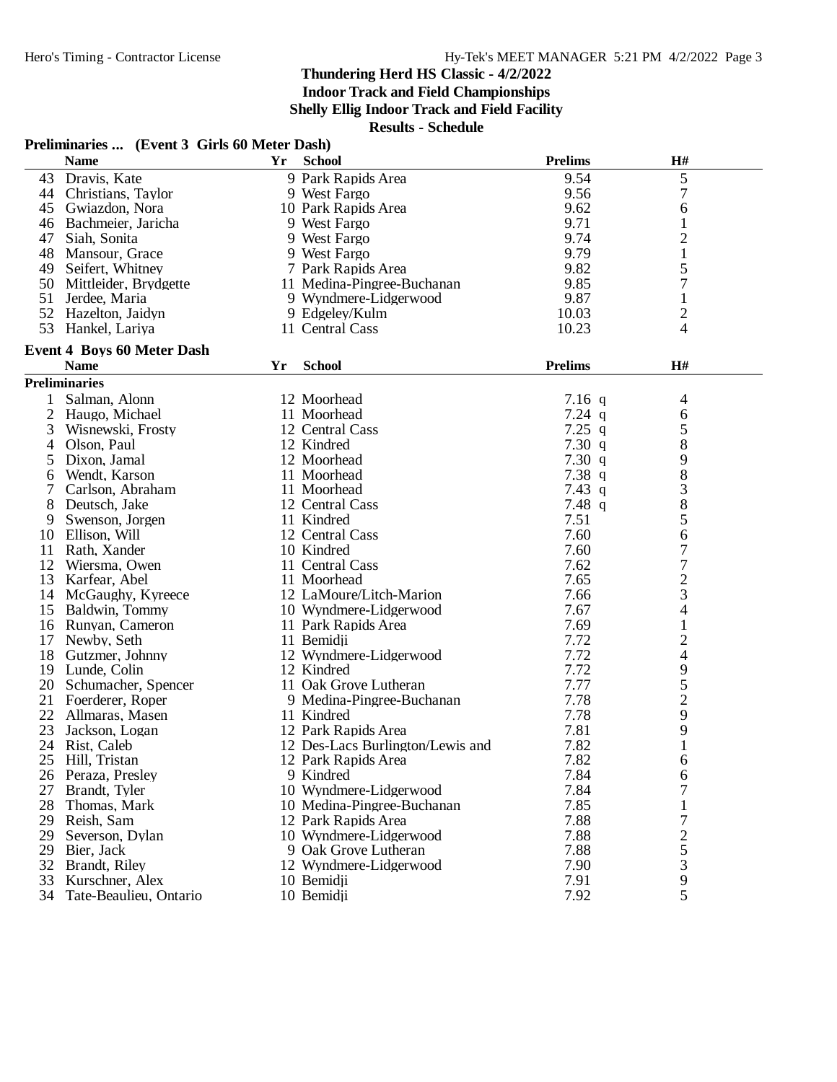**Indoor Track and Field Championships**

**Shelly Ellig Indoor Track and Field Facility**

**Results - Schedule**

## **Preliminaries ... (Event 3 Girls 60 Meter Dash)**

|                | <b>Name</b>                       | Yr | <b>School</b>                    | <b>Prelims</b> | $\mathbf{H}$ #           |  |
|----------------|-----------------------------------|----|----------------------------------|----------------|--------------------------|--|
|                | 43 Dravis, Kate                   |    | 9 Park Rapids Area               | 9.54           | 5                        |  |
| 44             | Christians, Taylor                |    | 9 West Fargo                     | 9.56           | 7                        |  |
|                | 45 Gwiazdon, Nora                 |    | 10 Park Rapids Area              | 9.62           | 6                        |  |
| 46             | Bachmeier, Jaricha                |    | 9 West Fargo                     | 9.71           | $\mathbf 1$              |  |
| 47             | Siah, Sonita                      |    | 9 West Fargo                     | 9.74           | $\overline{c}$           |  |
| 48             | Mansour, Grace                    |    | 9 West Fargo                     | 9.79           | $\mathbf{1}$             |  |
| 49             | Seifert, Whitney                  |    | 7 Park Rapids Area               | 9.82           | 5                        |  |
| 50             | Mittleider, Brydgette             |    | 11 Medina-Pingree-Buchanan       | 9.85           | 7                        |  |
| 51             | Jerdee, Maria                     |    | 9 Wyndmere-Lidgerwood            | 9.87           | $\mathbf 1$              |  |
|                | 52 Hazelton, Jaidyn               |    | 9 Edgeley/Kulm                   | 10.03          | $\overline{c}$           |  |
| 53             | Hankel, Lariya                    |    | 11 Central Cass                  | 10.23          | 4                        |  |
|                |                                   |    |                                  |                |                          |  |
|                | <b>Event 4 Boys 60 Meter Dash</b> |    |                                  |                |                          |  |
|                | <b>Name</b>                       | Yr | <b>School</b>                    | <b>Prelims</b> | H#                       |  |
|                | <b>Preliminaries</b>              |    |                                  |                |                          |  |
| 1              | Salman, Alonn                     |    | 12 Moorhead                      | $7.16$ q       | 4                        |  |
| $\overline{2}$ | Haugo, Michael                    |    | 11 Moorhead                      | $7.24$ q       | 6                        |  |
| 3              | Wisnewski, Frosty                 |    | 12 Central Cass                  | $7.25$ q       | 5                        |  |
| 4              | Olson, Paul                       |    | 12 Kindred                       | 7.30q          | 8                        |  |
| 5              | Dixon, Jamal                      |    | 12 Moorhead                      | 7.30q          | 9                        |  |
| 6              | Wendt, Karson                     |    | 11 Moorhead                      | 7.38q          | 8                        |  |
|                | Carlson, Abraham                  |    | 11 Moorhead                      | $7.43$ q       | 3                        |  |
| 8              | Deutsch, Jake                     |    | 12 Central Cass                  | 7.48q          | 8                        |  |
| 9              | Swenson, Jorgen                   |    | 11 Kindred                       | 7.51           | 5                        |  |
| 10             | Ellison, Will                     |    | 12 Central Cass                  | 7.60           | 6                        |  |
| 11             | Rath, Xander                      |    | 10 Kindred                       | 7.60           | 7                        |  |
| 12             | Wiersma, Owen                     |    | 11 Central Cass                  | 7.62           | 7                        |  |
| 13             | Karfear, Abel                     |    | 11 Moorhead                      | 7.65           | $\overline{c}$           |  |
| 14             | McGaughy, Kyreece                 |    | 12 LaMoure/Litch-Marion          | 7.66           | 3                        |  |
| 15             | Baldwin, Tommy                    |    | 10 Wyndmere-Lidgerwood           | 7.67           | 4                        |  |
| 16             | Runyan, Cameron                   |    | 11 Park Rapids Area              | 7.69           | $\mathbf{1}$             |  |
| 17             | Newby, Seth                       |    | 11 Bemidji                       | 7.72           | $\mathbf{2}$             |  |
| 18             | Gutzmer, Johnny                   |    | 12 Wyndmere-Lidgerwood           | 7.72           | $\overline{\mathcal{L}}$ |  |
|                |                                   |    | 12 Kindred                       | 7.72           |                          |  |
| 19             | Lunde, Colin                      |    |                                  |                | 9                        |  |
| 20             | Schumacher, Spencer               |    | 11 Oak Grove Lutheran            | 7.77           | 5                        |  |
|                | 21 Foerderer, Roper               |    | 9 Medina-Pingree-Buchanan        | 7.78           | $\overline{2}$           |  |
| 22             | Allmaras, Masen                   |    | 11 Kindred                       | 7.78           | 9                        |  |
| 23             | Jackson, Logan                    |    | 12 Park Rapids Area              | 7.81           | 9                        |  |
| 24             | Rist, Caleb                       |    | 12 Des-Lacs Burlington/Lewis and | 7.82           | 1                        |  |
| 25             | Hill, Tristan                     |    | 12 Park Rapids Area              | 7.82           | 6                        |  |
| 26             | Peraza, Presley                   |    | 9 Kindred                        | 7.84           | 6                        |  |
| 27             | Brandt, Tyler                     |    | 10 Wyndmere-Lidgerwood           | 7.84           | 7                        |  |
| 28             | Thomas, Mark                      |    | 10 Medina-Pingree-Buchanan       | 7.85           | 1                        |  |
| 29             | Reish, Sam                        |    | 12 Park Rapids Area              | 7.88           | 7                        |  |
| 29             | Severson, Dylan                   |    | 10 Wyndmere-Lidgerwood           | 7.88           | $\overline{c}$           |  |
| 29             | Bier, Jack                        |    | 9 Oak Grove Lutheran             | 7.88           | 5                        |  |
| 32             | Brandt, Riley                     |    | 12 Wyndmere-Lidgerwood           | 7.90           | 3                        |  |
| 33             | Kurschner, Alex                   |    | 10 Bemidii                       | 7.91           | 9                        |  |
| 34             | Tate-Beaulieu, Ontario            |    | 10 Bemidji                       | 7.92           | 5                        |  |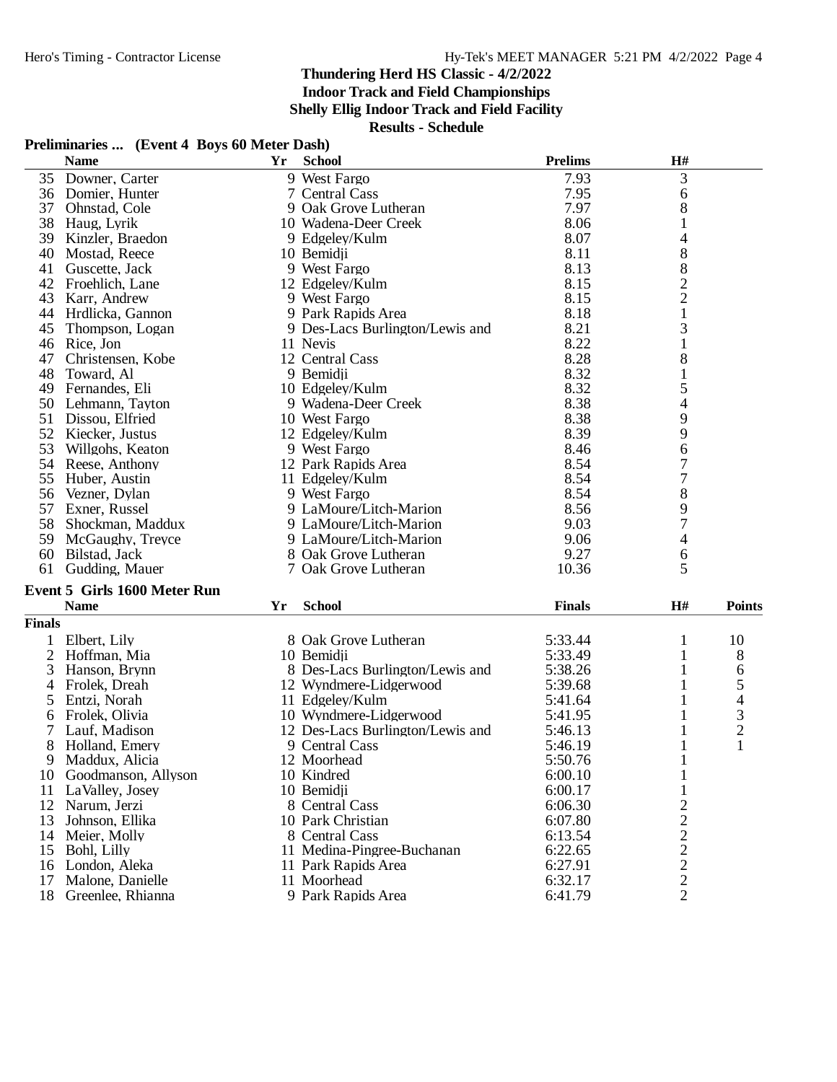**Indoor Track and Field Championships**

**Shelly Ellig Indoor Track and Field Facility**

**Results - Schedule**

#### **Preliminaries ... (Event 4 Boys 60 Meter Dash)**

|               | <b>Name</b>                         | Yr | <b>School</b>                   | <b>Prelims</b> | H#                                             |               |
|---------------|-------------------------------------|----|---------------------------------|----------------|------------------------------------------------|---------------|
| 35            | Downer, Carter                      |    | 9 West Fargo                    | 7.93           | 3                                              |               |
| 36            | Domier, Hunter                      |    | 7 Central Cass                  | 7.95           | 6                                              |               |
| 37            | Ohnstad, Cole                       |    | 9 Oak Grove Lutheran            | 7.97           | 8                                              |               |
| 38            | Haug, Lyrik                         |    | 10 Wadena-Deer Creek            | 8.06           | 1                                              |               |
| 39            | Kinzler, Braedon                    |    | 9 Edgeley/Kulm                  | 8.07           | 4                                              |               |
| 40            | Mostad, Reece                       |    | 10 Bemidii                      | 8.11           | 8                                              |               |
| 41            | Guscette, Jack                      |    | 9 West Fargo                    | 8.13           | $8\,$                                          |               |
| 42            | Froehlich, Lane                     |    | 12 Edgeley/Kulm                 | 8.15           | $\frac{2}{2}$                                  |               |
| 43            | Karr, Andrew                        |    | 9 West Fargo                    | 8.15           |                                                |               |
| 44            | Hrdlicka, Gannon                    |    | 9 Park Rapids Area              | 8.18           | $\mathbf{1}$                                   |               |
| 45            | Thompson, Logan                     |    | 9 Des-Lacs Burlington/Lewis and | 8.21           | 3                                              |               |
| 46            | Rice, Jon                           |    | 11 Nevis                        | 8.22           | $\mathbf{1}% \in\mathbb{Z}_{+}^{d}[z,\bar{z}]$ |               |
| 47            | Christensen, Kobe                   |    | 12 Central Cass                 | 8.28           | $8\,$                                          |               |
| 48            | Toward, Al                          |    | 9 Bemidii                       | 8.32           | 1                                              |               |
| 49            | Fernandes, Eli                      |    | 10 Edgeley/Kulm                 | 8.32           | 5                                              |               |
| 50            | Lehmann, Tayton                     |    | 9 Wadena-Deer Creek             | 8.38           | 4                                              |               |
| 51            | Dissou, Elfried                     |    | 10 West Fargo                   | 8.38           | 9                                              |               |
| 52            | Kiecker, Justus                     |    | 12 Edgeley/Kulm                 | 8.39           | 9                                              |               |
| 53            | Willgohs, Keaton                    |    | 9 West Fargo                    | 8.46           | 6                                              |               |
| 54            | Reese, Anthony                      |    | 12 Park Rapids Area             | 8.54           | 7                                              |               |
| 55            | Huber, Austin                       |    | 11 Edgeley/Kulm                 | 8.54           | $\overline{7}$                                 |               |
| 56            | Vezner, Dylan                       |    | 9 West Fargo                    | 8.54           | $8\,$                                          |               |
| 57            | Exner, Russel                       |    | 9 LaMoure/Litch-Marion          | 8.56           | 9                                              |               |
| 58            | Shockman, Maddux                    |    | 9 LaMoure/Litch-Marion          | 9.03           | 7                                              |               |
| 59            | McGaughy, Treyce                    |    | 9 LaMoure/Litch-Marion          | 9.06           | $\overline{\mathcal{L}}$                       |               |
| 60            | Bilstad, Jack                       |    | 8 Oak Grove Lutheran            | 9.27           | 6                                              |               |
| 61            | Gudding, Mauer                      |    | 7 Oak Grove Lutheran            | 10.36          | 5                                              |               |
|               | <b>Event 5 Girls 1600 Meter Run</b> |    |                                 |                |                                                |               |
|               | <b>Name</b>                         | Yr | <b>School</b>                   | <b>Finals</b>  | H#                                             | <b>Points</b> |
| <b>Finals</b> |                                     |    |                                 |                |                                                |               |
|               | Elbert, Lily                        |    | 8 Oak Grove Lutheran            | 5:33.44        | 1                                              | 10            |

|    | LIDEIT, LIIV           | o vak vitove Lutheran            | J.JJ.44 |   | 10 |
|----|------------------------|----------------------------------|---------|---|----|
| 2  | Hoffman, Mia           | 10 Bemidii                       | 5:33.49 |   | 8  |
| 3  | Hanson, Brynn          | 8 Des-Lacs Burlington/Lewis and  | 5:38.26 |   | 6  |
|    | Frolek, Dreah          | 12 Wyndmere-Lidgerwood           | 5:39.68 |   |    |
| 5. | Entzi, Norah           | 11 Edgeley/Kulm                  | 5:41.64 |   | 4  |
| 6. | Frolek. Olivia         | 10 Wyndmere-Lidgerwood           | 5:41.95 |   |    |
|    | Lauf, Madison          | 12 Des-Lacs Burlington/Lewis and | 5:46.13 |   |    |
| 8. | Holland, Emery         | 9 Central Cass                   | 5:46.19 |   |    |
| 9  | Maddux, Alicia         | 12 Moorhead                      | 5:50.76 |   |    |
|    | 10 Goodmanson, Allyson | 10 Kindred                       | 6:00.10 |   |    |
|    | 11 LaValley, Josey     | 10 Bemidii                       | 6:00.17 |   |    |
|    | 12 Narum, Jerzi        | 8 Central Cass                   | 6:06.30 |   |    |
|    | 13 Johnson, Ellika     | 10 Park Christian                | 6:07.80 | 2 |    |
|    | 14 Meier, Molly        | 8 Central Cass                   | 6:13.54 | 2 |    |
|    | 15 Bohl, Lilly         | 11 Medina-Pingree-Buchanan       | 6:22.65 | 2 |    |
|    | 16 London, Aleka       | 11 Park Rapids Area              | 6:27.91 | 2 |    |
|    | 17 Malone, Danielle    | 11 Moorhead                      | 6:32.17 | 2 |    |
|    | 18 Greenlee, Rhianna   | 9 Park Rapids Area               | 6:41.79 | 2 |    |
|    |                        |                                  |         |   |    |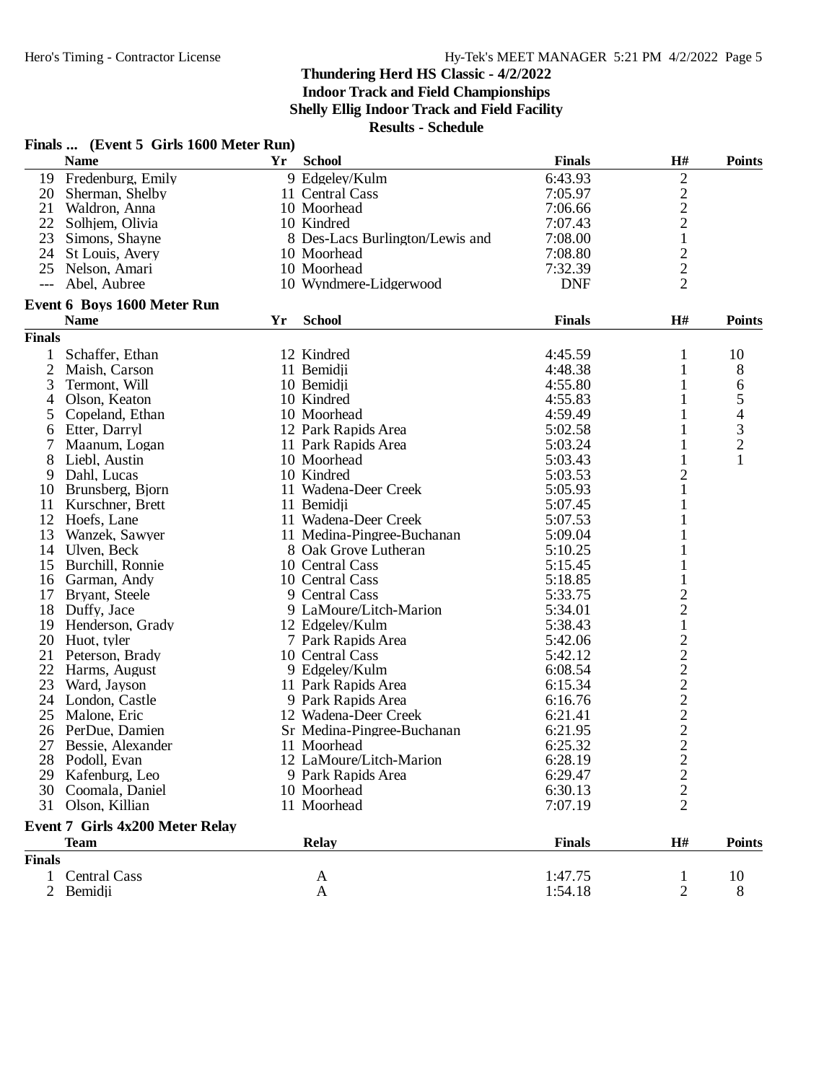**Indoor Track and Field Championships**

**Shelly Ellig Indoor Track and Field Facility**

|                | Finals  (Event 5 Girls 1600 Meter Run) |    |                                 |               |                  |                |
|----------------|----------------------------------------|----|---------------------------------|---------------|------------------|----------------|
|                | <b>Name</b>                            | Yr | <b>School</b>                   | <b>Finals</b> | H#               | <b>Points</b>  |
|                | 19 Fredenburg, Emily                   |    | 9 Edgeley/Kulm                  | 6:43.93       | 2                |                |
| 20             | Sherman, Shelby                        |    | 11 Central Cass                 | 7:05.97       |                  |                |
| 21             | Waldron, Anna                          |    | 10 Moorhead                     | 7:06.66       | $\frac{2}{2}$    |                |
| 22             | Solhjem, Olivia                        |    | 10 Kindred                      | 7:07.43       |                  |                |
| 23             | Simons, Shayne                         |    | 8 Des-Lacs Burlington/Lewis and | 7:08.00       | $\mathbf{1}$     |                |
|                | 24 St Louis, Avery                     |    | 10 Moorhead                     | 7:08.80       | $\overline{c}$   |                |
| 25             | Nelson, Amari                          |    | 10 Moorhead                     | 7:32.39       | $\overline{c}$   |                |
| $---$          | Abel, Aubree                           |    | 10 Wyndmere-Lidgerwood          | <b>DNF</b>    | $\overline{2}$   |                |
|                | <b>Event 6 Boys 1600 Meter Run</b>     |    |                                 |               |                  |                |
|                | <b>Name</b>                            | Yr | <b>School</b>                   | <b>Finals</b> | H#               | <b>Points</b>  |
| <b>Finals</b>  |                                        |    |                                 |               |                  |                |
| 1              | Schaffer, Ethan                        |    | 12 Kindred                      | 4:45.59       | 1                | 10             |
| $\mathfrak{2}$ | Maish, Carson                          |    | 11 Bemidji                      | 4:48.38       | 1                | 8              |
| 3              | Termont, Will                          |    | 10 Bemidji                      | 4:55.80       |                  | 6              |
| 4              | Olson, Keaton                          |    | 10 Kindred                      | 4:55.83       |                  | 5              |
| 5              | Copeland, Ethan                        |    | 10 Moorhead                     | 4:59.49       | 1                | $\overline{4}$ |
| 6              | Etter, Darryl                          |    | 12 Park Rapids Area             | 5:02.58       | 1                | $\mathfrak{Z}$ |
|                | Maanum, Logan                          |    | 11 Park Rapids Area             | 5:03.24       | 1                | $\overline{2}$ |
| 8              | Liebl, Austin                          |    | 10 Moorhead                     | 5:03.43       | 1                | 1              |
| 9              | Dahl, Lucas                            |    | 10 Kindred                      | 5:03.53       | $\overline{c}$   |                |
| 10             | Brunsberg, Bjorn                       |    | 11 Wadena-Deer Creek            | 5:05.93       | 1                |                |
| 11             | Kurschner, Brett                       |    | 11 Bemidji                      | 5:07.45       | 1                |                |
| 12             | Hoefs, Lane                            |    | 11 Wadena-Deer Creek            | 5:07.53       |                  |                |
| 13             | Wanzek, Sawyer                         |    | 11 Medina-Pingree-Buchanan      | 5:09.04       |                  |                |
| 14             | Ulven, Beck                            |    | 8 Oak Grove Lutheran            | 5:10.25       |                  |                |
| 15             | Burchill, Ronnie                       |    | 10 Central Cass                 | 5:15.45       |                  |                |
| 16             | Garman, Andy                           |    | 10 Central Cass                 | 5:18.85       |                  |                |
| 17             | Bryant, Steele                         |    | 9 Central Cass                  | 5:33.75       |                  |                |
| 18             | Duffy, Jace                            |    | 9 LaMoure/Litch-Marion          | 5:34.01       | $\frac{2}{2}$    |                |
| 19             | Henderson, Grady                       |    | 12 Edgeley/Kulm                 | 5:38.43       | $\mathbf 1$      |                |
| 20             | Huot, tyler                            |    | 7 Park Rapids Area              | 5:42.06       |                  |                |
| 21             | Peterson, Brady                        |    | 10 Central Cass                 | 5:42.12       | $\frac{2}{2}$    |                |
| 22             | Harms, August                          |    | 9 Edgeley/Kulm                  | 6:08.54       |                  |                |
| 23             | Ward, Jayson                           |    | 11 Park Rapids Area             | 6:15.34       |                  |                |
| 24             | London, Castle                         |    | 9 Park Rapids Area              | 6:16.76       |                  |                |
| 25             | Malone, Eric                           |    | 12 Wadena-Deer Creek            | 6:21.41       |                  |                |
| 26             | PerDue, Damien                         |    | Sr Medina-Pingree-Buchanan      | 6:21.95       | $22222$<br>$222$ |                |
|                | 27 Bessie, Alexander                   |    | 11 Moorhead                     | 6:25.32       |                  |                |
|                | 28 Podoll, Evan                        |    | 12 LaMoure/Litch-Marion         | 6:28.19       | $\overline{c}$   |                |
| 29             | Kafenburg, Leo                         |    | 9 Park Rapids Area              | 6:29.47       | $\overline{c}$   |                |
| 30             | Coomala, Daniel                        |    | 10 Moorhead                     | 6:30.13       | $\overline{c}$   |                |
|                | 31 Olson, Killian                      |    | 11 Moorhead                     | 7:07.19       | $\overline{2}$   |                |
|                | <b>Event 7 Girls 4x200 Meter Relay</b> |    |                                 |               |                  |                |
|                | <b>Team</b>                            |    | <b>Relay</b>                    | <b>Finals</b> | H#               | <b>Points</b>  |
| <b>Finals</b>  |                                        |    |                                 |               |                  |                |
| 1              | <b>Central Cass</b>                    |    | A                               | 1:47.75       | 1                | 10             |
| $\overline{2}$ | Bemidji                                |    | A                               | 1:54.18       | 2                | 8              |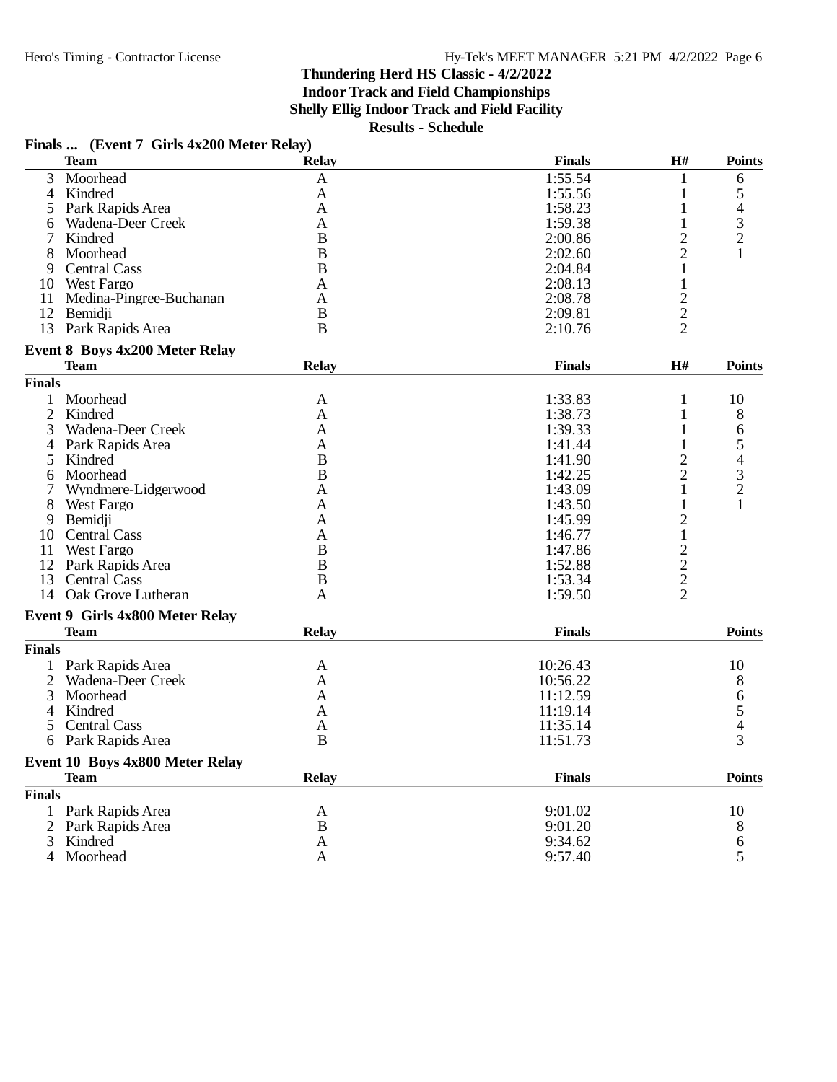## **Finals ... (Event 7 Girls 4x200 Meter Relay)**

|                | <b>Team</b>                     | <b>Relay</b>   | <b>Finals</b> | H#             | <b>Points</b>                              |
|----------------|---------------------------------|----------------|---------------|----------------|--------------------------------------------|
| 3              | Moorhead                        | A              | 1:55.54       | 1              | 6                                          |
| 4              | Kindred                         | A              | 1:55.56       | 1              | 5                                          |
| 5              | Park Rapids Area                | A              | 1:58.23       | 1              | $\overline{4}$                             |
| 6              | Wadena-Deer Creek               | A              | 1:59.38       | 1              | 3                                          |
| 7              | Kindred                         | $\bf{B}$       | 2:00.86       | $\overline{c}$ | $\overline{2}$                             |
| 8              | Moorhead                        | B              | 2:02.60       | $\overline{2}$ |                                            |
| 9              | <b>Central Cass</b>             | $\overline{B}$ | 2:04.84       | 1              |                                            |
|                | 10 West Fargo                   | A              | 2:08.13       | 1              |                                            |
| 11             | Medina-Pingree-Buchanan         | A              | 2:08.78       | $\overline{2}$ |                                            |
|                | 12 Bemidji                      | B              | 2:09.81       | $\overline{c}$ |                                            |
|                | 13 Park Rapids Area             | $\overline{B}$ | 2:10.76       | $\overline{2}$ |                                            |
|                | Event 8 Boys 4x200 Meter Relay  |                |               |                |                                            |
|                | Team                            | Relay          | <b>Finals</b> | H#             | <b>Points</b>                              |
| <b>Finals</b>  |                                 |                |               |                |                                            |
| 1              | Moorhead                        | A              | 1:33.83       | 1              | 10                                         |
| $\overline{2}$ | Kindred                         | A              | 1:38.73       | 1              | 8                                          |
| 3              | Wadena-Deer Creek               | A              | 1:39.33       | 1              | 6                                          |
| 4              | Park Rapids Area                | A              | 1:41.44       | 1              | 5                                          |
| 5              | Kindred                         | B              | 1:41.90       | $\overline{c}$ | $\overline{\mathcal{L}}$                   |
| 6              | Moorhead                        | B              | 1:42.25       | $\overline{2}$ |                                            |
| 7              | Wyndmere-Lidgerwood             |                | 1:43.09       | 1              | $\frac{3}{2}$                              |
|                |                                 | A              |               |                | 1                                          |
| 8              | <b>West Fargo</b>               | A              | 1:43.50       | 1              |                                            |
| 9              | Bemidii                         | A              | 1:45.99       | $\overline{c}$ |                                            |
|                | 10 Central Cass                 | A              | 1:46.77       | $\mathbf{1}$   |                                            |
| 11             | <b>West Fargo</b>               | $\overline{B}$ | 1:47.86       |                |                                            |
|                | 12 Park Rapids Area             | B              | 1:52.88       |                |                                            |
| 13             | <b>Central Cass</b>             | $\overline{B}$ | 1:53.34       | $\frac{2}{2}$  |                                            |
|                | 14 Oak Grove Lutheran           | A              | 1:59.50       | $\overline{2}$ |                                            |
|                | Event 9 Girls 4x800 Meter Relay |                |               |                |                                            |
|                | <b>Team</b>                     | <b>Relay</b>   | <b>Finals</b> |                | <b>Points</b>                              |
| <b>Finals</b>  |                                 |                |               |                |                                            |
| 1              | Park Rapids Area                | A              | 10:26.43      |                | 10                                         |
| $\overline{2}$ | Wadena-Deer Creek               | A              | 10:56.22      |                | 8                                          |
| 3              | Moorhead                        | A              | 11:12.59      |                |                                            |
|                | 4 Kindred                       | A              | 11:19.14      |                | $\begin{array}{c} 6 \\ 5 \\ 4 \end{array}$ |
| 5              | <b>Central Cass</b>             | A              | 11:35.14      |                |                                            |
|                | 6 Park Rapids Area              | $\bf{B}$       | 11:51.73      |                | 3                                          |
|                |                                 |                |               |                |                                            |
|                | Event 10 Boys 4x800 Meter Relay |                |               |                |                                            |
|                | <b>Team</b>                     | <b>Relay</b>   | <b>Finals</b> |                | <b>Points</b>                              |
| <b>Finals</b>  |                                 |                |               |                |                                            |
| 1              | Park Rapids Area                | A              | 9:01.02       |                | 10                                         |
| 2              | Park Rapids Area                | B              | 9:01.20       |                | 8                                          |
| 3              | Kindred                         | Α              | 9:34.62       |                | 6                                          |
| 4              | Moorhead                        | A              | 9:57.40       |                | 5                                          |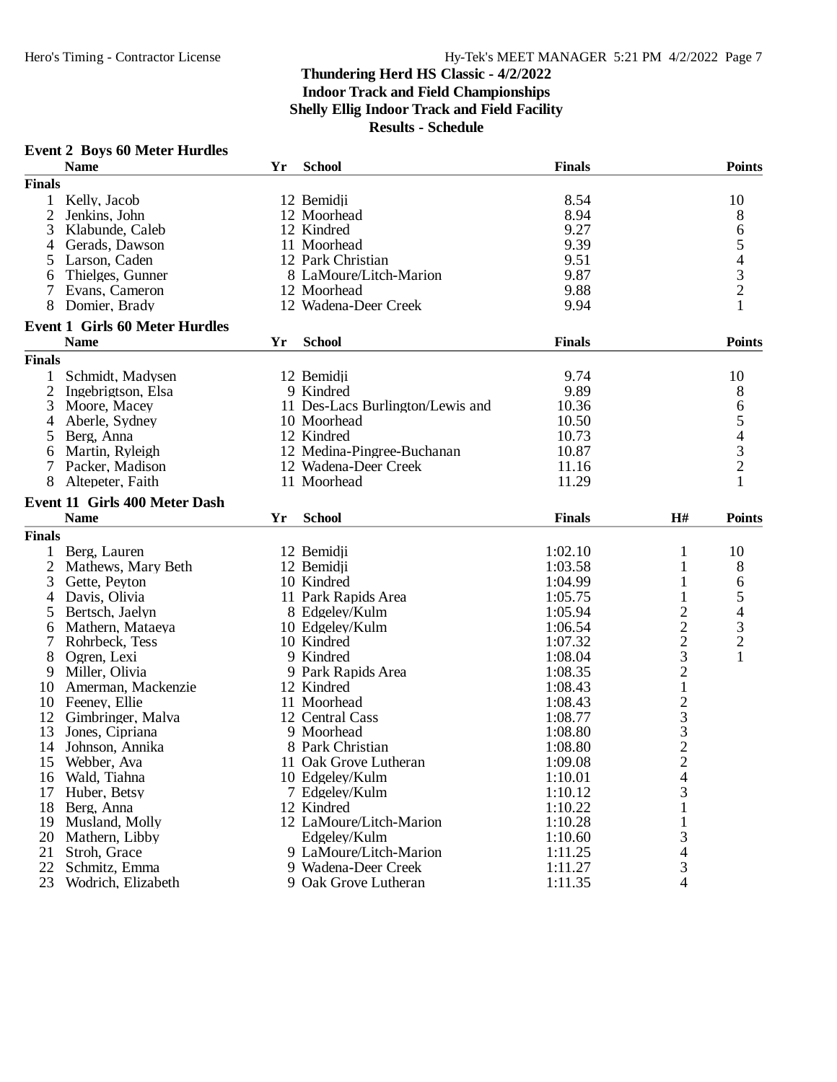#### **Event 2 Boys 60 Meter Hurdles**

|                | <b>Name</b>                           | Yr | <b>School</b>                    | <b>Finals</b> |                                                   | <b>Points</b>                              |
|----------------|---------------------------------------|----|----------------------------------|---------------|---------------------------------------------------|--------------------------------------------|
| <b>Finals</b>  |                                       |    |                                  |               |                                                   |                                            |
| 1              | Kelly, Jacob                          |    | 12 Bemidji                       | 8.54          |                                                   | 10                                         |
| 2              | Jenkins, John                         |    | 12 Moorhead                      | 8.94          |                                                   | $8\,$                                      |
| 3              | Klabunde, Caleb                       |    | 12 Kindred                       | 9.27          |                                                   | 6                                          |
| 4              | Gerads, Dawson                        |    | 11 Moorhead                      | 9.39          |                                                   | 5                                          |
| 5              | Larson, Caden                         |    | 12 Park Christian                | 9.51          |                                                   |                                            |
| 6              | Thielges, Gunner                      |    | 8 LaMoure/Litch-Marion           | 9.87          |                                                   | $\begin{array}{c} 4 \\ 3 \\ 2 \end{array}$ |
|                | Evans, Cameron                        |    | 12 Moorhead                      | 9.88          |                                                   |                                            |
| 8              | Domier, Brady                         |    | 12 Wadena-Deer Creek             | 9.94          |                                                   | $\mathbf{1}$                               |
|                | <b>Event 1 Girls 60 Meter Hurdles</b> |    |                                  |               |                                                   |                                            |
|                | <b>Name</b>                           | Yr | <b>School</b>                    | <b>Finals</b> |                                                   | <b>Points</b>                              |
| <b>Finals</b>  |                                       |    |                                  |               |                                                   |                                            |
| 1              | Schmidt, Madysen                      |    | 12 Bemidji                       | 9.74          |                                                   | 10                                         |
| $\overline{2}$ | Ingebrigtson, Elsa                    |    | 9 Kindred                        | 9.89          |                                                   | 8                                          |
| 3              | Moore, Macey                          |    | 11 Des-Lacs Burlington/Lewis and | 10.36         |                                                   |                                            |
| $\overline{4}$ | Aberle, Sydney                        |    | 10 Moorhead                      | 10.50         |                                                   | $\frac{6}{5}$                              |
|                | Berg, Anna                            |    | 12 Kindred                       | 10.73         |                                                   |                                            |
| 5              |                                       |    | 12 Medina-Pingree-Buchanan       |               |                                                   | $\begin{array}{c} 4 \\ 3 \\ 2 \end{array}$ |
| 6              | Martin, Ryleigh                       |    |                                  | 10.87         |                                                   |                                            |
| 7              | Packer, Madison                       |    | 12 Wadena-Deer Creek             | 11.16         |                                                   |                                            |
| 8              | Altepeter, Faith                      |    | 11 Moorhead                      | 11.29         |                                                   |                                            |
|                | <b>Event 11 Girls 400 Meter Dash</b>  |    |                                  |               |                                                   |                                            |
|                | <b>Name</b>                           | Yr | <b>School</b>                    | <b>Finals</b> | H#                                                | <b>Points</b>                              |
| <b>Finals</b>  |                                       |    |                                  |               |                                                   |                                            |
|                | Berg, Lauren                          |    | 12 Bemidji                       | 1:02.10       | 1                                                 | 10                                         |
| $\overline{2}$ | Mathews, Mary Beth                    |    | 12 Bemidji                       | 1:03.58       | 1                                                 | $8\,$                                      |
| 3              | Gette, Peyton                         |    | 10 Kindred                       | 1:04.99       | $\mathbf{1}$                                      | 6                                          |
| 4              | Davis, Olivia                         |    | 11 Park Rapids Area              | 1:05.75       |                                                   | 5                                          |
| 5              | Bertsch, Jaelyn                       |    | 8 Edgeley/Kulm                   | 1:05.94       | $\overline{\mathbf{c}}$                           |                                            |
| 6              | Mathern, Mataeya                      |    | 10 Edgeley/Kulm                  | 1:06.54       |                                                   |                                            |
| 7              | Rohrbeck, Tess                        |    | 10 Kindred                       | 1:07.32       | $\frac{2}{3}$                                     | $\begin{array}{c} 4 \\ 3 \\ 2 \end{array}$ |
| 8              | Ogren, Lexi                           |    | 9 Kindred                        | 1:08.04       |                                                   | $\mathbf{1}$                               |
| 9              | Miller, Olivia                        |    | 9 Park Rapids Area               | 1:08.35       |                                                   |                                            |
| 10             | Amerman, Mackenzie                    |    | 12 Kindred                       | 1:08.43       | $\frac{2}{1}$                                     |                                            |
| 10             | Feeney, Ellie                         |    | 11 Moorhead                      | 1:08.43       |                                                   |                                            |
| 12             | Gimbringer, Malva                     |    | 12 Central Cass                  | 1:08.77       | $\begin{array}{c}\n2 \\ 3 \\ 2 \\ 2\n\end{array}$ |                                            |
| 13             | Jones, Cipriana                       |    | 9 Moorhead                       | 1:08.80       |                                                   |                                            |
| 14             |                                       |    | 8 Park Christian                 | 1:08.80       |                                                   |                                            |
|                | Johnson, Annika                       |    |                                  |               |                                                   |                                            |
| 15             | Webber, Ava                           |    | 11 Oak Grove Lutheran            | 1:09.08       |                                                   |                                            |
| 16             | Wald, Tiahna                          |    | 10 Edgeley/Kulm                  | 1:10.01       | 4                                                 |                                            |
| 17             | Huber, Betsy                          |    | 7 Edgeley/Kulm                   | 1:10.12       | 3                                                 |                                            |
| 18             | Berg, Anna                            |    | 12 Kindred                       | 1:10.22       | 1                                                 |                                            |
| 19             | Musland, Molly                        |    | 12 LaMoure/Litch-Marion          | 1:10.28       | 1                                                 |                                            |
| 20             | Mathern, Libby                        |    | Edgeley/Kulm                     | 1:10.60       | 3                                                 |                                            |
| 21             | Stroh, Grace                          |    | 9 LaMoure/Litch-Marion           | 1:11.25       | 4                                                 |                                            |
| 22             | Schmitz, Emma                         |    | 9 Wadena-Deer Creek              | 1:11.27       | 3                                                 |                                            |
| 23             | Wodrich, Elizabeth                    |    | 9 Oak Grove Lutheran             | 1:11.35       | 4                                                 |                                            |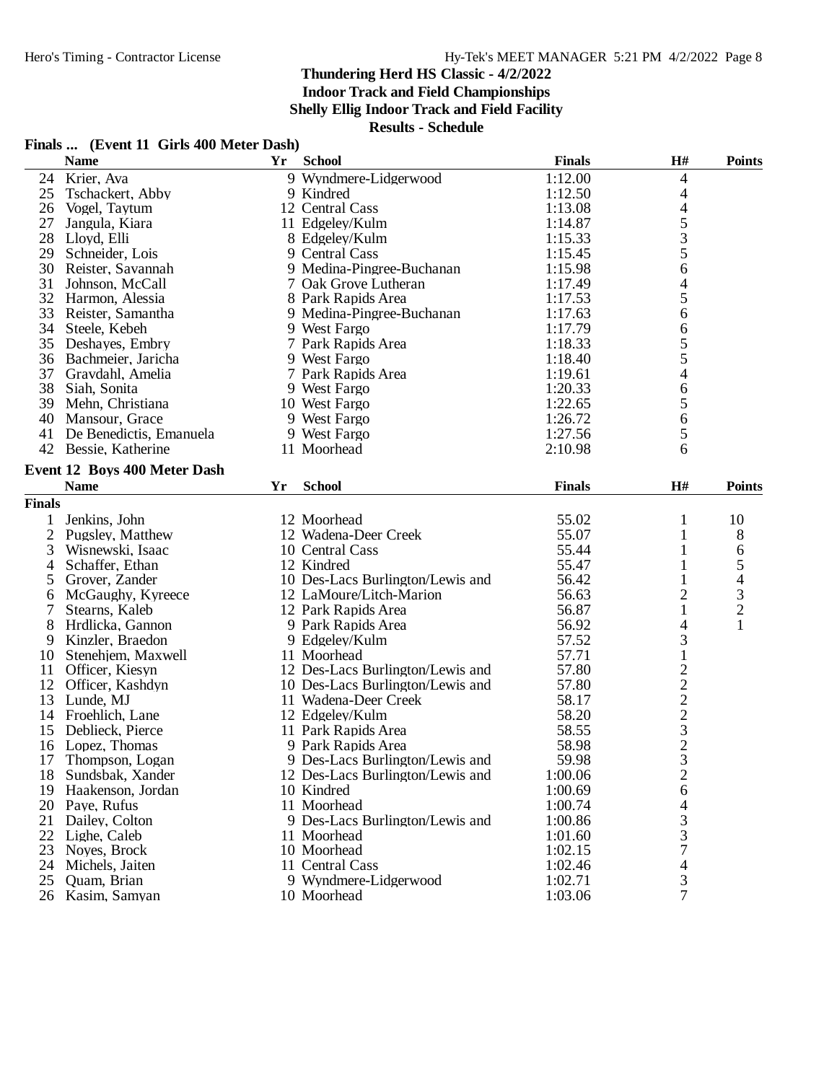**Indoor Track and Field Championships**

**Shelly Ellig Indoor Track and Field Facility**

| Finals  (Event 11 Girls 400 Meter Dash) |  |  |  |
|-----------------------------------------|--|--|--|
|-----------------------------------------|--|--|--|

|                | <b>Name</b>                  | Yr | <b>School</b>                    | <b>Finals</b> | H#                      | <b>Points</b>            |
|----------------|------------------------------|----|----------------------------------|---------------|-------------------------|--------------------------|
| 24             | Krier, Ava                   |    | 9 Wyndmere-Lidgerwood            | 1:12.00       | 4                       |                          |
| 25             | Tschackert, Abby             |    | 9 Kindred                        | 1:12.50       | 4                       |                          |
| 26             | Vogel, Taytum                |    | 12 Central Cass                  | 1:13.08       |                         |                          |
| 27             | Jangula, Kiara               |    | 11 Edgeley/Kulm                  | 1:14.87       |                         |                          |
| 28             | Lloyd, Elli                  |    | 8 Edgeley/Kulm                   | 1:15.33       |                         |                          |
| 29             | Schneider, Lois              |    | 9 Central Cass                   | 1:15.45       | 4 5 3 5                 |                          |
|                | 30 Reister, Savannah         |    | 9 Medina-Pingree-Buchanan        | 1:15.98       | 6                       |                          |
| 31             | Johnson, McCall              |    | 7 Oak Grove Lutheran             | 1:17.49       | $\overline{4}$          |                          |
|                | 32 Harmon, Alessia           |    | 8 Park Rapids Area               | 1:17.53       | 5                       |                          |
| 33             | Reister, Samantha            |    | 9 Medina-Pingree-Buchanan        | 1:17.63       | 6                       |                          |
| 34             | Steele, Kebeh                |    | 9 West Fargo                     | 1:17.79       | 6                       |                          |
| 35             | Deshayes, Embry              |    | 7 Park Rapids Area               | 1:18.33       | 5                       |                          |
| 36             | Bachmeier, Jaricha           |    | 9 West Fargo                     | 1:18.40       | 5                       |                          |
| 37             | Gravdahl, Amelia             |    | 7 Park Rapids Area               | 1:19.61       |                         |                          |
|                |                              |    |                                  | 1:20.33       | $\overline{4}$          |                          |
|                | 38 Siah, Sonita              |    | 9 West Fargo                     |               | 6                       |                          |
| 39             | Mehn, Christiana             |    | 10 West Fargo                    | 1:22.65       | 5                       |                          |
| 40             | Mansour, Grace               |    | 9 West Fargo                     | 1:26.72       | 6                       |                          |
| 41             | De Benedictis, Emanuela      |    | 9 West Fargo                     | 1:27.56       | 5                       |                          |
|                | 42 Bessie, Katherine         |    | 11 Moorhead                      | 2:10.98       | 6                       |                          |
|                | Event 12 Boys 400 Meter Dash |    |                                  |               |                         |                          |
|                | <b>Name</b>                  | Yr | <b>School</b>                    | <b>Finals</b> | H#                      | <b>Points</b>            |
| <b>Finals</b>  |                              |    |                                  |               |                         |                          |
|                | Jenkins, John                |    | 12 Moorhead                      | 55.02         | 1                       | 10                       |
| 1              |                              |    | 12 Wadena-Deer Creek             | 55.07         | 1                       |                          |
| $\overline{2}$ | Pugsley, Matthew             |    |                                  |               |                         | 8                        |
| 3              | Wisnewski, Isaac             |    | 10 Central Cass                  | 55.44         | 1                       | 6                        |
| 4              | Schaffer, Ethan              |    | 12 Kindred                       | 55.47         | 1                       | 5                        |
| 5              | Grover, Zander               |    | 10 Des-Lacs Burlington/Lewis and | 56.42         | $\mathbf{1}$            | $\overline{\mathcal{L}}$ |
| 6              | McGaughy, Kyreece            |    | 12 LaMoure/Litch-Marion          | 56.63         | $\overline{c}$          | $\frac{3}{2}$            |
| 7              | Stearns, Kaleb               |    | 12 Park Rapids Area              | 56.87         | 1                       |                          |
| 8              | Hrdlicka, Gannon             |    | 9 Park Rapids Area               | 56.92         | 4                       | $\mathbf{1}$             |
| 9              | Kinzler, Braedon             |    | 9 Edgeley/Kulm                   | 57.52         | 3                       |                          |
| 10             | Stenehjem, Maxwell           |    | 11 Moorhead                      | 57.71         | $\,1$                   |                          |
| 11             | Officer, Kiesyn              |    | 12 Des-Lacs Burlington/Lewis and | 57.80         |                         |                          |
| 12             | Officer, Kashdyn             |    | 10 Des-Lacs Burlington/Lewis and | 57.80         |                         |                          |
| 13             | Lunde, MJ                    |    | 11 Wadena-Deer Creek             | 58.17         |                         |                          |
| 14             | Froehlich, Lane              |    | 12 Edgeley/Kulm                  | 58.20         |                         |                          |
| 15             | Deblieck, Pierce             |    | 11 Park Rapids Area              | 58.55         |                         |                          |
| 16             | Lopez, Thomas                |    | 9 Park Rapids Area               | 58.98         | $2222$<br>$2323$        |                          |
| 17             | Thompson, Logan              |    | 9 Des-Lacs Burlington/Lewis and  | 59.98         |                         |                          |
| 18             | Sundsbak, Xander             |    | 12 Des-Lacs Burlington/Lewis and | 1:00.06       | $\overline{\mathbf{c}}$ |                          |
| 19             | Haakenson, Jordan            |    | 10 Kindred                       | 1:00.69       | 6                       |                          |
| 20             | Paye, Rufus                  |    | 11 Moorhead                      | 1:00.74       | 4                       |                          |
| 21             | Dailey, Colton               |    | 9 Des-Lacs Burlington/Lewis and  | 1:00.86       |                         |                          |
| 22             | Lighe, Caleb                 |    | 11 Moorhead                      | 1:01.60       | $\frac{3}{3}$           |                          |
| 23             | Noves, Brock                 |    | 10 Moorhead                      | 1:02.15       | 7                       |                          |
| 24             | Michels, Jaiten              |    | 11 Central Cass                  | 1:02.46       | $\overline{4}$          |                          |
| 25             | Quam, Brian                  |    | 9 Wyndmere-Lidgerwood            | 1:02.71       | 3                       |                          |
|                | 26 Kasim, Samyan             |    | 10 Moorhead                      | 1:03.06       | 7                       |                          |
|                |                              |    |                                  |               |                         |                          |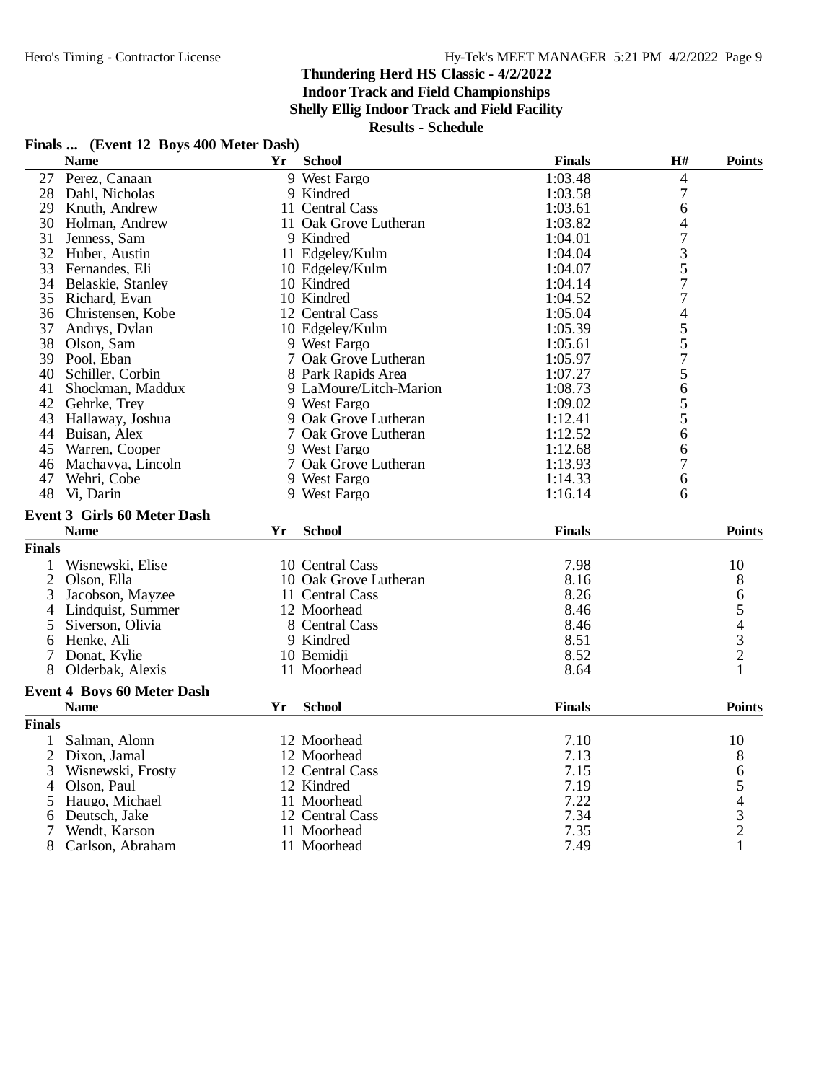**Indoor Track and Field Championships**

**Shelly Ellig Indoor Track and Field Facility**

**Results - Schedule**

## **Finals ... (Event 12 Boys 400 Meter Dash)**

|                | <b>Name</b>                        | Yr | <b>School</b>                  | <b>Finals</b> | H#                       | <b>Points</b>                                   |
|----------------|------------------------------------|----|--------------------------------|---------------|--------------------------|-------------------------------------------------|
|                | 27 Perez, Canaan                   |    | 9 West Fargo                   | 1:03.48       | $\overline{\mathcal{L}}$ |                                                 |
| 28             | Dahl, Nicholas                     |    | 9 Kindred                      | 1:03.58       | $\boldsymbol{7}$         |                                                 |
| 29             | Knuth, Andrew                      |    | 11 Central Cass                | 1:03.61       | 6                        |                                                 |
| 30             | Holman, Andrew                     |    | 11 Oak Grove Lutheran          | 1:03.82       | 4                        |                                                 |
| 31             | Jenness, Sam                       |    | 9 Kindred                      | 1:04.01       | $\overline{7}$           |                                                 |
|                | 32 Huber, Austin                   |    | 11 Edgeley/Kulm                | 1:04.04       | 3                        |                                                 |
| 33             | Fernandes, Eli                     |    | 10 Edgeley/Kulm                | 1:04.07       | 5                        |                                                 |
| 34             | Belaskie, Stanley                  |    | 10 Kindred                     | 1:04.14       | 7                        |                                                 |
| 35             | Richard, Evan                      |    | 10 Kindred                     | 1:04.52       | 7                        |                                                 |
| 36             | Christensen, Kobe                  |    | 12 Central Cass                | 1:05.04       | $\overline{\mathcal{L}}$ |                                                 |
| 37             | Andrys, Dylan                      |    | 10 Edgeley/Kulm                | 1:05.39       | $\frac{5}{5}$            |                                                 |
| 38             | Olson, Sam                         |    | 9 West Fargo                   | 1:05.61       |                          |                                                 |
|                | 39 Pool, Eban                      |    | 7 Oak Grove Lutheran           | 1:05.97       | 7                        |                                                 |
| 40             | Schiller, Corbin                   |    | 8 Park Rapids Area             | 1:07.27       | 5                        |                                                 |
| 41             | Shockman, Maddux                   |    | 9 LaMoure/Litch-Marion         | 1:08.73       | 6                        |                                                 |
|                | 42 Gehrke, Trey                    |    | 9 West Fargo                   | 1:09.02       |                          |                                                 |
| 43             | Hallaway, Joshua                   |    | 9 Oak Grove Lutheran           | 1:12.41       | $\frac{5}{5}$            |                                                 |
|                | 44 Buisan, Alex                    |    | 7 Oak Grove Lutheran           | 1:12.52       | 6                        |                                                 |
| 45             | Warren, Cooper                     |    | 9 West Fargo                   | 1:12.68       | 6                        |                                                 |
| 46             | Machayya, Lincoln                  |    | 7 Oak Grove Lutheran           | 1:13.93       | $\overline{7}$           |                                                 |
| 47             | Wehri, Cobe                        |    | 9 West Fargo                   | 1:14.33       | 6                        |                                                 |
| 48             | Vi, Darin                          |    | 9 West Fargo                   | 1:16.14       | 6                        |                                                 |
|                | <b>Event 3 Girls 60 Meter Dash</b> |    |                                |               |                          |                                                 |
|                | <b>Name</b>                        | Yr | <b>School</b>                  | <b>Finals</b> |                          | <b>Points</b>                                   |
| <b>Finals</b>  |                                    |    |                                |               |                          |                                                 |
| 1              | Wisnewski, Elise                   |    | 10 Central Cass                | 7.98          |                          | 10                                              |
| $\overline{2}$ | Olson, Ella                        |    | 10 Oak Grove Lutheran          | 8.16          |                          |                                                 |
|                |                                    |    |                                | 8.26          |                          | 8                                               |
| 3              | Jacobson, Mayzee                   |    | 11 Central Cass<br>12 Moorhead | 8.46          |                          | 6                                               |
| 4              | Lindquist, Summer                  |    | 8 Central Cass                 | 8.46          |                          | $\begin{array}{c} 5 \\ 4 \\ 3 \\ 2 \end{array}$ |
| 5              | Siverson, Olivia                   |    |                                | 8.51          |                          |                                                 |
| 6              | Henke, Ali                         |    | 9 Kindred                      | 8.52          |                          |                                                 |
| 7              | Donat, Kylie                       |    | 10 Bemidji                     |               |                          |                                                 |
| 8              | Olderbak, Alexis                   |    | 11 Moorhead                    | 8.64          |                          | 1                                               |
|                | <b>Event 4 Boys 60 Meter Dash</b>  |    |                                |               |                          |                                                 |
|                | <b>Name</b>                        | Yr | <b>School</b>                  | <b>Finals</b> |                          | <b>Points</b>                                   |
| <b>Finals</b>  |                                    |    |                                |               |                          |                                                 |
| 1              | Salman, Alonn                      |    | 12 Moorhead                    | 7.10          |                          | 10                                              |
| 2              | Dixon, Jamal                       |    | 12 Moorhead                    | 7.13          |                          | 8                                               |
| 3              | Wisnewski, Frosty                  |    | 12 Central Cass                | 7.15          |                          |                                                 |
| 4              | Olson, Paul                        |    | 12 Kindred                     | 7.19          |                          |                                                 |
| 5              | Haugo, Michael                     |    | 11 Moorhead                    | 7.22          |                          | 65432                                           |
| 6              | Deutsch, Jake                      |    | 12 Central Cass                | 7.34          |                          |                                                 |
| 7              | Wendt, Karson                      |    | 11 Moorhead                    | 7.35          |                          |                                                 |
| 8              | Carlson, Abraham                   |    | 11 Moorhead                    | 7.49          |                          | $\mathbf{1}$                                    |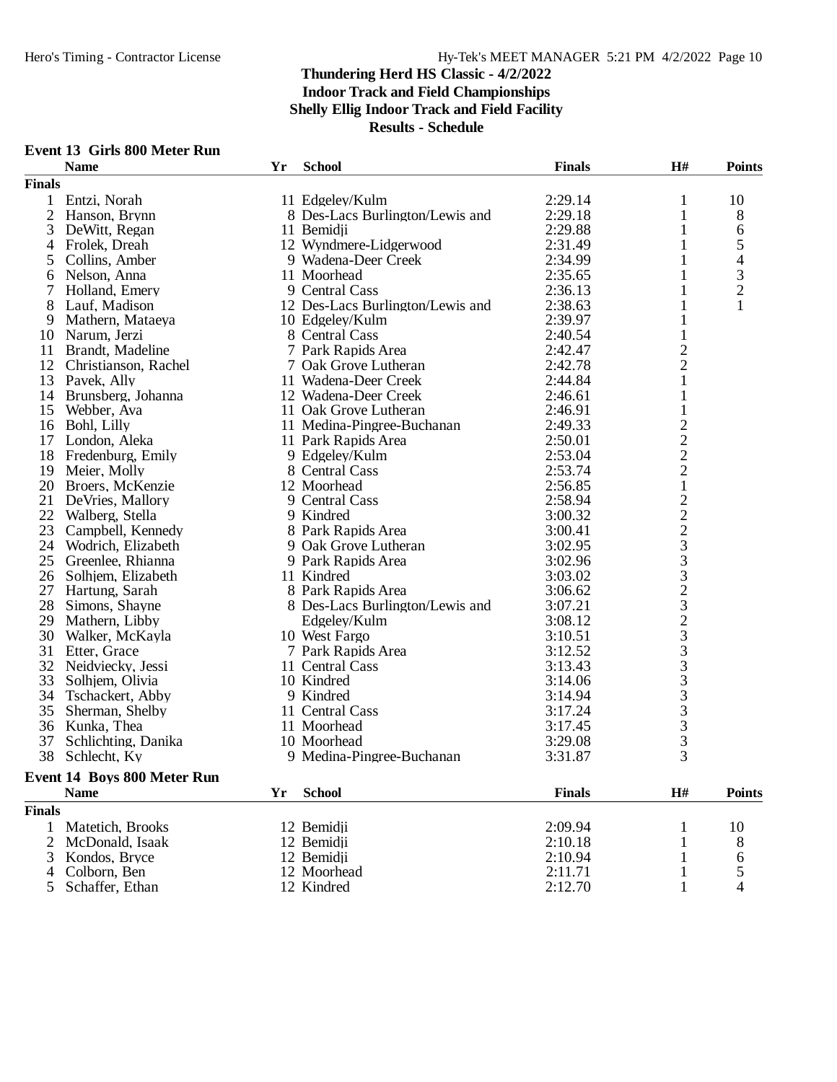| <b>Event 13 Girls 800 Meter Run</b> |  |  |  |
|-------------------------------------|--|--|--|
|-------------------------------------|--|--|--|

| <b>Finals</b><br>Entzi, Norah<br>2:29.14<br>10<br>1<br>11 Edgeley/Kulm<br>$\mathbf{1}$<br>$\mathfrak{2}$<br>8 Des-Lacs Burlington/Lewis and<br>2:29.18<br>8<br>Hanson, Brynn<br>1<br>3<br>2:29.88<br>DeWitt, Regan<br>11 Bemidii<br>1<br>6<br>5<br>12 Wyndmere-Lidgerwood<br>Frolek, Dreah<br>2:31.49<br>1<br>4<br>4<br>9 Wadena-Deer Creek<br>2:34.99<br>Collins, Amber<br>1<br>5<br>3<br>Nelson, Anna<br>11 Moorhead<br>2:35.65<br>$\mathbf{1}$<br>6<br>$\overline{c}$<br>Holland, Emery<br>9 Central Cass<br>2:36.13<br>1<br>8<br>12 Des-Lacs Burlington/Lewis and<br>2:38.63<br>Lauf, Madison<br>1<br>2:39.97<br>9<br>Mathern, Mataeya<br>10 Edgeley/Kulm<br>1<br>$\mathbf{1}$<br>Narum, Jerzi<br>8 Central Cass<br>2:40.54<br>10<br>$\overline{c}$<br>Brandt, Madeline<br>7 Park Rapids Area<br>2:42.47<br>11<br>$\overline{c}$<br>12<br>Christianson, Rachel<br>2:42.78<br>7 Oak Grove Lutheran<br>$\mathbf{1}$<br>13<br>Pavek, Ally<br>11 Wadena-Deer Creek<br>2:44.84<br>2:46.61<br>$\mathbf{1}$<br>14<br>Brunsberg, Johanna<br>12 Wadena-Deer Creek<br>Webber, Ava<br>11 Oak Grove Lutheran<br>$\mathbf{1}$<br>15<br>2:46.91<br>$\begin{array}{c} 2 \\ 2 \\ 2 \end{array}$<br>16<br>Bohl, Lilly<br>11 Medina-Pingree-Buchanan<br>2:49.33<br>17<br>London, Aleka<br>11 Park Rapids Area<br>2:50.01<br>18<br>Fredenburg, Emily<br>2:53.04<br>9 Edgeley/Kulm<br>19<br>8 Central Cass<br>2:53.74<br>Meier, Molly<br>$\,1$<br>20<br>2:56.85<br>Broers, McKenzie<br>12 Moorhead<br>22233323333333333<br>21<br>2:58.94<br>DeVries, Mallory<br>9 Central Cass<br>22<br>Walberg, Stella<br>9 Kindred<br>3:00.32<br>23<br>8 Park Rapids Area<br>3:00.41<br>Campbell, Kennedy<br>24<br>9 Oak Grove Lutheran<br>3:02.95<br>Wodrich, Elizabeth<br>25<br>Greenlee, Rhianna<br>3:02.96<br>9 Park Rapids Area<br>11 Kindred<br>3:03.02<br>26<br>Solhjem, Elizabeth<br>27<br>Hartung, Sarah<br>8 Park Rapids Area<br>3:06.62<br>28<br>8 Des-Lacs Burlington/Lewis and<br>Simons, Shayne<br>3:07.21<br>29<br>Mathern, Libby<br>3:08.12<br>Edgeley/Kulm<br>30<br>3:10.51<br>Walker, McKayla<br>10 West Fargo<br>31<br>Etter, Grace<br>7 Park Rapids Area<br>3:12.52<br>32<br>3:13.43<br>Neidviecky, Jessi<br>11 Central Cass<br>33<br>10 Kindred<br>Solhjem, Olivia<br>3:14.06<br>34<br>9 Kindred<br>Tschackert, Abby<br>3:14.94<br>35<br>Sherman, Shelby<br>11 Central Cass<br>3:17.24<br>36<br>11 Moorhead<br>3:17.45<br>Kunka, Thea<br>37<br>Schlichting, Danika<br>10 Moorhead<br>3:29.08<br>38<br>Schlecht, Ky<br>9 Medina-Pingree-Buchanan<br>3:31.87<br>Event 14 Boys 800 Meter Run<br>$\mathbf{H}$ #<br><b>School</b><br><b>Finals</b><br><b>Points</b><br><b>Name</b><br>Yr<br><b>Finals</b><br>Matetich, Brooks<br>12 Bemidji<br>2:09.94<br>10<br>1<br>1<br>2<br>McDonald, Isaak<br>12 Bemidji<br>2:10.18<br>8<br>1<br>Kondos, Bryce<br>12 Bemidii<br>2:10.94<br>3<br>1<br>6<br>5<br>12 Moorhead<br>Colborn, Ben<br>2:11.71<br>1<br>4<br>2:12.70<br>Schaffer, Ethan<br>12 Kindred<br>4<br>5 <sup>5</sup><br>1 | <b>Name</b> | Yr | <b>School</b> | <b>Finals</b> | H# | <b>Points</b> |
|---------------------------------------------------------------------------------------------------------------------------------------------------------------------------------------------------------------------------------------------------------------------------------------------------------------------------------------------------------------------------------------------------------------------------------------------------------------------------------------------------------------------------------------------------------------------------------------------------------------------------------------------------------------------------------------------------------------------------------------------------------------------------------------------------------------------------------------------------------------------------------------------------------------------------------------------------------------------------------------------------------------------------------------------------------------------------------------------------------------------------------------------------------------------------------------------------------------------------------------------------------------------------------------------------------------------------------------------------------------------------------------------------------------------------------------------------------------------------------------------------------------------------------------------------------------------------------------------------------------------------------------------------------------------------------------------------------------------------------------------------------------------------------------------------------------------------------------------------------------------------------------------------------------------------------------------------------------------------------------------------------------------------------------------------------------------------------------------------------------------------------------------------------------------------------------------------------------------------------------------------------------------------------------------------------------------------------------------------------------------------------------------------------------------------------------------------------------------------------------------------------------------------------------------------------------------------------------------------------------------------------------------------------------------------------------------------------------------------------------------------------------------------------------------------------------------------------------------------------------------------------------------------------------------------------------------------------------------------------------------------------------|-------------|----|---------------|---------------|----|---------------|
|                                                                                                                                                                                                                                                                                                                                                                                                                                                                                                                                                                                                                                                                                                                                                                                                                                                                                                                                                                                                                                                                                                                                                                                                                                                                                                                                                                                                                                                                                                                                                                                                                                                                                                                                                                                                                                                                                                                                                                                                                                                                                                                                                                                                                                                                                                                                                                                                                                                                                                                                                                                                                                                                                                                                                                                                                                                                                                                                                                                                               |             |    |               |               |    |               |
|                                                                                                                                                                                                                                                                                                                                                                                                                                                                                                                                                                                                                                                                                                                                                                                                                                                                                                                                                                                                                                                                                                                                                                                                                                                                                                                                                                                                                                                                                                                                                                                                                                                                                                                                                                                                                                                                                                                                                                                                                                                                                                                                                                                                                                                                                                                                                                                                                                                                                                                                                                                                                                                                                                                                                                                                                                                                                                                                                                                                               |             |    |               |               |    |               |
|                                                                                                                                                                                                                                                                                                                                                                                                                                                                                                                                                                                                                                                                                                                                                                                                                                                                                                                                                                                                                                                                                                                                                                                                                                                                                                                                                                                                                                                                                                                                                                                                                                                                                                                                                                                                                                                                                                                                                                                                                                                                                                                                                                                                                                                                                                                                                                                                                                                                                                                                                                                                                                                                                                                                                                                                                                                                                                                                                                                                               |             |    |               |               |    |               |
|                                                                                                                                                                                                                                                                                                                                                                                                                                                                                                                                                                                                                                                                                                                                                                                                                                                                                                                                                                                                                                                                                                                                                                                                                                                                                                                                                                                                                                                                                                                                                                                                                                                                                                                                                                                                                                                                                                                                                                                                                                                                                                                                                                                                                                                                                                                                                                                                                                                                                                                                                                                                                                                                                                                                                                                                                                                                                                                                                                                                               |             |    |               |               |    |               |
|                                                                                                                                                                                                                                                                                                                                                                                                                                                                                                                                                                                                                                                                                                                                                                                                                                                                                                                                                                                                                                                                                                                                                                                                                                                                                                                                                                                                                                                                                                                                                                                                                                                                                                                                                                                                                                                                                                                                                                                                                                                                                                                                                                                                                                                                                                                                                                                                                                                                                                                                                                                                                                                                                                                                                                                                                                                                                                                                                                                                               |             |    |               |               |    |               |
|                                                                                                                                                                                                                                                                                                                                                                                                                                                                                                                                                                                                                                                                                                                                                                                                                                                                                                                                                                                                                                                                                                                                                                                                                                                                                                                                                                                                                                                                                                                                                                                                                                                                                                                                                                                                                                                                                                                                                                                                                                                                                                                                                                                                                                                                                                                                                                                                                                                                                                                                                                                                                                                                                                                                                                                                                                                                                                                                                                                                               |             |    |               |               |    |               |
|                                                                                                                                                                                                                                                                                                                                                                                                                                                                                                                                                                                                                                                                                                                                                                                                                                                                                                                                                                                                                                                                                                                                                                                                                                                                                                                                                                                                                                                                                                                                                                                                                                                                                                                                                                                                                                                                                                                                                                                                                                                                                                                                                                                                                                                                                                                                                                                                                                                                                                                                                                                                                                                                                                                                                                                                                                                                                                                                                                                                               |             |    |               |               |    |               |
|                                                                                                                                                                                                                                                                                                                                                                                                                                                                                                                                                                                                                                                                                                                                                                                                                                                                                                                                                                                                                                                                                                                                                                                                                                                                                                                                                                                                                                                                                                                                                                                                                                                                                                                                                                                                                                                                                                                                                                                                                                                                                                                                                                                                                                                                                                                                                                                                                                                                                                                                                                                                                                                                                                                                                                                                                                                                                                                                                                                                               |             |    |               |               |    |               |
|                                                                                                                                                                                                                                                                                                                                                                                                                                                                                                                                                                                                                                                                                                                                                                                                                                                                                                                                                                                                                                                                                                                                                                                                                                                                                                                                                                                                                                                                                                                                                                                                                                                                                                                                                                                                                                                                                                                                                                                                                                                                                                                                                                                                                                                                                                                                                                                                                                                                                                                                                                                                                                                                                                                                                                                                                                                                                                                                                                                                               |             |    |               |               |    |               |
|                                                                                                                                                                                                                                                                                                                                                                                                                                                                                                                                                                                                                                                                                                                                                                                                                                                                                                                                                                                                                                                                                                                                                                                                                                                                                                                                                                                                                                                                                                                                                                                                                                                                                                                                                                                                                                                                                                                                                                                                                                                                                                                                                                                                                                                                                                                                                                                                                                                                                                                                                                                                                                                                                                                                                                                                                                                                                                                                                                                                               |             |    |               |               |    |               |
|                                                                                                                                                                                                                                                                                                                                                                                                                                                                                                                                                                                                                                                                                                                                                                                                                                                                                                                                                                                                                                                                                                                                                                                                                                                                                                                                                                                                                                                                                                                                                                                                                                                                                                                                                                                                                                                                                                                                                                                                                                                                                                                                                                                                                                                                                                                                                                                                                                                                                                                                                                                                                                                                                                                                                                                                                                                                                                                                                                                                               |             |    |               |               |    |               |
|                                                                                                                                                                                                                                                                                                                                                                                                                                                                                                                                                                                                                                                                                                                                                                                                                                                                                                                                                                                                                                                                                                                                                                                                                                                                                                                                                                                                                                                                                                                                                                                                                                                                                                                                                                                                                                                                                                                                                                                                                                                                                                                                                                                                                                                                                                                                                                                                                                                                                                                                                                                                                                                                                                                                                                                                                                                                                                                                                                                                               |             |    |               |               |    |               |
|                                                                                                                                                                                                                                                                                                                                                                                                                                                                                                                                                                                                                                                                                                                                                                                                                                                                                                                                                                                                                                                                                                                                                                                                                                                                                                                                                                                                                                                                                                                                                                                                                                                                                                                                                                                                                                                                                                                                                                                                                                                                                                                                                                                                                                                                                                                                                                                                                                                                                                                                                                                                                                                                                                                                                                                                                                                                                                                                                                                                               |             |    |               |               |    |               |
|                                                                                                                                                                                                                                                                                                                                                                                                                                                                                                                                                                                                                                                                                                                                                                                                                                                                                                                                                                                                                                                                                                                                                                                                                                                                                                                                                                                                                                                                                                                                                                                                                                                                                                                                                                                                                                                                                                                                                                                                                                                                                                                                                                                                                                                                                                                                                                                                                                                                                                                                                                                                                                                                                                                                                                                                                                                                                                                                                                                                               |             |    |               |               |    |               |
|                                                                                                                                                                                                                                                                                                                                                                                                                                                                                                                                                                                                                                                                                                                                                                                                                                                                                                                                                                                                                                                                                                                                                                                                                                                                                                                                                                                                                                                                                                                                                                                                                                                                                                                                                                                                                                                                                                                                                                                                                                                                                                                                                                                                                                                                                                                                                                                                                                                                                                                                                                                                                                                                                                                                                                                                                                                                                                                                                                                                               |             |    |               |               |    |               |
|                                                                                                                                                                                                                                                                                                                                                                                                                                                                                                                                                                                                                                                                                                                                                                                                                                                                                                                                                                                                                                                                                                                                                                                                                                                                                                                                                                                                                                                                                                                                                                                                                                                                                                                                                                                                                                                                                                                                                                                                                                                                                                                                                                                                                                                                                                                                                                                                                                                                                                                                                                                                                                                                                                                                                                                                                                                                                                                                                                                                               |             |    |               |               |    |               |
|                                                                                                                                                                                                                                                                                                                                                                                                                                                                                                                                                                                                                                                                                                                                                                                                                                                                                                                                                                                                                                                                                                                                                                                                                                                                                                                                                                                                                                                                                                                                                                                                                                                                                                                                                                                                                                                                                                                                                                                                                                                                                                                                                                                                                                                                                                                                                                                                                                                                                                                                                                                                                                                                                                                                                                                                                                                                                                                                                                                                               |             |    |               |               |    |               |
|                                                                                                                                                                                                                                                                                                                                                                                                                                                                                                                                                                                                                                                                                                                                                                                                                                                                                                                                                                                                                                                                                                                                                                                                                                                                                                                                                                                                                                                                                                                                                                                                                                                                                                                                                                                                                                                                                                                                                                                                                                                                                                                                                                                                                                                                                                                                                                                                                                                                                                                                                                                                                                                                                                                                                                                                                                                                                                                                                                                                               |             |    |               |               |    |               |
|                                                                                                                                                                                                                                                                                                                                                                                                                                                                                                                                                                                                                                                                                                                                                                                                                                                                                                                                                                                                                                                                                                                                                                                                                                                                                                                                                                                                                                                                                                                                                                                                                                                                                                                                                                                                                                                                                                                                                                                                                                                                                                                                                                                                                                                                                                                                                                                                                                                                                                                                                                                                                                                                                                                                                                                                                                                                                                                                                                                                               |             |    |               |               |    |               |
|                                                                                                                                                                                                                                                                                                                                                                                                                                                                                                                                                                                                                                                                                                                                                                                                                                                                                                                                                                                                                                                                                                                                                                                                                                                                                                                                                                                                                                                                                                                                                                                                                                                                                                                                                                                                                                                                                                                                                                                                                                                                                                                                                                                                                                                                                                                                                                                                                                                                                                                                                                                                                                                                                                                                                                                                                                                                                                                                                                                                               |             |    |               |               |    |               |
|                                                                                                                                                                                                                                                                                                                                                                                                                                                                                                                                                                                                                                                                                                                                                                                                                                                                                                                                                                                                                                                                                                                                                                                                                                                                                                                                                                                                                                                                                                                                                                                                                                                                                                                                                                                                                                                                                                                                                                                                                                                                                                                                                                                                                                                                                                                                                                                                                                                                                                                                                                                                                                                                                                                                                                                                                                                                                                                                                                                                               |             |    |               |               |    |               |
|                                                                                                                                                                                                                                                                                                                                                                                                                                                                                                                                                                                                                                                                                                                                                                                                                                                                                                                                                                                                                                                                                                                                                                                                                                                                                                                                                                                                                                                                                                                                                                                                                                                                                                                                                                                                                                                                                                                                                                                                                                                                                                                                                                                                                                                                                                                                                                                                                                                                                                                                                                                                                                                                                                                                                                                                                                                                                                                                                                                                               |             |    |               |               |    |               |
|                                                                                                                                                                                                                                                                                                                                                                                                                                                                                                                                                                                                                                                                                                                                                                                                                                                                                                                                                                                                                                                                                                                                                                                                                                                                                                                                                                                                                                                                                                                                                                                                                                                                                                                                                                                                                                                                                                                                                                                                                                                                                                                                                                                                                                                                                                                                                                                                                                                                                                                                                                                                                                                                                                                                                                                                                                                                                                                                                                                                               |             |    |               |               |    |               |
|                                                                                                                                                                                                                                                                                                                                                                                                                                                                                                                                                                                                                                                                                                                                                                                                                                                                                                                                                                                                                                                                                                                                                                                                                                                                                                                                                                                                                                                                                                                                                                                                                                                                                                                                                                                                                                                                                                                                                                                                                                                                                                                                                                                                                                                                                                                                                                                                                                                                                                                                                                                                                                                                                                                                                                                                                                                                                                                                                                                                               |             |    |               |               |    |               |
|                                                                                                                                                                                                                                                                                                                                                                                                                                                                                                                                                                                                                                                                                                                                                                                                                                                                                                                                                                                                                                                                                                                                                                                                                                                                                                                                                                                                                                                                                                                                                                                                                                                                                                                                                                                                                                                                                                                                                                                                                                                                                                                                                                                                                                                                                                                                                                                                                                                                                                                                                                                                                                                                                                                                                                                                                                                                                                                                                                                                               |             |    |               |               |    |               |
|                                                                                                                                                                                                                                                                                                                                                                                                                                                                                                                                                                                                                                                                                                                                                                                                                                                                                                                                                                                                                                                                                                                                                                                                                                                                                                                                                                                                                                                                                                                                                                                                                                                                                                                                                                                                                                                                                                                                                                                                                                                                                                                                                                                                                                                                                                                                                                                                                                                                                                                                                                                                                                                                                                                                                                                                                                                                                                                                                                                                               |             |    |               |               |    |               |
|                                                                                                                                                                                                                                                                                                                                                                                                                                                                                                                                                                                                                                                                                                                                                                                                                                                                                                                                                                                                                                                                                                                                                                                                                                                                                                                                                                                                                                                                                                                                                                                                                                                                                                                                                                                                                                                                                                                                                                                                                                                                                                                                                                                                                                                                                                                                                                                                                                                                                                                                                                                                                                                                                                                                                                                                                                                                                                                                                                                                               |             |    |               |               |    |               |
|                                                                                                                                                                                                                                                                                                                                                                                                                                                                                                                                                                                                                                                                                                                                                                                                                                                                                                                                                                                                                                                                                                                                                                                                                                                                                                                                                                                                                                                                                                                                                                                                                                                                                                                                                                                                                                                                                                                                                                                                                                                                                                                                                                                                                                                                                                                                                                                                                                                                                                                                                                                                                                                                                                                                                                                                                                                                                                                                                                                                               |             |    |               |               |    |               |
|                                                                                                                                                                                                                                                                                                                                                                                                                                                                                                                                                                                                                                                                                                                                                                                                                                                                                                                                                                                                                                                                                                                                                                                                                                                                                                                                                                                                                                                                                                                                                                                                                                                                                                                                                                                                                                                                                                                                                                                                                                                                                                                                                                                                                                                                                                                                                                                                                                                                                                                                                                                                                                                                                                                                                                                                                                                                                                                                                                                                               |             |    |               |               |    |               |
|                                                                                                                                                                                                                                                                                                                                                                                                                                                                                                                                                                                                                                                                                                                                                                                                                                                                                                                                                                                                                                                                                                                                                                                                                                                                                                                                                                                                                                                                                                                                                                                                                                                                                                                                                                                                                                                                                                                                                                                                                                                                                                                                                                                                                                                                                                                                                                                                                                                                                                                                                                                                                                                                                                                                                                                                                                                                                                                                                                                                               |             |    |               |               |    |               |
|                                                                                                                                                                                                                                                                                                                                                                                                                                                                                                                                                                                                                                                                                                                                                                                                                                                                                                                                                                                                                                                                                                                                                                                                                                                                                                                                                                                                                                                                                                                                                                                                                                                                                                                                                                                                                                                                                                                                                                                                                                                                                                                                                                                                                                                                                                                                                                                                                                                                                                                                                                                                                                                                                                                                                                                                                                                                                                                                                                                                               |             |    |               |               |    |               |
|                                                                                                                                                                                                                                                                                                                                                                                                                                                                                                                                                                                                                                                                                                                                                                                                                                                                                                                                                                                                                                                                                                                                                                                                                                                                                                                                                                                                                                                                                                                                                                                                                                                                                                                                                                                                                                                                                                                                                                                                                                                                                                                                                                                                                                                                                                                                                                                                                                                                                                                                                                                                                                                                                                                                                                                                                                                                                                                                                                                                               |             |    |               |               |    |               |
|                                                                                                                                                                                                                                                                                                                                                                                                                                                                                                                                                                                                                                                                                                                                                                                                                                                                                                                                                                                                                                                                                                                                                                                                                                                                                                                                                                                                                                                                                                                                                                                                                                                                                                                                                                                                                                                                                                                                                                                                                                                                                                                                                                                                                                                                                                                                                                                                                                                                                                                                                                                                                                                                                                                                                                                                                                                                                                                                                                                                               |             |    |               |               |    |               |
|                                                                                                                                                                                                                                                                                                                                                                                                                                                                                                                                                                                                                                                                                                                                                                                                                                                                                                                                                                                                                                                                                                                                                                                                                                                                                                                                                                                                                                                                                                                                                                                                                                                                                                                                                                                                                                                                                                                                                                                                                                                                                                                                                                                                                                                                                                                                                                                                                                                                                                                                                                                                                                                                                                                                                                                                                                                                                                                                                                                                               |             |    |               |               |    |               |
|                                                                                                                                                                                                                                                                                                                                                                                                                                                                                                                                                                                                                                                                                                                                                                                                                                                                                                                                                                                                                                                                                                                                                                                                                                                                                                                                                                                                                                                                                                                                                                                                                                                                                                                                                                                                                                                                                                                                                                                                                                                                                                                                                                                                                                                                                                                                                                                                                                                                                                                                                                                                                                                                                                                                                                                                                                                                                                                                                                                                               |             |    |               |               |    |               |
|                                                                                                                                                                                                                                                                                                                                                                                                                                                                                                                                                                                                                                                                                                                                                                                                                                                                                                                                                                                                                                                                                                                                                                                                                                                                                                                                                                                                                                                                                                                                                                                                                                                                                                                                                                                                                                                                                                                                                                                                                                                                                                                                                                                                                                                                                                                                                                                                                                                                                                                                                                                                                                                                                                                                                                                                                                                                                                                                                                                                               |             |    |               |               |    |               |
|                                                                                                                                                                                                                                                                                                                                                                                                                                                                                                                                                                                                                                                                                                                                                                                                                                                                                                                                                                                                                                                                                                                                                                                                                                                                                                                                                                                                                                                                                                                                                                                                                                                                                                                                                                                                                                                                                                                                                                                                                                                                                                                                                                                                                                                                                                                                                                                                                                                                                                                                                                                                                                                                                                                                                                                                                                                                                                                                                                                                               |             |    |               |               |    |               |
|                                                                                                                                                                                                                                                                                                                                                                                                                                                                                                                                                                                                                                                                                                                                                                                                                                                                                                                                                                                                                                                                                                                                                                                                                                                                                                                                                                                                                                                                                                                                                                                                                                                                                                                                                                                                                                                                                                                                                                                                                                                                                                                                                                                                                                                                                                                                                                                                                                                                                                                                                                                                                                                                                                                                                                                                                                                                                                                                                                                                               |             |    |               |               |    |               |
|                                                                                                                                                                                                                                                                                                                                                                                                                                                                                                                                                                                                                                                                                                                                                                                                                                                                                                                                                                                                                                                                                                                                                                                                                                                                                                                                                                                                                                                                                                                                                                                                                                                                                                                                                                                                                                                                                                                                                                                                                                                                                                                                                                                                                                                                                                                                                                                                                                                                                                                                                                                                                                                                                                                                                                                                                                                                                                                                                                                                               |             |    |               |               |    |               |
|                                                                                                                                                                                                                                                                                                                                                                                                                                                                                                                                                                                                                                                                                                                                                                                                                                                                                                                                                                                                                                                                                                                                                                                                                                                                                                                                                                                                                                                                                                                                                                                                                                                                                                                                                                                                                                                                                                                                                                                                                                                                                                                                                                                                                                                                                                                                                                                                                                                                                                                                                                                                                                                                                                                                                                                                                                                                                                                                                                                                               |             |    |               |               |    |               |
|                                                                                                                                                                                                                                                                                                                                                                                                                                                                                                                                                                                                                                                                                                                                                                                                                                                                                                                                                                                                                                                                                                                                                                                                                                                                                                                                                                                                                                                                                                                                                                                                                                                                                                                                                                                                                                                                                                                                                                                                                                                                                                                                                                                                                                                                                                                                                                                                                                                                                                                                                                                                                                                                                                                                                                                                                                                                                                                                                                                                               |             |    |               |               |    |               |
|                                                                                                                                                                                                                                                                                                                                                                                                                                                                                                                                                                                                                                                                                                                                                                                                                                                                                                                                                                                                                                                                                                                                                                                                                                                                                                                                                                                                                                                                                                                                                                                                                                                                                                                                                                                                                                                                                                                                                                                                                                                                                                                                                                                                                                                                                                                                                                                                                                                                                                                                                                                                                                                                                                                                                                                                                                                                                                                                                                                                               |             |    |               |               |    |               |
|                                                                                                                                                                                                                                                                                                                                                                                                                                                                                                                                                                                                                                                                                                                                                                                                                                                                                                                                                                                                                                                                                                                                                                                                                                                                                                                                                                                                                                                                                                                                                                                                                                                                                                                                                                                                                                                                                                                                                                                                                                                                                                                                                                                                                                                                                                                                                                                                                                                                                                                                                                                                                                                                                                                                                                                                                                                                                                                                                                                                               |             |    |               |               |    |               |
|                                                                                                                                                                                                                                                                                                                                                                                                                                                                                                                                                                                                                                                                                                                                                                                                                                                                                                                                                                                                                                                                                                                                                                                                                                                                                                                                                                                                                                                                                                                                                                                                                                                                                                                                                                                                                                                                                                                                                                                                                                                                                                                                                                                                                                                                                                                                                                                                                                                                                                                                                                                                                                                                                                                                                                                                                                                                                                                                                                                                               |             |    |               |               |    |               |
|                                                                                                                                                                                                                                                                                                                                                                                                                                                                                                                                                                                                                                                                                                                                                                                                                                                                                                                                                                                                                                                                                                                                                                                                                                                                                                                                                                                                                                                                                                                                                                                                                                                                                                                                                                                                                                                                                                                                                                                                                                                                                                                                                                                                                                                                                                                                                                                                                                                                                                                                                                                                                                                                                                                                                                                                                                                                                                                                                                                                               |             |    |               |               |    |               |
|                                                                                                                                                                                                                                                                                                                                                                                                                                                                                                                                                                                                                                                                                                                                                                                                                                                                                                                                                                                                                                                                                                                                                                                                                                                                                                                                                                                                                                                                                                                                                                                                                                                                                                                                                                                                                                                                                                                                                                                                                                                                                                                                                                                                                                                                                                                                                                                                                                                                                                                                                                                                                                                                                                                                                                                                                                                                                                                                                                                                               |             |    |               |               |    |               |
|                                                                                                                                                                                                                                                                                                                                                                                                                                                                                                                                                                                                                                                                                                                                                                                                                                                                                                                                                                                                                                                                                                                                                                                                                                                                                                                                                                                                                                                                                                                                                                                                                                                                                                                                                                                                                                                                                                                                                                                                                                                                                                                                                                                                                                                                                                                                                                                                                                                                                                                                                                                                                                                                                                                                                                                                                                                                                                                                                                                                               |             |    |               |               |    |               |
|                                                                                                                                                                                                                                                                                                                                                                                                                                                                                                                                                                                                                                                                                                                                                                                                                                                                                                                                                                                                                                                                                                                                                                                                                                                                                                                                                                                                                                                                                                                                                                                                                                                                                                                                                                                                                                                                                                                                                                                                                                                                                                                                                                                                                                                                                                                                                                                                                                                                                                                                                                                                                                                                                                                                                                                                                                                                                                                                                                                                               |             |    |               |               |    |               |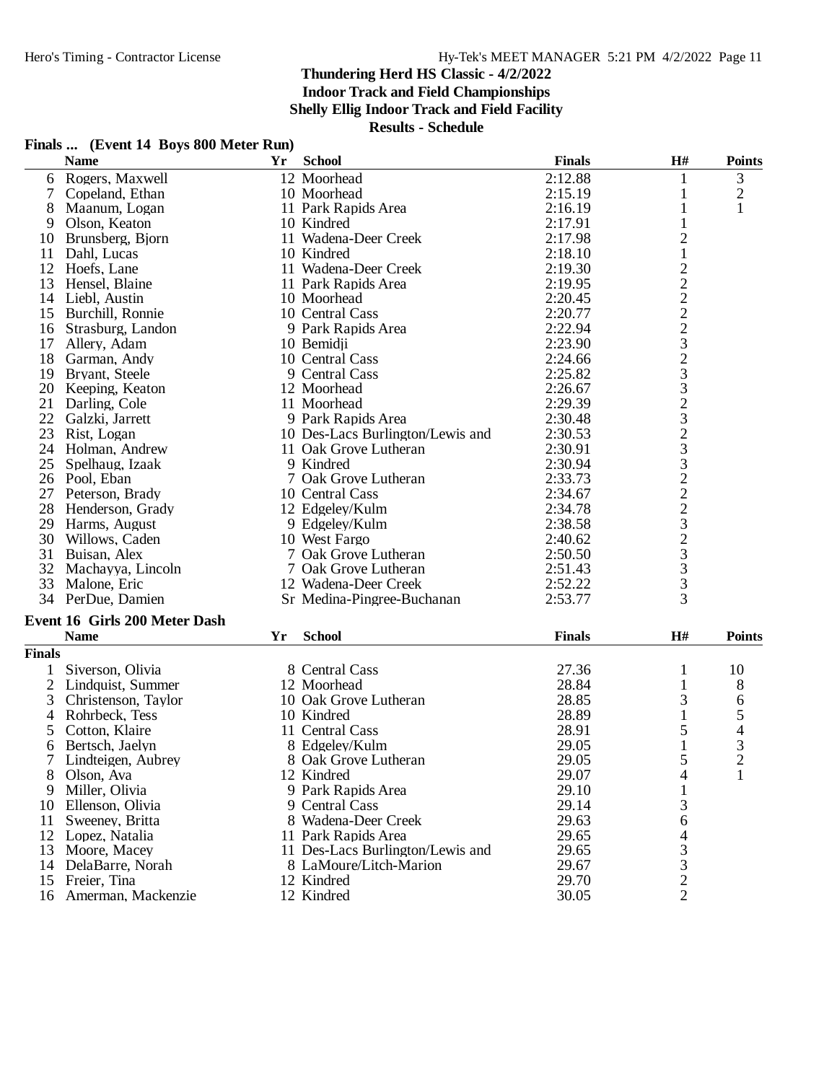**Indoor Track and Field Championships**

**Shelly Ellig Indoor Track and Field Facility**

**Results - Schedule**

## **Finals ... (Event 14 Boys 800 Meter Run)**

|                | <b>Name</b>                          | Yr | <b>School</b>                    | <b>Finals</b> | $\mathbf{H}^{\#}$                          | <b>Points</b>  |
|----------------|--------------------------------------|----|----------------------------------|---------------|--------------------------------------------|----------------|
|                | 6 Rogers, Maxwell                    |    | 12 Moorhead                      | 2:12.88       | 1                                          | 3              |
| 7              | Copeland, Ethan                      |    | 10 Moorhead                      | 2:15.19       | 1                                          | $\overline{c}$ |
| 8              | Maanum, Logan                        |    | 11 Park Rapids Area              | 2:16.19       | 1                                          | 1              |
| 9              | Olson, Keaton                        |    | 10 Kindred                       | 2:17.91       | 1                                          |                |
| 10             | Brunsberg, Bjorn                     |    | 11 Wadena-Deer Creek             | 2:17.98       | $\overline{\mathbf{c}}$                    |                |
| 11             | Dahl, Lucas                          |    | 10 Kindred                       | 2:18.10       | $\mathbf{1}$                               |                |
| 12             | Hoefs, Lane                          |    | 11 Wadena-Deer Creek             | 2:19.30       |                                            |                |
| 13             | Hensel, Blaine                       |    | 11 Park Rapids Area              | 2:19.95       |                                            |                |
| 14             | Liebl, Austin                        |    | 10 Moorhead                      | 2:20.45       |                                            |                |
| 15             | Burchill, Ronnie                     |    | 10 Central Cass                  | 2:20.77       |                                            |                |
| 16             | Strasburg, Landon                    |    | 9 Park Rapids Area               | 2:22.94       |                                            |                |
| 17             | Allery, Adam                         |    | 10 Bemidji                       | 2:23.90       |                                            |                |
| 18             | Garman, Andy                         |    | 10 Central Cass                  | 2:24.66       |                                            |                |
| 19             | Bryant, Steele                       |    | 9 Central Cass                   | 2:25.82       |                                            |                |
|                | 20 Keeping, Keaton                   |    | 12 Moorhead                      | 2:26.67       |                                            |                |
| 21             | Darling, Cole                        |    | 11 Moorhead                      | 2:29.39       |                                            |                |
| 22             | Galzki, Jarrett                      |    | 9 Park Rapids Area               | 2:30.48       |                                            |                |
| 23             | Rist, Logan                          |    | 10 Des-Lacs Burlington/Lewis and | 2:30.53       |                                            |                |
|                | 24 Holman, Andrew                    |    | 11 Oak Grove Lutheran            | 2:30.91       |                                            |                |
| 25             | Spelhaug, Izaak                      |    | 9 Kindred                        | 2:30.94       |                                            |                |
|                | 26 Pool, Eban                        |    | 7 Oak Grove Lutheran             | 2:33.73       |                                            |                |
|                | 27 Peterson, Brady                   |    | 10 Central Cass                  | 2:34.67       |                                            |                |
| 28             | Henderson, Grady                     |    | 12 Edgeley/Kulm                  | 2:34.78       |                                            |                |
| 29             | Harms, August                        |    | 9 Edgeley/Kulm                   | 2:38.58       |                                            |                |
|                | 30 Willows, Caden                    |    | 10 West Fargo                    | 2:40.62       |                                            |                |
| 31             | Buisan, Alex                         |    | 7 Oak Grove Lutheran             | 2:50.50       |                                            |                |
|                | 32 Machayya, Lincoln                 |    | 7 Oak Grove Lutheran             | 2:51.43       |                                            |                |
|                | 33 Malone, Eric                      |    | 12 Wadena-Deer Creek             | 2:52.22       |                                            |                |
|                | 34 PerDue, Damien                    |    | Sr Medina-Pingree-Buchanan       | 2:53.77       | 222223233233222323333                      |                |
|                |                                      |    |                                  |               |                                            |                |
|                | <b>Event 16 Girls 200 Meter Dash</b> |    |                                  |               |                                            |                |
|                | <b>Name</b>                          | Yr | <b>School</b>                    | <b>Finals</b> | H#                                         | <b>Points</b>  |
| <b>Finals</b>  |                                      |    |                                  |               |                                            |                |
| 1              | Siverson, Olivia                     |    | 8 Central Cass                   | 27.36         | $\mathbf{1}$                               | 10             |
| $\overline{2}$ | Lindquist, Summer                    |    | 12 Moorhead                      | 28.84         | 1                                          | 8              |
| 3              | Christenson, Taylor                  |    | 10 Oak Grove Lutheran            | 28.85         | 3                                          | 6              |
| 4              | Rohrbeck, Tess                       |    | 10 Kindred                       | 28.89         | 1                                          | 5              |
| 5              | Cotton, Klaire                       |    | 11 Central Cass                  | 28.91         | 5                                          | 4              |
| 6              | Bertsch, Jaelyn                      |    | 8 Edgeley/Kulm                   | 29.05         | $\mathbf{1}$                               | $\mathfrak{Z}$ |
| 7              | Lindteigen, Aubrey                   |    | 8 Oak Grove Lutheran             | 29.05         | 5                                          | $\overline{2}$ |
| 8              | Olson, Ava                           |    | 12 Kindred                       | 29.07         | 4                                          | $\mathbf{1}$   |
| 9              | Miller, Olivia                       |    | 9 Park Rapids Area               | 29.10         | 1                                          |                |
| 10             | Ellenson, Olivia                     |    | 9 Central Cass                   | 29.14         | 3                                          |                |
| 11             | Sweeney, Britta                      |    | 8 Wadena-Deer Creek              | 29.63         | 6                                          |                |
| 12             | Lopez, Natalia                       |    | 11 Park Rapids Area              | 29.65         | 4                                          |                |
| 13             | Moore, Macey                         |    | 11 Des-Lacs Burlington/Lewis and | 29.65         | $\begin{array}{c} 3 \\ 3 \\ 2 \end{array}$ |                |
| 14             | DelaBarre, Norah                     |    | 8 LaMoure/Litch-Marion           | 29.67         |                                            |                |
| 15             | Freier, Tina                         |    | 12 Kindred                       | 29.70         |                                            |                |
| 16             | Amerman, Mackenzie                   |    | 12 Kindred                       | 30.05         |                                            |                |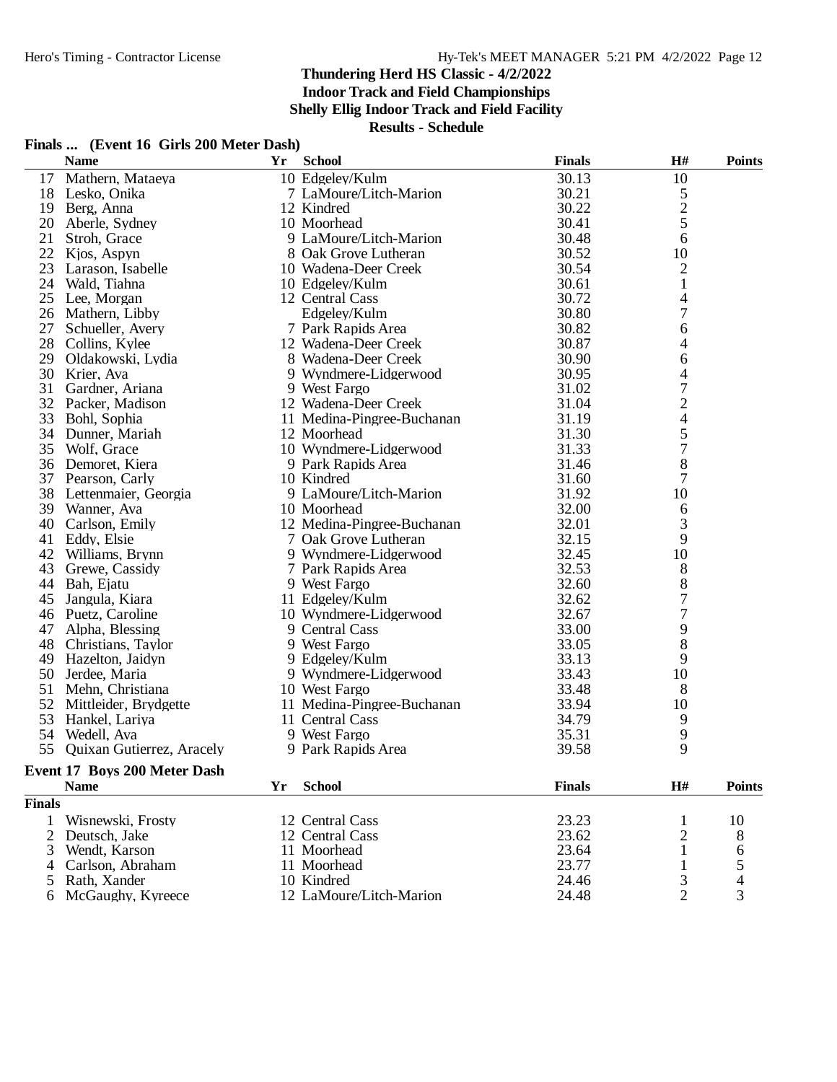**Indoor Track and Field Championships**

**Shelly Ellig Indoor Track and Field Facility**

| Finals  (Event 16 Girls 200 Meter Dash) |  |  |  |  |  |
|-----------------------------------------|--|--|--|--|--|
|-----------------------------------------|--|--|--|--|--|

|               | <b>Name</b>                  | Yr | <b>School</b>              | <b>Finals</b> | H#                      | <b>Points</b> |
|---------------|------------------------------|----|----------------------------|---------------|-------------------------|---------------|
| 17            | Mathern, Mataeya             |    | 10 Edgeley/Kulm            | 30.13         | 10                      |               |
| 18            | Lesko, Onika                 |    | 7 LaMoure/Litch-Marion     | 30.21         |                         |               |
| 19            | Berg, Anna                   |    | 12 Kindred                 | 30.22         | $\frac{5}{2}$           |               |
| 20            | Aberle, Sydney               |    | 10 Moorhead                | 30.41         |                         |               |
| 21            | Stroh, Grace                 |    | 9 LaMoure/Litch-Marion     | 30.48         | 6                       |               |
| 22            | Kjos, Aspyn                  |    | 8 Oak Grove Lutheran       | 30.52         | 10                      |               |
| 23            | Larason, Isabelle            |    | 10 Wadena-Deer Creek       | 30.54         | $\overline{c}$          |               |
| 24            | Wald, Tiahna                 |    | 10 Edgeley/Kulm            | 30.61         | $\mathbf{1}$            |               |
| 25            | Lee, Morgan                  |    | 12 Central Cass            | 30.72         | 4                       |               |
| 26            | Mathern, Libby               |    | Edgeley/Kulm               | 30.80         | 7                       |               |
| 27            | Schueller, Avery             |    | 7 Park Rapids Area         | 30.82         | 6                       |               |
| 28            | Collins, Kylee               |    | 12 Wadena-Deer Creek       | 30.87         | 4                       |               |
| 29            | Oldakowski, Lydia            |    | 8 Wadena-Deer Creek        | 30.90         | 6                       |               |
| 30            | Krier, Ava                   |    | 9 Wyndmere-Lidgerwood      | 30.95         | 4                       |               |
| 31            | Gardner, Ariana              |    | 9 West Fargo               | 31.02         | $\overline{7}$          |               |
| 32            | Packer, Madison              |    | 12 Wadena-Deer Creek       | 31.04         | $\overline{\mathbf{c}}$ |               |
| 33            | Bohl, Sophia                 |    | 11 Medina-Pingree-Buchanan | 31.19         | 4                       |               |
| 34            | Dunner, Mariah               |    | 12 Moorhead                | 31.30         | 5                       |               |
| 35            | Wolf, Grace                  |    | 10 Wyndmere-Lidgerwood     | 31.33         | $\overline{7}$          |               |
| 36            | Demoret, Kiera               |    | 9 Park Rapids Area         | 31.46         | 8                       |               |
| 37            | Pearson, Carly               |    | 10 Kindred                 | 31.60         | 7                       |               |
| 38            | Lettenmaier, Georgia         |    | 9 LaMoure/Litch-Marion     | 31.92         | 10                      |               |
| 39            | Wanner, Ava                  |    | 10 Moorhead                | 32.00         | 6                       |               |
| 40            | Carlson, Emily               |    | 12 Medina-Pingree-Buchanan | 32.01         | 3                       |               |
| 41            | Eddy, Elsie                  |    | 7 Oak Grove Lutheran       | 32.15         | 9                       |               |
|               | 42 Williams, Brynn           |    | 9 Wyndmere-Lidgerwood      | 32.45         | 10                      |               |
| 43            | Grewe, Cassidy               |    | 7 Park Rapids Area         | 32.53         | $8\,$                   |               |
|               | 44 Bah, Ejatu                |    | 9 West Fargo               | 32.60         | $\,8\,$                 |               |
| 45            | Jangula, Kiara               |    | 11 Edgeley/Kulm            | 32.62         | $\overline{7}$          |               |
| 46            | Puetz, Caroline              |    | 10 Wyndmere-Lidgerwood     | 32.67         | 7                       |               |
| 47            | Alpha, Blessing              |    | 9 Central Cass             | 33.00         | 9                       |               |
| 48            | Christians, Taylor           |    | 9 West Fargo               | 33.05         | 8                       |               |
| 49            | Hazelton, Jaidyn             |    | 9 Edgeley/Kulm             | 33.13         | 9                       |               |
|               | 50 Jerdee, Maria             |    | 9 Wyndmere-Lidgerwood      | 33.43         | 10                      |               |
| 51            | Mehn, Christiana             |    | 10 West Fargo              | 33.48         | 8                       |               |
| 52            | Mittleider, Brydgette        |    | 11 Medina-Pingree-Buchanan | 33.94         | 10                      |               |
| 53            | Hankel, Lariya               |    | 11 Central Cass            | 34.79         | 9                       |               |
| 54            | Wedell, Ava                  |    | 9 West Fargo               | 35.31         | 9                       |               |
| 55            | Quixan Gutierrez, Aracely    |    | 9 Park Rapids Area         | 39.58         | 9                       |               |
|               | Event 17 Boys 200 Meter Dash |    |                            |               |                         |               |
|               | <b>Name</b>                  | Yr | <b>School</b>              | <b>Finals</b> | H#                      | <b>Points</b> |
| <b>Finals</b> |                              |    |                            |               |                         |               |
|               | Wisnewski, Frosty            |    | 12 Central Cass            | 23.23         | 1                       | 10            |

| . |                     |                         |       |    |
|---|---------------------|-------------------------|-------|----|
|   | 1 Wisnewski, Frosty | 12 Central Cass         | 23.23 | 10 |
|   | 2 Deutsch, Jake     | 12 Central Cass         | 23.62 |    |
|   | 3 Wendt, Karson     | 11 Moorhead             | 23.64 |    |
|   | 4 Carlson, Abraham  | 11 Moorhead             | 23.77 |    |
|   | 5 Rath, Xander      | 10 Kindred              | 24.46 |    |
|   | 6 McGaughy, Kyreece | 12 LaMoure/Litch-Marion | 24.48 |    |
|   |                     |                         |       |    |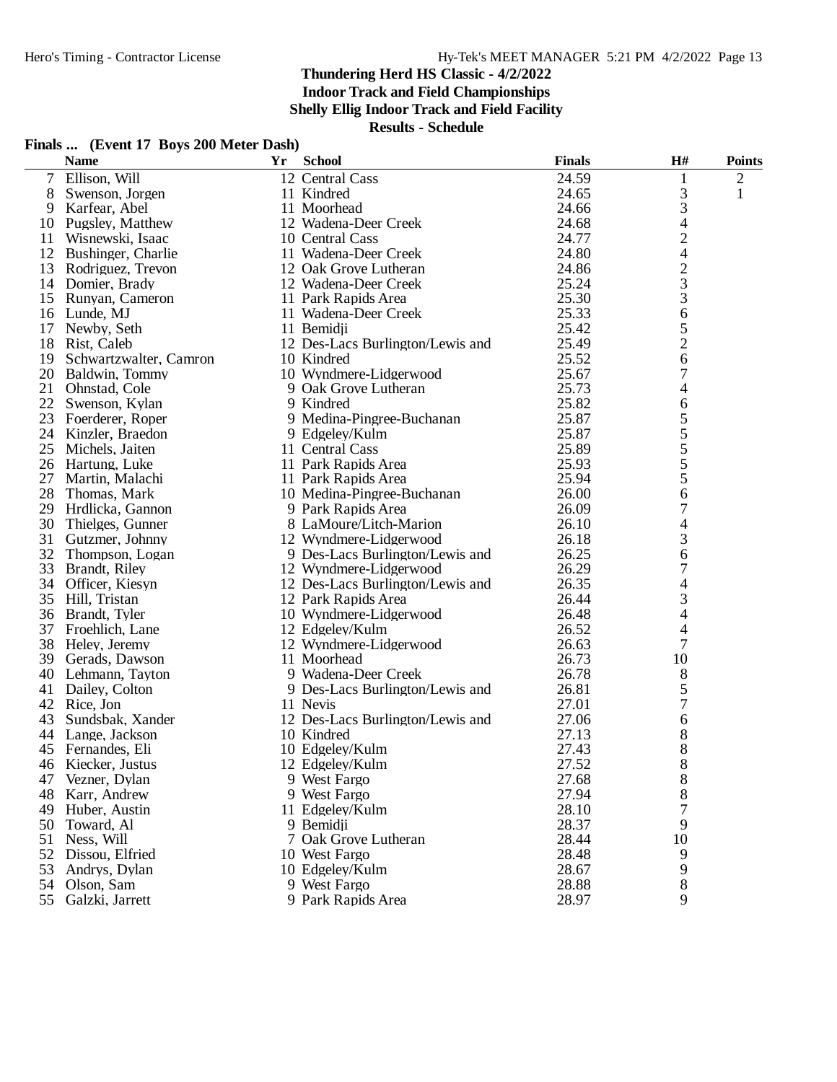**Indoor Track and Field Championships**

**Shelly Ellig Indoor Track and Field Facility**

|  |  | Finals  (Event 17 Boys 200 Meter Dash) |  |  |  |
|--|--|----------------------------------------|--|--|--|
|--|--|----------------------------------------|--|--|--|

|        | <b>Name</b>            | Yr | <b>School</b>                    | <b>Finals</b> | H#                       | <b>Points</b>  |
|--------|------------------------|----|----------------------------------|---------------|--------------------------|----------------|
| $\tau$ | Ellison, Will          |    | 12 Central Cass                  | 24.59         | 1                        | $\overline{2}$ |
| 8      | Swenson, Jorgen        |    | 11 Kindred                       | 24.65         | 3                        | 1              |
| 9      | Karfear, Abel          |    | 11 Moorhead                      | 24.66         | 3                        |                |
| 10     | Pugsley, Matthew       |    | 12 Wadena-Deer Creek             | 24.68         | 4                        |                |
| 11     | Wisnewski, Isaac       |    | 10 Central Cass                  | 24.77         | $\overline{c}$           |                |
| 12     | Bushinger, Charlie     |    | 11 Wadena-Deer Creek             | 24.80         | $\overline{4}$           |                |
| 13     | Rodriguez, Trevon      |    | 12 Oak Grove Lutheran            | 24.86         | $\overline{c}$           |                |
|        | 14 Domier, Brady       |    | 12 Wadena-Deer Creek             | 25.24         | 3                        |                |
|        | 15 Runyan, Cameron     |    | 11 Park Rapids Area              | 25.30         | 3                        |                |
| 16     | Lunde, MJ              |    | 11 Wadena-Deer Creek             | 25.33         | 6                        |                |
| 17     | Newby, Seth            |    | 11 Bemidji                       | 25.42         | 5                        |                |
| 18     | Rist, Caleb            |    | 12 Des-Lacs Burlington/Lewis and | 25.49         | $\overline{c}$           |                |
| 19     | Schwartzwalter, Camron |    | 10 Kindred                       | 25.52         | 6                        |                |
| 20     | Baldwin, Tommy         |    | 10 Wyndmere-Lidgerwood           | 25.67         | 7                        |                |
| 21     | Ohnstad, Cole          |    | 9 Oak Grove Lutheran             | 25.73         | 4                        |                |
| 22     | Swenson, Kylan         |    | 9 Kindred                        | 25.82         | 6                        |                |
| 23     | Foerderer, Roper       |    | 9 Medina-Pingree-Buchanan        | 25.87         | 5                        |                |
| 24     | Kinzler, Braedon       |    | 9 Edgeley/Kulm                   | 25.87         | 5                        |                |
| 25     | Michels, Jaiten        |    | 11 Central Cass                  | 25.89         | 5                        |                |
|        | 26 Hartung, Luke       |    | 11 Park Rapids Area              | 25.93         | 5                        |                |
| 27     | Martin, Malachi        |    | 11 Park Rapids Area              | 25.94         | 5                        |                |
| 28     | Thomas, Mark           |    | 10 Medina-Pingree-Buchanan       | 26.00         | 6                        |                |
| 29     | Hrdlicka, Gannon       |    | 9 Park Rapids Area               | 26.09         | 7                        |                |
| 30     | Thielges, Gunner       |    | 8 LaMoure/Litch-Marion           | 26.10         | $\overline{4}$           |                |
| 31     | Gutzmer, Johnny        |    | 12 Wyndmere-Lidgerwood           | 26.18         | 3                        |                |
| 32     | Thompson, Logan        |    | 9 Des-Lacs Burlington/Lewis and  | 26.25         | 6                        |                |
| 33     | Brandt, Riley          |    | 12 Wyndmere-Lidgerwood           | 26.29         | 7                        |                |
|        | 34 Officer, Kiesyn     |    | 12 Des-Lacs Burlington/Lewis and | 26.35         | 4                        |                |
| 35     | Hill, Tristan          |    | 12 Park Rapids Area              | 26.44         | 3                        |                |
| 36     | Brandt, Tyler          |    | 10 Wyndmere-Lidgerwood           | 26.48         | $\overline{4}$           |                |
| 37     | Froehlich, Lane        |    | 12 Edgeley/Kulm                  | 26.52         | $\overline{\mathcal{A}}$ |                |
| 38     | Heley, Jeremy          |    | 12 Wyndmere-Lidgerwood           | 26.63         | 7                        |                |
|        | 39 Gerads, Dawson      |    | 11 Moorhead                      | 26.73         | 10                       |                |
| 40     | Lehmann, Tayton        |    | 9 Wadena-Deer Creek              | 26.78         | 8                        |                |
| 41     | Dailey, Colton         |    | 9 Des-Lacs Burlington/Lewis and  | 26.81         | 5                        |                |
| 42     | Rice, Jon              |    | 11 Nevis                         | 27.01         | 7                        |                |
| 43     | Sundsbak, Xander       |    | 12 Des-Lacs Burlington/Lewis and | 27.06         | 6                        |                |
| 44     | Lange, Jackson         |    | 10 Kindred                       | 27.13         | 8                        |                |
|        | 45 Fernandes, Eli      |    | 10 Edgeley/Kulm                  | 27.43         | 8                        |                |
|        | 46 Kiecker, Justus     |    | 12 Edgeley/Kulm                  | 27.52         | 8                        |                |
| 47     | Vezner, Dylan          |    | 9 West Fargo                     | 27.68         | 8                        |                |
| 48     | Karr, Andrew           |    | 9 West Fargo                     | 27.94         | 8                        |                |
| 49     | Huber, Austin          |    | 11 Edgeley/Kulm                  | 28.10         | 7                        |                |
| 50     | Toward, Al             |    | 9 Bemidii                        | 28.37         | 9                        |                |
| 51     | Ness, Will             |    | 7 Oak Grove Lutheran             | 28.44         | 10                       |                |
|        | 52 Dissou, Elfried     |    | 10 West Fargo                    | 28.48         | 9                        |                |
| 53     | Andrys, Dylan          |    | 10 Edgeley/Kulm                  | 28.67         | 9                        |                |
| 54     | Olson, Sam             |    | 9 West Fargo                     | 28.88         | 8                        |                |
|        | 55 Galzki, Jarrett     |    | 9 Park Rapids Area               | 28.97         | 9                        |                |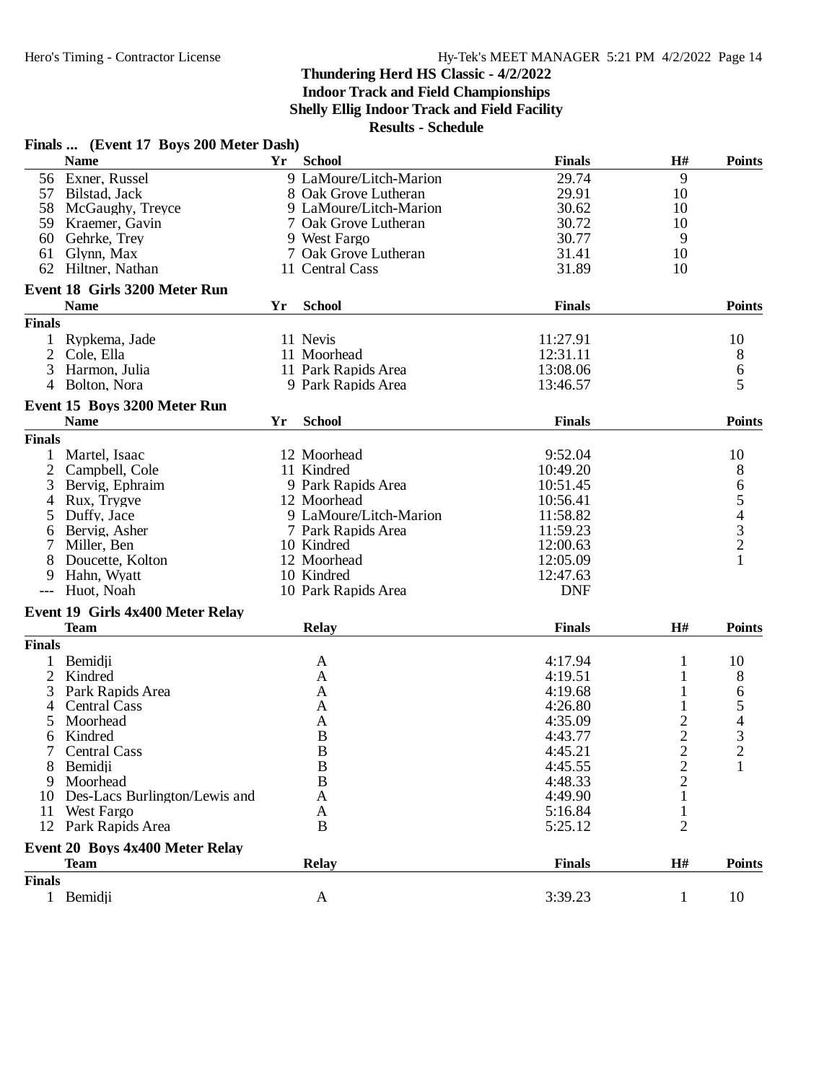**Indoor Track and Field Championships**

**Shelly Ellig Indoor Track and Field Facility**

|                | Finals  (Event 17 Boys 200 Meter Dash) |    |                        |               |                |                                       |
|----------------|----------------------------------------|----|------------------------|---------------|----------------|---------------------------------------|
|                | <b>Name</b>                            | Yr | <b>School</b>          | <b>Finals</b> | H#             | <b>Points</b>                         |
|                | 56 Exner, Russel                       |    | 9 LaMoure/Litch-Marion | 29.74         | 9              |                                       |
|                | 57 Bilstad, Jack                       |    | 8 Oak Grove Lutheran   | 29.91         | 10             |                                       |
|                | 58 McGaughy, Treyce                    |    | 9 LaMoure/Litch-Marion | 30.62         | 10             |                                       |
|                | 59 Kraemer, Gavin                      |    | 7 Oak Grove Lutheran   | 30.72         | 10             |                                       |
| 60             | Gehrke, Trey                           |    | 9 West Fargo           | 30.77         | 9              |                                       |
| 61             | Glynn, Max                             |    | 7 Oak Grove Lutheran   | 31.41         | 10             |                                       |
| 62             | Hiltner, Nathan                        |    | 11 Central Cass        | 31.89         | 10             |                                       |
|                | Event 18 Girls 3200 Meter Run          |    |                        |               |                |                                       |
|                | <b>Name</b>                            | Yr | <b>School</b>          | <b>Finals</b> |                | <b>Points</b>                         |
| <b>Finals</b>  |                                        |    |                        |               |                |                                       |
|                |                                        |    |                        |               |                |                                       |
|                | 1 Rypkema, Jade                        |    | 11 Nevis               | 11:27.91      |                | 10                                    |
|                | 2 Cole, Ella                           |    | 11 Moorhead            | 12:31.11      |                | 8                                     |
| 3              | Harmon, Julia                          |    | 11 Park Rapids Area    | 13:08.06      |                | $\begin{array}{c} 6 \\ 5 \end{array}$ |
| $\overline{4}$ | Bolton, Nora                           |    | 9 Park Rapids Area     | 13:46.57      |                |                                       |
|                | Event 15 Boys 3200 Meter Run           |    |                        |               |                |                                       |
|                | <b>Name</b>                            | Yr | <b>School</b>          | <b>Finals</b> |                | <b>Points</b>                         |
| <b>Finals</b>  |                                        |    |                        |               |                |                                       |
| $\mathbf{1}$   | Martel, Isaac                          |    | 12 Moorhead            | 9:52.04       |                | 10                                    |
| 2              | Campbell, Cole                         |    | 11 Kindred             | 10:49.20      |                | 8                                     |
| 3              | Bervig, Ephraim                        |    | 9 Park Rapids Area     | 10:51.45      |                |                                       |
| 4              | Rux, Trygve                            |    | 12 Moorhead            | 10:56.41      |                | 65432                                 |
| 5              | Duffy, Jace                            |    | 9 LaMoure/Litch-Marion | 11:58.82      |                |                                       |
| 6              | Bervig, Asher                          |    | 7 Park Rapids Area     | 11:59.23      |                |                                       |
| 7              | Miller, Ben                            |    | 10 Kindred             | 12:00.63      |                |                                       |
| 8              | Doucette, Kolton                       |    | 12 Moorhead            | 12:05.09      |                | $\mathbf{1}$                          |
| 9              | Hahn, Wyatt                            |    | 10 Kindred             | 12:47.63      |                |                                       |
| $---$          | Huot, Noah                             |    | 10 Park Rapids Area    | <b>DNF</b>    |                |                                       |
|                |                                        |    |                        |               |                |                                       |
|                | Event 19 Girls 4x400 Meter Relay       |    |                        |               |                |                                       |
|                | <b>Team</b>                            |    | <b>Relay</b>           | <b>Finals</b> | H#             | <b>Points</b>                         |
| <b>Finals</b>  |                                        |    |                        |               |                |                                       |
| 1              | Bemidji                                |    | A                      | 4:17.94       | $\mathbf{1}$   | 10                                    |
| $\overline{2}$ | Kindred                                |    | A                      | 4:19.51       | $\mathbf{1}$   | 8                                     |
| 3              | Park Rapids Area                       |    | A                      | 4:19.68       | $\mathbf{1}$   | 6                                     |
| 4              | <b>Central Cass</b>                    |    | A                      | 4:26.80       |                | $\frac{5}{4}$                         |
| 5              | Moorhead                               |    | A                      | 4:35.09       | $\overline{c}$ |                                       |
| 6              | Kindred                                |    | $\bf{B}$               | 4:43.77       | $\overline{2}$ |                                       |
| 7              | Central Cass                           |    | $\, {\bf B}$           | 4:45.21       | $\overline{c}$ | $\boldsymbol{2}$                      |
| 8              | Bemidji                                |    | B                      | 4:45.55       | $\overline{c}$ | 1                                     |
| 9              | Moorhead                               |    | B                      | 4:48.33       | $\overline{2}$ |                                       |
| 10             | Des-Lacs Burlington/Lewis and          |    | A                      | 4:49.90       |                |                                       |
| 11             | <b>West Fargo</b>                      |    | A                      | 5:16.84       | 1              |                                       |
|                | 12 Park Rapids Area                    |    | B                      | 5:25.12       | $\overline{2}$ |                                       |
|                | Event 20 Boys 4x400 Meter Relay        |    |                        |               |                |                                       |
|                | <b>Team</b>                            |    | <b>Relay</b>           | <b>Finals</b> | H#             | <b>Points</b>                         |
| <b>Finals</b>  |                                        |    |                        |               |                |                                       |
|                | 1 Bemidji                              |    | A                      | 3:39.23       | $\mathbf{1}$   | 10                                    |
|                |                                        |    |                        |               |                |                                       |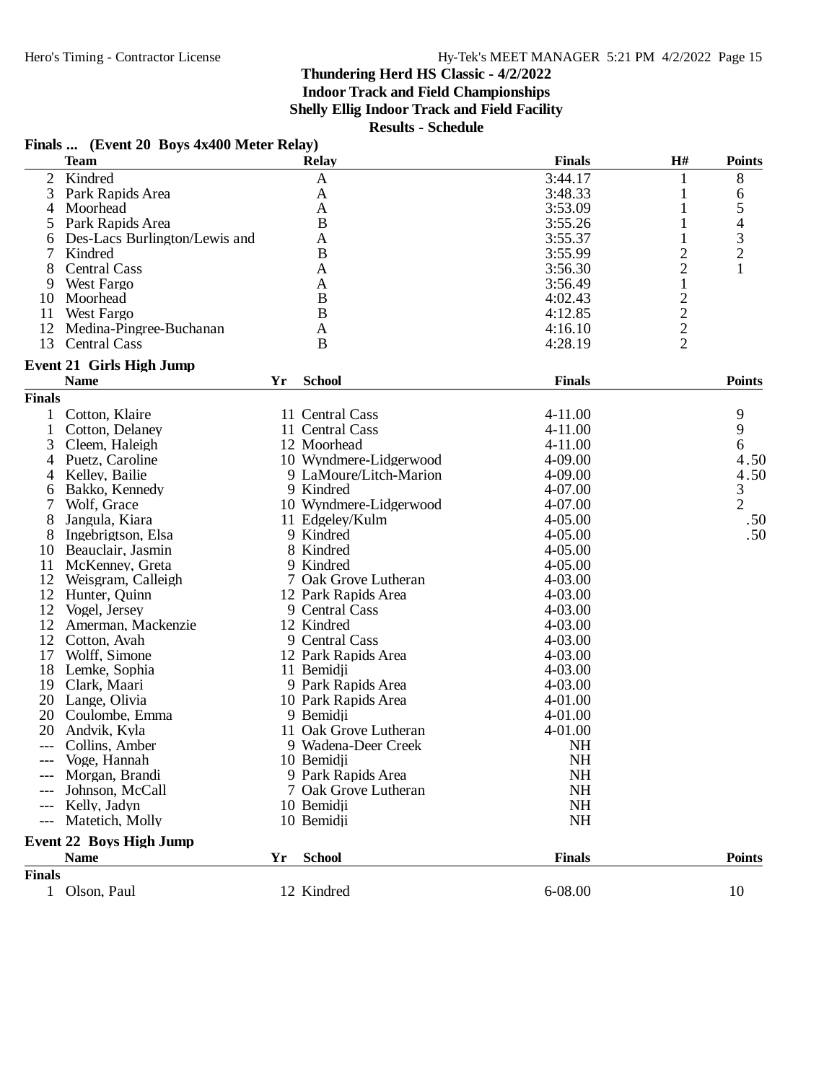## **Finals ... (Event 20 Boys 4x400 Meter Relay)**

|                | <b>Team</b>                    |    | <b>Relay</b>           | <b>Finals</b> | $\mathbf{H}$ #                             | <b>Points</b>  |
|----------------|--------------------------------|----|------------------------|---------------|--------------------------------------------|----------------|
| $\overline{2}$ | Kindred                        |    | $\mathbf{A}$           | 3:44.17       |                                            | 8              |
| 3              | Park Rapids Area               |    | A                      | 3:48.33       | 1                                          | 6              |
| 4              | Moorhead                       |    | A                      | 3:53.09       |                                            | 5              |
| 5              | Park Rapids Area               |    | $\bf{B}$               | 3:55.26       |                                            | 4              |
| 6              | Des-Lacs Burlington/Lewis and  |    | A                      | 3:55.37       |                                            |                |
| 7              | Kindred                        |    | $\bf{B}$               | 3:55.99       | 2                                          | $\frac{3}{2}$  |
| 8              | <b>Central Cass</b>            |    | A                      | 3:56.30       | $\overline{2}$                             | 1              |
| 9              | <b>West Fargo</b>              |    | A                      | 3:56.49       | $\mathbf{1}$                               |                |
| 10             | Moorhead                       |    | B                      | 4:02.43       |                                            |                |
| 11             | West Fargo                     |    | $\bf{B}$               | 4:12.85       | $\begin{array}{c} 2 \\ 2 \\ 2 \end{array}$ |                |
| 12             | Medina-Pingree-Buchanan        |    | A                      | 4:16.10       |                                            |                |
| 13             | <b>Central Cass</b>            |    | B                      | 4:28.19       |                                            |                |
|                | Event 21 Girls High Jump       |    |                        |               |                                            |                |
|                | <b>Name</b>                    | Yr | <b>School</b>          | <b>Finals</b> |                                            | <b>Points</b>  |
| <b>Finals</b>  |                                |    |                        |               |                                            |                |
| 1              | Cotton, Klaire                 |    | 11 Central Cass        | 4-11.00       |                                            | 9              |
| $\mathbf{1}$   | Cotton, Delaney                |    | 11 Central Cass        | 4-11.00       |                                            | 9              |
| 3              | Cleem, Haleigh                 |    | 12 Moorhead            | $4 - 11.00$   |                                            | 6              |
| 4              | Puetz, Caroline                |    | 10 Wyndmere-Lidgerwood | 4-09.00       |                                            | 4.50           |
| 4              | Kelley, Bailie                 |    | 9 LaMoure/Litch-Marion | 4-09.00       |                                            | 4.50           |
| 6              | Bakko, Kennedy                 |    | 9 Kindred              | 4-07.00       |                                            | 3              |
| 7              | Wolf, Grace                    |    | 10 Wyndmere-Lidgerwood | 4-07.00       |                                            | $\overline{2}$ |
| 8              | Jangula, Kiara                 |    | 11 Edgeley/Kulm        | $4 - 05.00$   |                                            | .50            |
| 8              | Ingebrigtson, Elsa             |    | 9 Kindred              | $4 - 05.00$   |                                            | .50            |
| 10             | Beauclair, Jasmin              |    | 8 Kindred              | $4 - 05.00$   |                                            |                |
| 11             | McKenney, Greta                |    | 9 Kindred              | $4 - 05.00$   |                                            |                |
| 12             | Weisgram, Calleigh             |    | 7 Oak Grove Lutheran   | 4-03.00       |                                            |                |
| 12             | Hunter, Quinn                  |    | 12 Park Rapids Area    | 4-03.00       |                                            |                |
| 12             | Vogel, Jersey                  |    | 9 Central Cass         | 4-03.00       |                                            |                |
| 12             | Amerman, Mackenzie             |    | 12 Kindred             | 4-03.00       |                                            |                |
| 12             | Cotton, Avah                   |    | 9 Central Cass         | $4 - 03.00$   |                                            |                |
| 17             | Wolff, Simone                  |    | 12 Park Rapids Area    | 4-03.00       |                                            |                |
| 18             | Lemke, Sophia                  |    | 11 Bemidji             | 4-03.00       |                                            |                |
| 19             | Clark, Maari                   |    | 9 Park Rapids Area     | 4-03.00       |                                            |                |
| 20             | Lange, Olivia                  |    | 10 Park Rapids Area    | 4-01.00       |                                            |                |
| 20             | Coulombe, Emma                 |    | 9 Bemidji              | 4-01.00       |                                            |                |
| 20             | Andvik, Kyla                   |    | 11 Oak Grove Lutheran  | 4-01.00       |                                            |                |
| $---$          | Collins, Amber                 |    | 9 Wadena-Deer Creek    | <b>NH</b>     |                                            |                |
| $---$          | Voge, Hannah                   |    | 10 Bemidji             | <b>NH</b>     |                                            |                |
|                | Morgan, Brandi                 |    | 9 Park Rapids Area     | <b>NH</b>     |                                            |                |
|                | Johnson, McCall                |    | 7 Oak Grove Lutheran   | NH            |                                            |                |
| $---$          | Kelly, Jadyn                   |    | 10 Bemidji             | <b>NH</b>     |                                            |                |
| $---$          | Matetich, Molly                |    | 10 Bemidji             | <b>NH</b>     |                                            |                |
|                | <b>Event 22 Boys High Jump</b> |    |                        |               |                                            |                |
|                | <b>Name</b>                    | Yr | <b>School</b>          | <b>Finals</b> |                                            | <b>Points</b>  |
| <b>Finals</b>  |                                |    |                        |               |                                            |                |
|                | 1 Olson, Paul                  |    | 12 Kindred             | 6-08.00       |                                            | 10             |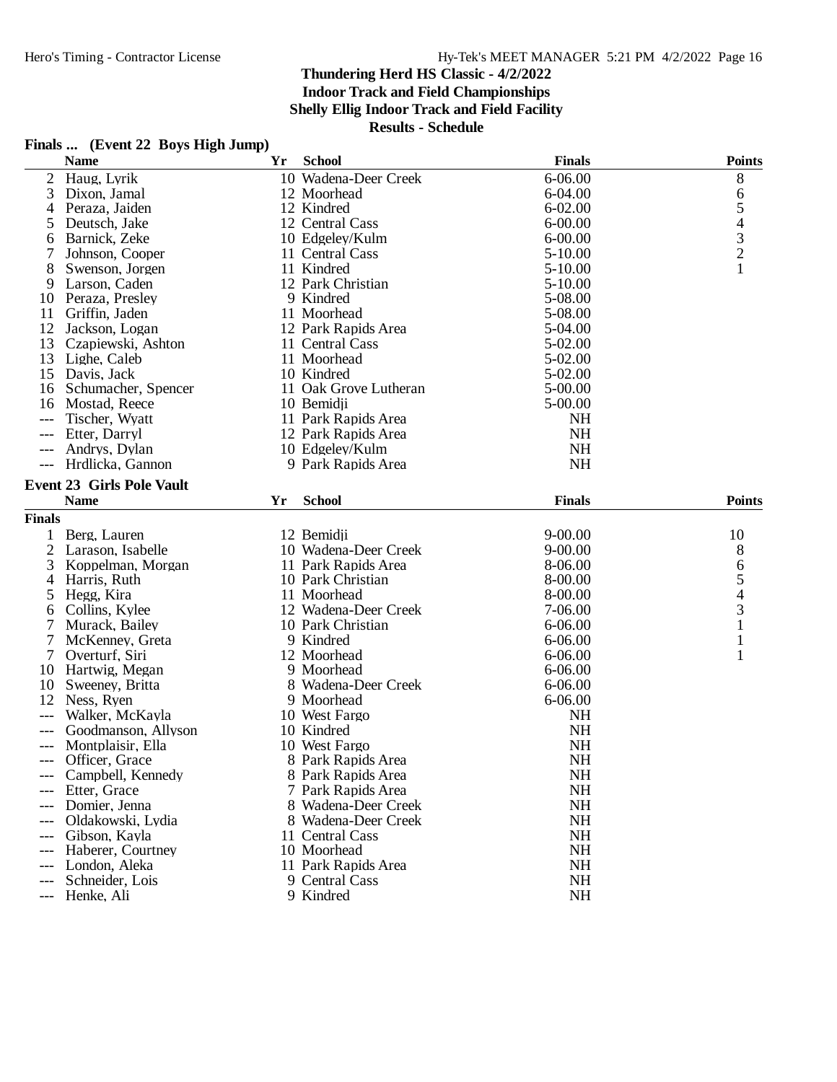## **Finals ... (Event 22 Boys High Jump)**

|                | <b>Name</b>                      | Yr | <b>School</b>         | <b>Finals</b> | <b>Points</b> |
|----------------|----------------------------------|----|-----------------------|---------------|---------------|
| $\overline{2}$ | Haug, Lyrik                      |    | 10 Wadena-Deer Creek  | 6-06.00       | $8\,$         |
| 3              | Dixon, Jamal                     |    | 12 Moorhead           | 6-04.00       | 6             |
| 4              | Peraza, Jaiden                   |    | 12 Kindred            | $6 - 02.00$   | 5             |
| 5              | Deutsch, Jake                    |    | 12 Central Cass       | $6 - 00.00$   |               |
| 6              | Barnick, Zeke                    |    | 10 Edgeley/Kulm       | $6 - 00.00$   | $\frac{4}{3}$ |
| 7              | Johnson, Cooper                  |    | 11 Central Cass       | $5 - 10.00$   |               |
| 8              | Swenson, Jorgen                  |    | 11 Kindred            | $5-10.00$     | $\mathbf{1}$  |
| 9              | Larson, Caden                    |    | 12 Park Christian     | $5 - 10.00$   |               |
| 10             | Peraza, Presley                  |    | 9 Kindred             | 5-08.00       |               |
| 11             | Griffin, Jaden                   |    | 11 Moorhead           | 5-08.00       |               |
| 12             | Jackson, Logan                   |    | 12 Park Rapids Area   | 5-04.00       |               |
| 13             | Czapiewski, Ashton               |    | 11 Central Cass       | 5-02.00       |               |
| 13             | Lighe, Caleb                     |    | 11 Moorhead           | 5-02.00       |               |
| 15             | Davis, Jack                      |    | 10 Kindred            | 5-02.00       |               |
| 16             | Schumacher, Spencer              |    | 11 Oak Grove Lutheran | 5-00.00       |               |
| 16             | Mostad, Reece                    |    | 10 Bemidji            | 5-00.00       |               |
|                |                                  |    |                       |               |               |
| $---$          | Tischer, Wyatt                   |    | 11 Park Rapids Area   | <b>NH</b>     |               |
| ---            | Etter, Darryl                    |    | 12 Park Rapids Area   | NH            |               |
| ---            | Andrys, Dylan                    |    | 10 Edgeley/Kulm       | NH            |               |
| $---$          | Hrdlicka, Gannon                 |    | 9 Park Rapids Area    | NH            |               |
|                | <b>Event 23 Girls Pole Vault</b> |    |                       |               |               |
|                | <b>Name</b>                      | Yr | <b>School</b>         | <b>Finals</b> | <b>Points</b> |
| <b>Finals</b>  |                                  |    |                       |               |               |
| $\mathbf{1}$   | Berg, Lauren                     |    | 12 Bemidji            | $9 - 00.00$   | 10            |
| 2              | Larason, Isabelle                |    | 10 Wadena-Deer Creek  | $9 - 00.00$   | 8             |
| 3              | Koppelman, Morgan                |    | 11 Park Rapids Area   | 8-06.00       | 6             |
| 4              | Harris, Ruth                     |    | 10 Park Christian     | 8-00.00       | 5             |
| 5              | Hegg, Kira                       |    | 11 Moorhead           | 8-00.00       | 4             |
| 6              | Collins, Kylee                   |    | 12 Wadena-Deer Creek  | 7-06.00       | 3             |
| 7              | Murack, Bailey                   |    | 10 Park Christian     | 6-06.00       | 1             |
| 7              | McKenney, Greta                  |    | 9 Kindred             | $6 - 06.00$   | 1             |
| 7              | Overturf, Siri                   |    | 12 Moorhead           | 6-06.00       | 1             |
| 10             | Hartwig, Megan                   |    | 9 Moorhead            | $6 - 06.00$   |               |
| 10             | Sweeney, Britta                  |    | 8 Wadena-Deer Creek   | 6-06.00       |               |
| 12             | Ness, Ryen                       |    | 9 Moorhead            | 6-06.00       |               |
| ---            | Walker, McKayla                  |    | 10 West Fargo         | <b>NH</b>     |               |
|                | Goodmanson, Allyson              |    | 10 Kindred            | <b>NH</b>     |               |
| ---            | Montplaisir, Ella                |    | 10 West Fargo         | <b>NH</b>     |               |
|                | Officer, Grace                   |    |                       | <b>NH</b>     |               |
| $---$          |                                  |    | 8 Park Rapids Area    |               |               |
|                | Campbell, Kennedy                |    | 8 Park Rapids Area    | NH            |               |
|                | Etter, Grace                     |    | 7 Park Rapids Area    | NH            |               |
| ---            | Domier, Jenna                    |    | 8 Wadena-Deer Creek   | <b>NH</b>     |               |
| $---$          | Oldakowski, Lydia                |    | 8 Wadena-Deer Creek   | <b>NH</b>     |               |
| $---$          | Gibson, Kayla                    |    | 11 Central Cass       | <b>NH</b>     |               |
| ---            | Haberer, Courtney                |    | 10 Moorhead           | <b>NH</b>     |               |
| $---$          | London, Aleka                    |    | 11 Park Rapids Area   | <b>NH</b>     |               |
| $---$          | Schneider, Lois                  |    | 9 Central Cass        | <b>NH</b>     |               |
| $---$          | Henke, Ali                       |    | 9 Kindred             | NH            |               |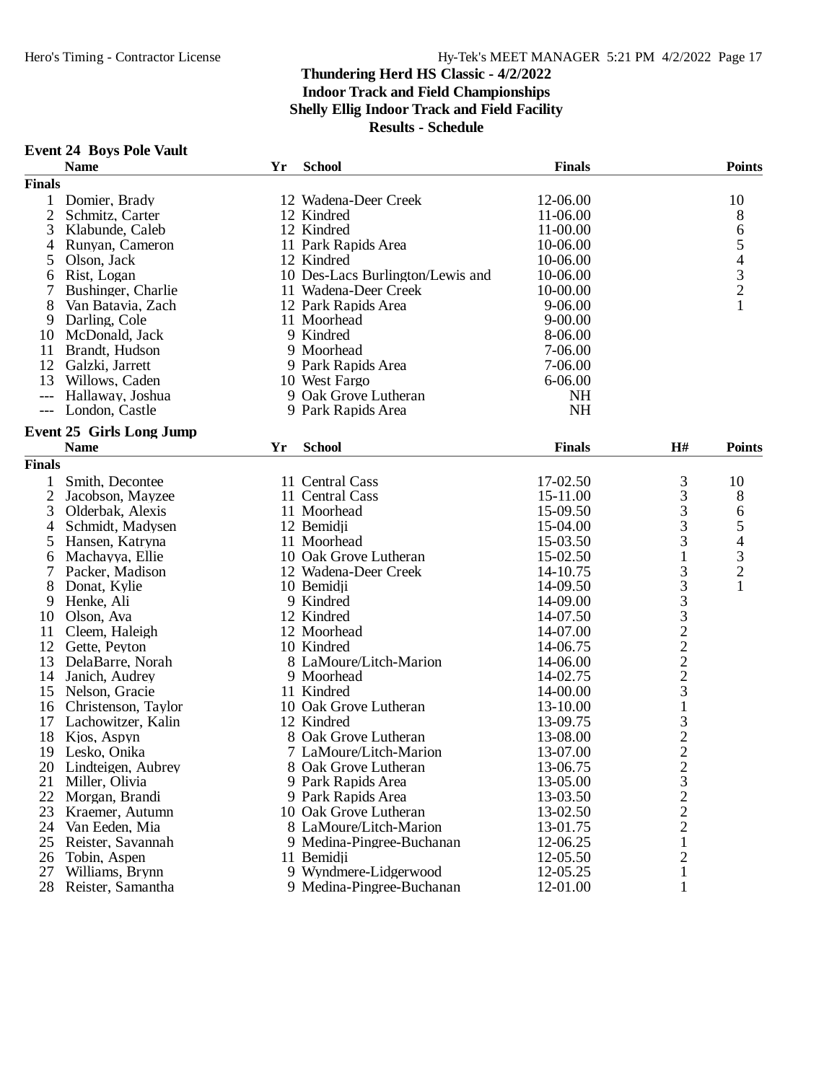### **Event 24 Boys Pole Vault**

|                | <b>Name</b>                     | Yr | <b>School</b>                    | <b>Finals</b> |                | <b>Points</b>            |
|----------------|---------------------------------|----|----------------------------------|---------------|----------------|--------------------------|
| <b>Finals</b>  |                                 |    |                                  |               |                |                          |
| 1              | Domier, Brady                   |    | 12 Wadena-Deer Creek             | 12-06.00      |                | 10                       |
| $\overline{2}$ | Schmitz, Carter                 |    | 12 Kindred                       | 11-06.00      |                | 8                        |
| 3              | Klabunde, Caleb                 |    | 12 Kindred                       | 11-00.00      |                | 6                        |
| 4              | Runyan, Cameron                 |    | 11 Park Rapids Area              | 10-06.00      |                | 5                        |
| 5              | Olson, Jack                     |    | 12 Kindred                       | 10-06.00      |                | $\overline{\mathcal{A}}$ |
| 6              | Rist, Logan                     |    | 10 Des-Lacs Burlington/Lewis and | 10-06.00      |                | 3                        |
|                | Bushinger, Charlie              |    | 11 Wadena-Deer Creek             | 10-00.00      |                | $\overline{c}$           |
| 8              | Van Batavia, Zach               |    | 12 Park Rapids Area              | 9-06.00       |                | 1                        |
| 9              | Darling, Cole                   |    | 11 Moorhead                      | $9 - 00.00$   |                |                          |
| 10             | McDonald, Jack                  |    | 9 Kindred                        | 8-06.00       |                |                          |
|                |                                 |    | 9 Moorhead                       | 7-06.00       |                |                          |
| 11<br>12       | Brandt, Hudson                  |    |                                  |               |                |                          |
|                | Galzki, Jarrett                 |    | 9 Park Rapids Area               | 7-06.00       |                |                          |
| 13             | Willows, Caden                  |    | 10 West Fargo                    | 6-06.00       |                |                          |
|                | Hallaway, Joshua                |    | 9 Oak Grove Lutheran             | <b>NH</b>     |                |                          |
| $---$          | London, Castle                  |    | 9 Park Rapids Area               | NH            |                |                          |
|                | <b>Event 25 Girls Long Jump</b> |    |                                  |               |                |                          |
|                | <b>Name</b>                     | Yr | <b>School</b>                    | <b>Finals</b> | H#             | <b>Points</b>            |
| <b>Finals</b>  |                                 |    |                                  |               |                |                          |
|                | Smith, Decontee                 |    | 11 Central Cass                  | 17-02.50      | 3              | 10                       |
| $\overline{2}$ | Jacobson, Mayzee                |    | 11 Central Cass                  | 15-11.00      | 3              | $8\,$                    |
| 3              | Olderbak, Alexis                |    | 11 Moorhead                      | 15-09.50      | 3              | 6                        |
| 4              | Schmidt, Madysen                |    | 12 Bemidji                       | 15-04.00      | 3              | 5                        |
| 5              | Hansen, Katryna                 |    | 11 Moorhead                      | 15-03.50      | 3              | $\overline{\mathcal{L}}$ |
| 6              | Machayya, Ellie                 |    | 10 Oak Grove Lutheran            | 15-02.50      | $\mathbf{1}$   |                          |
| 7              | Packer, Madison                 |    | 12 Wadena-Deer Creek             | 14-10.75      | 3              | $\frac{3}{2}$            |
| 8              | Donat, Kylie                    |    | 10 Bemidji                       | 14-09.50      |                | $\mathbf{1}$             |
|                |                                 |    |                                  |               |                |                          |
| 9              | Henke, Ali                      |    | 9 Kindred                        | 14-09.00      | 3332222        |                          |
| 10             | Olson, Ava                      |    | 12 Kindred                       | 14-07.50      |                |                          |
| 11             | Cleem, Haleigh                  |    | 12 Moorhead                      | 14-07.00      |                |                          |
| 12             | Gette, Peyton                   |    | 10 Kindred                       | 14-06.75      |                |                          |
| 13             | DelaBarre, Norah                |    | 8 LaMoure/Litch-Marion           | 14-06.00      |                |                          |
| 14             | Janich, Audrey                  |    | 9 Moorhead                       | 14-02.75      |                |                          |
| 15             | Nelson, Gracie                  |    | 11 Kindred                       | 14-00.00      | 3              |                          |
| 16             | Christenson, Taylor             |    | 10 Oak Grove Lutheran            | 13-10.00      | $\,1$          |                          |
| 17             | Lachowitzer, Kalin              |    | 12 Kindred                       | 13-09.75      | 3              |                          |
| 18             | Kjos, Aspyn                     |    | 8 Oak Grove Lutheran             | 13-08.00      | $\frac{2}{2}$  |                          |
| 19             | Lesko, Onika                    |    | 7 LaMoure/Litch-Marion           | 13-07.00      |                |                          |
| 20             | Lindteigen, Aubrey              |    | 8 Oak Grove Lutheran             | 13-06.75      | $\overline{2}$ |                          |
| 21             | Miller, Olivia                  |    | 9 Park Rapids Area               | 13-05.00      | 3              |                          |
| 22             | Morgan, Brandi                  |    | 9 Park Rapids Area               | 13-03.50      | $\overline{c}$ |                          |
| 23             | Kraemer, Autumn                 |    | 10 Oak Grove Lutheran            | 13-02.50      | $\overline{c}$ |                          |
| 24             | Van Eeden, Mia                  |    | 8 LaMoure/Litch-Marion           | 13-01.75      | $\overline{c}$ |                          |
| 25             | Reister, Savannah               |    | 9 Medina-Pingree-Buchanan        | 12-06.25      | 1              |                          |
| 26             | Tobin, Aspen                    |    | 11 Bemidji                       | 12-05.50      | $\overline{2}$ |                          |
| 27             | Williams, Brynn                 |    | 9 Wyndmere-Lidgerwood            | 12-05.25      | $\mathbf{1}$   |                          |
| 28             | Reister, Samantha               |    | 9 Medina-Pingree-Buchanan        | 12-01.00      | 1              |                          |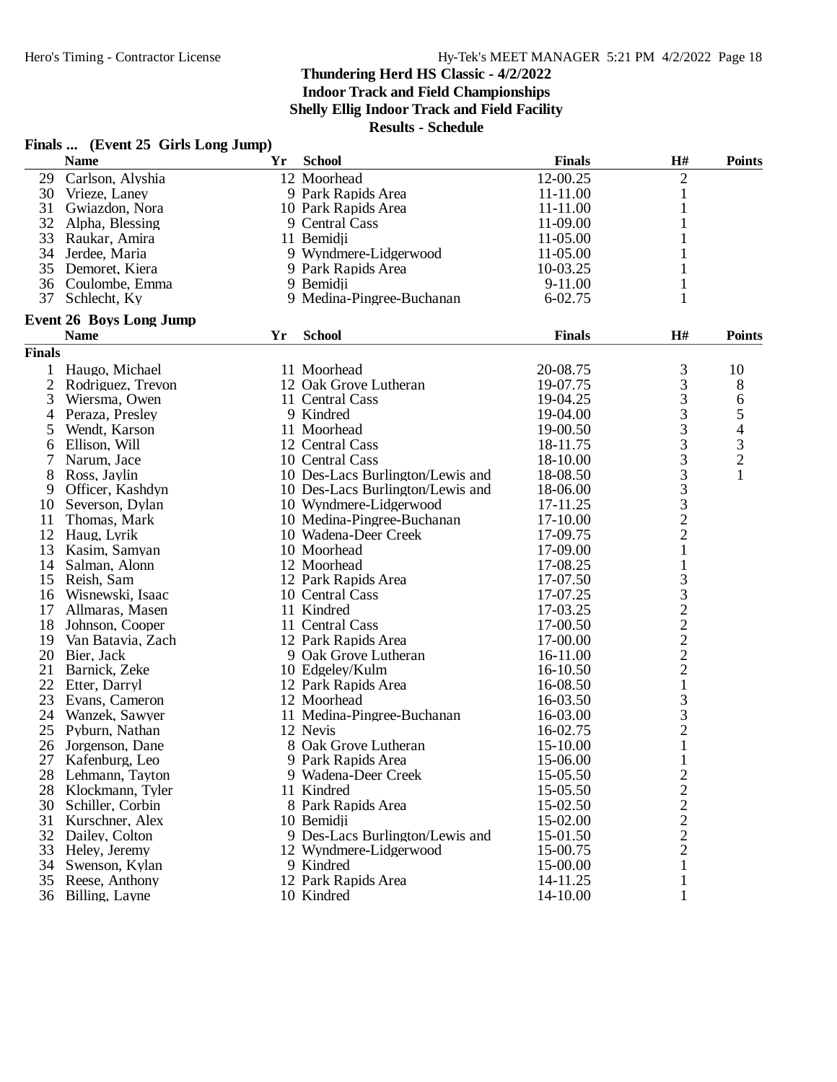**Indoor Track and Field Championships**

**Shelly Ellig Indoor Track and Field Facility**

**Results - Schedule**

# **Finals ... (Event 25 Girls Long Jump)**

| $\overline{2}$<br>12 Moorhead<br>12-00.25<br>29<br>Carlson, Alyshia<br>30<br>9 Park Rapids Area<br>11-11.00<br>Vrieze, Laney<br>1<br>31<br>Gwiazdon, Nora<br>10 Park Rapids Area<br>11-11.00<br>1<br>32<br>9 Central Cass<br>11-09.00<br>1<br>Alpha, Blessing<br>33<br>11 Bemidji<br>Raukar, Amira<br>11-05.00<br>1<br>34<br>9 Wyndmere-Lidgerwood<br>Jerdee, Maria<br>11-05.00<br>1<br>35<br>10-03.25<br>Demoret, Kiera<br>9 Park Rapids Area<br>1<br>36 Coulombe, Emma<br>9 Bemidji<br>9-11.00<br>1<br>37<br>Schlecht, Ky<br>9 Medina-Pingree-Buchanan<br>$6 - 02.75$<br><b>Event 26 Boys Long Jump</b><br><b>School</b><br><b>Finals</b><br>H#<br><b>Name</b><br>Yr<br><b>Points</b><br><b>Finals</b><br>3<br>Haugo, Michael<br>11 Moorhead<br>20-08.75<br>10<br>1<br>$\mathfrak{Z}$<br>$\overline{2}$<br>12 Oak Grove Lutheran<br>$8\phantom{1}$<br>Rodriguez, Trevon<br>19-07.75<br>$\mathfrak{Z}$<br>3<br>19-04.25<br>6<br>Wiersma, Owen<br>11 Central Cass<br>3<br>5<br>19-04.00<br>Peraza, Presley<br>9 Kindred<br>4<br>3<br>$\begin{array}{c} 4 \\ 3 \\ 2 \\ 1 \end{array}$<br>Wendt, Karson<br>11 Moorhead<br>19-00.50<br>5<br>3<br>12 Central Cass<br>Ellison, Will<br>18-11.75<br>6<br>3<br>10 Central Cass<br>18-10.00<br>Narum, Jace<br>$\mathfrak{Z}$<br>8<br>Ross, Jaylin<br>10 Des-Lacs Burlington/Lewis and<br>18-08.50<br>$\mathfrak 3$<br>18-06.00<br>Officer, Kashdyn<br>10 Des-Lacs Burlington/Lewis and<br>9<br>$\frac{3}{2}$<br>10<br>Severson, Dylan<br>10 Wyndmere-Lidgerwood<br>17-11.25<br>17-10.00<br>11<br>Thomas, Mark<br>10 Medina-Pingree-Buchanan<br>$\overline{2}$<br>12<br>Haug, Lyrik<br>10 Wadena-Deer Creek<br>17-09.75<br>$\mathbf{1}$<br>13<br>10 Moorhead<br>17-09.00<br>Kasim, Samyan<br>14<br>17-08.25<br>$\mathbf{1}$<br>Salman, Alonn<br>12 Moorhead<br>$\mathfrak{Z}$<br>17-07.50<br>15<br>Reish, Sam<br>12 Park Rapids Area<br>$\frac{3}{2}$ $\frac{2}{2}$ $\frac{2}{2}$<br>17-07.25<br>16<br>Wisnewski, Isaac<br>10 Central Cass<br>17-03.25<br>17<br>Allmaras, Masen<br>11 Kindred<br>18<br>Johnson, Cooper<br>11 Central Cass<br>17-00.50<br>19<br>12 Park Rapids Area<br>17-00.00<br>Van Batavia, Zach<br>20<br>Bier, Jack<br>9 Oak Grove Lutheran<br>16-11.00<br>$\overline{c}$<br>21<br>Barnick, Zeke<br>16-10.50<br>10 Edgeley/Kulm<br>22<br>$\mathbf{1}$<br>16-08.50<br>Etter, Darryl<br>12 Park Rapids Area<br>$\mathfrak{Z}$<br>23<br>16-03.50<br>Evans, Cameron<br>12 Moorhead<br>3<br>24<br>11 Medina-Pingree-Buchanan<br>16-03.00<br>Wanzek, Sawyer<br>$\overline{c}$<br>25<br>12 Nevis<br>16-02.75<br>Pyburn, Nathan<br>$\mathbf 1$<br>26<br>8 Oak Grove Lutheran<br>Jorgenson, Dane<br>15-10.00<br>27<br>$\mathbf{1}$<br>Kafenburg, Leo<br>9 Park Rapids Area<br>15-06.00<br>15-05.50<br>9 Wadena-Deer Creek<br>$\overline{c}$<br>28<br>Lehmann, Tayton<br>$\sqrt{2}$<br>15-05.50<br>28<br>Klockmann, Tyler<br>11 Kindred<br>$\overline{c}$<br>30<br>Schiller, Corbin<br>8 Park Rapids Area<br>15-02.50<br>$\frac{2}{2}$<br>31<br>Kurschner, Alex<br>15-02.00<br>10 Bemidji<br>32<br>9 Des-Lacs Burlington/Lewis and<br>15-01.50<br>Dailey, Colton<br>$\mathbf{2}$<br>33<br>Heley, Jeremy<br>15-00.75<br>12 Wyndmere-Lidgerwood<br>34<br>15-00.00<br>Swenson, Kylan<br>9 Kindred<br>1<br>12 Park Rapids Area<br>35<br>Reese, Anthony<br>14-11.25<br>1<br>10 Kindred<br>36 Billing, Layne<br>14-10.00<br>1 | <b>Name</b> | Yr | <b>School</b> | <b>Finals</b> | H# | <b>Points</b> |
|--------------------------------------------------------------------------------------------------------------------------------------------------------------------------------------------------------------------------------------------------------------------------------------------------------------------------------------------------------------------------------------------------------------------------------------------------------------------------------------------------------------------------------------------------------------------------------------------------------------------------------------------------------------------------------------------------------------------------------------------------------------------------------------------------------------------------------------------------------------------------------------------------------------------------------------------------------------------------------------------------------------------------------------------------------------------------------------------------------------------------------------------------------------------------------------------------------------------------------------------------------------------------------------------------------------------------------------------------------------------------------------------------------------------------------------------------------------------------------------------------------------------------------------------------------------------------------------------------------------------------------------------------------------------------------------------------------------------------------------------------------------------------------------------------------------------------------------------------------------------------------------------------------------------------------------------------------------------------------------------------------------------------------------------------------------------------------------------------------------------------------------------------------------------------------------------------------------------------------------------------------------------------------------------------------------------------------------------------------------------------------------------------------------------------------------------------------------------------------------------------------------------------------------------------------------------------------------------------------------------------------------------------------------------------------------------------------------------------------------------------------------------------------------------------------------------------------------------------------------------------------------------------------------------------------------------------------------------------------------------------------------------------------------------------------------------------------------------------------------------------------------------------------------------------------------------------------------------------------------------------------------------------------------------------------------------------------------------------------------------------|-------------|----|---------------|---------------|----|---------------|
|                                                                                                                                                                                                                                                                                                                                                                                                                                                                                                                                                                                                                                                                                                                                                                                                                                                                                                                                                                                                                                                                                                                                                                                                                                                                                                                                                                                                                                                                                                                                                                                                                                                                                                                                                                                                                                                                                                                                                                                                                                                                                                                                                                                                                                                                                                                                                                                                                                                                                                                                                                                                                                                                                                                                                                                                                                                                                                                                                                                                                                                                                                                                                                                                                                                                                                                                                                          |             |    |               |               |    |               |
|                                                                                                                                                                                                                                                                                                                                                                                                                                                                                                                                                                                                                                                                                                                                                                                                                                                                                                                                                                                                                                                                                                                                                                                                                                                                                                                                                                                                                                                                                                                                                                                                                                                                                                                                                                                                                                                                                                                                                                                                                                                                                                                                                                                                                                                                                                                                                                                                                                                                                                                                                                                                                                                                                                                                                                                                                                                                                                                                                                                                                                                                                                                                                                                                                                                                                                                                                                          |             |    |               |               |    |               |
|                                                                                                                                                                                                                                                                                                                                                                                                                                                                                                                                                                                                                                                                                                                                                                                                                                                                                                                                                                                                                                                                                                                                                                                                                                                                                                                                                                                                                                                                                                                                                                                                                                                                                                                                                                                                                                                                                                                                                                                                                                                                                                                                                                                                                                                                                                                                                                                                                                                                                                                                                                                                                                                                                                                                                                                                                                                                                                                                                                                                                                                                                                                                                                                                                                                                                                                                                                          |             |    |               |               |    |               |
|                                                                                                                                                                                                                                                                                                                                                                                                                                                                                                                                                                                                                                                                                                                                                                                                                                                                                                                                                                                                                                                                                                                                                                                                                                                                                                                                                                                                                                                                                                                                                                                                                                                                                                                                                                                                                                                                                                                                                                                                                                                                                                                                                                                                                                                                                                                                                                                                                                                                                                                                                                                                                                                                                                                                                                                                                                                                                                                                                                                                                                                                                                                                                                                                                                                                                                                                                                          |             |    |               |               |    |               |
|                                                                                                                                                                                                                                                                                                                                                                                                                                                                                                                                                                                                                                                                                                                                                                                                                                                                                                                                                                                                                                                                                                                                                                                                                                                                                                                                                                                                                                                                                                                                                                                                                                                                                                                                                                                                                                                                                                                                                                                                                                                                                                                                                                                                                                                                                                                                                                                                                                                                                                                                                                                                                                                                                                                                                                                                                                                                                                                                                                                                                                                                                                                                                                                                                                                                                                                                                                          |             |    |               |               |    |               |
|                                                                                                                                                                                                                                                                                                                                                                                                                                                                                                                                                                                                                                                                                                                                                                                                                                                                                                                                                                                                                                                                                                                                                                                                                                                                                                                                                                                                                                                                                                                                                                                                                                                                                                                                                                                                                                                                                                                                                                                                                                                                                                                                                                                                                                                                                                                                                                                                                                                                                                                                                                                                                                                                                                                                                                                                                                                                                                                                                                                                                                                                                                                                                                                                                                                                                                                                                                          |             |    |               |               |    |               |
|                                                                                                                                                                                                                                                                                                                                                                                                                                                                                                                                                                                                                                                                                                                                                                                                                                                                                                                                                                                                                                                                                                                                                                                                                                                                                                                                                                                                                                                                                                                                                                                                                                                                                                                                                                                                                                                                                                                                                                                                                                                                                                                                                                                                                                                                                                                                                                                                                                                                                                                                                                                                                                                                                                                                                                                                                                                                                                                                                                                                                                                                                                                                                                                                                                                                                                                                                                          |             |    |               |               |    |               |
|                                                                                                                                                                                                                                                                                                                                                                                                                                                                                                                                                                                                                                                                                                                                                                                                                                                                                                                                                                                                                                                                                                                                                                                                                                                                                                                                                                                                                                                                                                                                                                                                                                                                                                                                                                                                                                                                                                                                                                                                                                                                                                                                                                                                                                                                                                                                                                                                                                                                                                                                                                                                                                                                                                                                                                                                                                                                                                                                                                                                                                                                                                                                                                                                                                                                                                                                                                          |             |    |               |               |    |               |
|                                                                                                                                                                                                                                                                                                                                                                                                                                                                                                                                                                                                                                                                                                                                                                                                                                                                                                                                                                                                                                                                                                                                                                                                                                                                                                                                                                                                                                                                                                                                                                                                                                                                                                                                                                                                                                                                                                                                                                                                                                                                                                                                                                                                                                                                                                                                                                                                                                                                                                                                                                                                                                                                                                                                                                                                                                                                                                                                                                                                                                                                                                                                                                                                                                                                                                                                                                          |             |    |               |               |    |               |
|                                                                                                                                                                                                                                                                                                                                                                                                                                                                                                                                                                                                                                                                                                                                                                                                                                                                                                                                                                                                                                                                                                                                                                                                                                                                                                                                                                                                                                                                                                                                                                                                                                                                                                                                                                                                                                                                                                                                                                                                                                                                                                                                                                                                                                                                                                                                                                                                                                                                                                                                                                                                                                                                                                                                                                                                                                                                                                                                                                                                                                                                                                                                                                                                                                                                                                                                                                          |             |    |               |               |    |               |
|                                                                                                                                                                                                                                                                                                                                                                                                                                                                                                                                                                                                                                                                                                                                                                                                                                                                                                                                                                                                                                                                                                                                                                                                                                                                                                                                                                                                                                                                                                                                                                                                                                                                                                                                                                                                                                                                                                                                                                                                                                                                                                                                                                                                                                                                                                                                                                                                                                                                                                                                                                                                                                                                                                                                                                                                                                                                                                                                                                                                                                                                                                                                                                                                                                                                                                                                                                          |             |    |               |               |    |               |
|                                                                                                                                                                                                                                                                                                                                                                                                                                                                                                                                                                                                                                                                                                                                                                                                                                                                                                                                                                                                                                                                                                                                                                                                                                                                                                                                                                                                                                                                                                                                                                                                                                                                                                                                                                                                                                                                                                                                                                                                                                                                                                                                                                                                                                                                                                                                                                                                                                                                                                                                                                                                                                                                                                                                                                                                                                                                                                                                                                                                                                                                                                                                                                                                                                                                                                                                                                          |             |    |               |               |    |               |
|                                                                                                                                                                                                                                                                                                                                                                                                                                                                                                                                                                                                                                                                                                                                                                                                                                                                                                                                                                                                                                                                                                                                                                                                                                                                                                                                                                                                                                                                                                                                                                                                                                                                                                                                                                                                                                                                                                                                                                                                                                                                                                                                                                                                                                                                                                                                                                                                                                                                                                                                                                                                                                                                                                                                                                                                                                                                                                                                                                                                                                                                                                                                                                                                                                                                                                                                                                          |             |    |               |               |    |               |
|                                                                                                                                                                                                                                                                                                                                                                                                                                                                                                                                                                                                                                                                                                                                                                                                                                                                                                                                                                                                                                                                                                                                                                                                                                                                                                                                                                                                                                                                                                                                                                                                                                                                                                                                                                                                                                                                                                                                                                                                                                                                                                                                                                                                                                                                                                                                                                                                                                                                                                                                                                                                                                                                                                                                                                                                                                                                                                                                                                                                                                                                                                                                                                                                                                                                                                                                                                          |             |    |               |               |    |               |
|                                                                                                                                                                                                                                                                                                                                                                                                                                                                                                                                                                                                                                                                                                                                                                                                                                                                                                                                                                                                                                                                                                                                                                                                                                                                                                                                                                                                                                                                                                                                                                                                                                                                                                                                                                                                                                                                                                                                                                                                                                                                                                                                                                                                                                                                                                                                                                                                                                                                                                                                                                                                                                                                                                                                                                                                                                                                                                                                                                                                                                                                                                                                                                                                                                                                                                                                                                          |             |    |               |               |    |               |
|                                                                                                                                                                                                                                                                                                                                                                                                                                                                                                                                                                                                                                                                                                                                                                                                                                                                                                                                                                                                                                                                                                                                                                                                                                                                                                                                                                                                                                                                                                                                                                                                                                                                                                                                                                                                                                                                                                                                                                                                                                                                                                                                                                                                                                                                                                                                                                                                                                                                                                                                                                                                                                                                                                                                                                                                                                                                                                                                                                                                                                                                                                                                                                                                                                                                                                                                                                          |             |    |               |               |    |               |
|                                                                                                                                                                                                                                                                                                                                                                                                                                                                                                                                                                                                                                                                                                                                                                                                                                                                                                                                                                                                                                                                                                                                                                                                                                                                                                                                                                                                                                                                                                                                                                                                                                                                                                                                                                                                                                                                                                                                                                                                                                                                                                                                                                                                                                                                                                                                                                                                                                                                                                                                                                                                                                                                                                                                                                                                                                                                                                                                                                                                                                                                                                                                                                                                                                                                                                                                                                          |             |    |               |               |    |               |
|                                                                                                                                                                                                                                                                                                                                                                                                                                                                                                                                                                                                                                                                                                                                                                                                                                                                                                                                                                                                                                                                                                                                                                                                                                                                                                                                                                                                                                                                                                                                                                                                                                                                                                                                                                                                                                                                                                                                                                                                                                                                                                                                                                                                                                                                                                                                                                                                                                                                                                                                                                                                                                                                                                                                                                                                                                                                                                                                                                                                                                                                                                                                                                                                                                                                                                                                                                          |             |    |               |               |    |               |
|                                                                                                                                                                                                                                                                                                                                                                                                                                                                                                                                                                                                                                                                                                                                                                                                                                                                                                                                                                                                                                                                                                                                                                                                                                                                                                                                                                                                                                                                                                                                                                                                                                                                                                                                                                                                                                                                                                                                                                                                                                                                                                                                                                                                                                                                                                                                                                                                                                                                                                                                                                                                                                                                                                                                                                                                                                                                                                                                                                                                                                                                                                                                                                                                                                                                                                                                                                          |             |    |               |               |    |               |
|                                                                                                                                                                                                                                                                                                                                                                                                                                                                                                                                                                                                                                                                                                                                                                                                                                                                                                                                                                                                                                                                                                                                                                                                                                                                                                                                                                                                                                                                                                                                                                                                                                                                                                                                                                                                                                                                                                                                                                                                                                                                                                                                                                                                                                                                                                                                                                                                                                                                                                                                                                                                                                                                                                                                                                                                                                                                                                                                                                                                                                                                                                                                                                                                                                                                                                                                                                          |             |    |               |               |    |               |
|                                                                                                                                                                                                                                                                                                                                                                                                                                                                                                                                                                                                                                                                                                                                                                                                                                                                                                                                                                                                                                                                                                                                                                                                                                                                                                                                                                                                                                                                                                                                                                                                                                                                                                                                                                                                                                                                                                                                                                                                                                                                                                                                                                                                                                                                                                                                                                                                                                                                                                                                                                                                                                                                                                                                                                                                                                                                                                                                                                                                                                                                                                                                                                                                                                                                                                                                                                          |             |    |               |               |    |               |
|                                                                                                                                                                                                                                                                                                                                                                                                                                                                                                                                                                                                                                                                                                                                                                                                                                                                                                                                                                                                                                                                                                                                                                                                                                                                                                                                                                                                                                                                                                                                                                                                                                                                                                                                                                                                                                                                                                                                                                                                                                                                                                                                                                                                                                                                                                                                                                                                                                                                                                                                                                                                                                                                                                                                                                                                                                                                                                                                                                                                                                                                                                                                                                                                                                                                                                                                                                          |             |    |               |               |    |               |
|                                                                                                                                                                                                                                                                                                                                                                                                                                                                                                                                                                                                                                                                                                                                                                                                                                                                                                                                                                                                                                                                                                                                                                                                                                                                                                                                                                                                                                                                                                                                                                                                                                                                                                                                                                                                                                                                                                                                                                                                                                                                                                                                                                                                                                                                                                                                                                                                                                                                                                                                                                                                                                                                                                                                                                                                                                                                                                                                                                                                                                                                                                                                                                                                                                                                                                                                                                          |             |    |               |               |    |               |
|                                                                                                                                                                                                                                                                                                                                                                                                                                                                                                                                                                                                                                                                                                                                                                                                                                                                                                                                                                                                                                                                                                                                                                                                                                                                                                                                                                                                                                                                                                                                                                                                                                                                                                                                                                                                                                                                                                                                                                                                                                                                                                                                                                                                                                                                                                                                                                                                                                                                                                                                                                                                                                                                                                                                                                                                                                                                                                                                                                                                                                                                                                                                                                                                                                                                                                                                                                          |             |    |               |               |    |               |
|                                                                                                                                                                                                                                                                                                                                                                                                                                                                                                                                                                                                                                                                                                                                                                                                                                                                                                                                                                                                                                                                                                                                                                                                                                                                                                                                                                                                                                                                                                                                                                                                                                                                                                                                                                                                                                                                                                                                                                                                                                                                                                                                                                                                                                                                                                                                                                                                                                                                                                                                                                                                                                                                                                                                                                                                                                                                                                                                                                                                                                                                                                                                                                                                                                                                                                                                                                          |             |    |               |               |    |               |
|                                                                                                                                                                                                                                                                                                                                                                                                                                                                                                                                                                                                                                                                                                                                                                                                                                                                                                                                                                                                                                                                                                                                                                                                                                                                                                                                                                                                                                                                                                                                                                                                                                                                                                                                                                                                                                                                                                                                                                                                                                                                                                                                                                                                                                                                                                                                                                                                                                                                                                                                                                                                                                                                                                                                                                                                                                                                                                                                                                                                                                                                                                                                                                                                                                                                                                                                                                          |             |    |               |               |    |               |
|                                                                                                                                                                                                                                                                                                                                                                                                                                                                                                                                                                                                                                                                                                                                                                                                                                                                                                                                                                                                                                                                                                                                                                                                                                                                                                                                                                                                                                                                                                                                                                                                                                                                                                                                                                                                                                                                                                                                                                                                                                                                                                                                                                                                                                                                                                                                                                                                                                                                                                                                                                                                                                                                                                                                                                                                                                                                                                                                                                                                                                                                                                                                                                                                                                                                                                                                                                          |             |    |               |               |    |               |
|                                                                                                                                                                                                                                                                                                                                                                                                                                                                                                                                                                                                                                                                                                                                                                                                                                                                                                                                                                                                                                                                                                                                                                                                                                                                                                                                                                                                                                                                                                                                                                                                                                                                                                                                                                                                                                                                                                                                                                                                                                                                                                                                                                                                                                                                                                                                                                                                                                                                                                                                                                                                                                                                                                                                                                                                                                                                                                                                                                                                                                                                                                                                                                                                                                                                                                                                                                          |             |    |               |               |    |               |
|                                                                                                                                                                                                                                                                                                                                                                                                                                                                                                                                                                                                                                                                                                                                                                                                                                                                                                                                                                                                                                                                                                                                                                                                                                                                                                                                                                                                                                                                                                                                                                                                                                                                                                                                                                                                                                                                                                                                                                                                                                                                                                                                                                                                                                                                                                                                                                                                                                                                                                                                                                                                                                                                                                                                                                                                                                                                                                                                                                                                                                                                                                                                                                                                                                                                                                                                                                          |             |    |               |               |    |               |
|                                                                                                                                                                                                                                                                                                                                                                                                                                                                                                                                                                                                                                                                                                                                                                                                                                                                                                                                                                                                                                                                                                                                                                                                                                                                                                                                                                                                                                                                                                                                                                                                                                                                                                                                                                                                                                                                                                                                                                                                                                                                                                                                                                                                                                                                                                                                                                                                                                                                                                                                                                                                                                                                                                                                                                                                                                                                                                                                                                                                                                                                                                                                                                                                                                                                                                                                                                          |             |    |               |               |    |               |
|                                                                                                                                                                                                                                                                                                                                                                                                                                                                                                                                                                                                                                                                                                                                                                                                                                                                                                                                                                                                                                                                                                                                                                                                                                                                                                                                                                                                                                                                                                                                                                                                                                                                                                                                                                                                                                                                                                                                                                                                                                                                                                                                                                                                                                                                                                                                                                                                                                                                                                                                                                                                                                                                                                                                                                                                                                                                                                                                                                                                                                                                                                                                                                                                                                                                                                                                                                          |             |    |               |               |    |               |
|                                                                                                                                                                                                                                                                                                                                                                                                                                                                                                                                                                                                                                                                                                                                                                                                                                                                                                                                                                                                                                                                                                                                                                                                                                                                                                                                                                                                                                                                                                                                                                                                                                                                                                                                                                                                                                                                                                                                                                                                                                                                                                                                                                                                                                                                                                                                                                                                                                                                                                                                                                                                                                                                                                                                                                                                                                                                                                                                                                                                                                                                                                                                                                                                                                                                                                                                                                          |             |    |               |               |    |               |
|                                                                                                                                                                                                                                                                                                                                                                                                                                                                                                                                                                                                                                                                                                                                                                                                                                                                                                                                                                                                                                                                                                                                                                                                                                                                                                                                                                                                                                                                                                                                                                                                                                                                                                                                                                                                                                                                                                                                                                                                                                                                                                                                                                                                                                                                                                                                                                                                                                                                                                                                                                                                                                                                                                                                                                                                                                                                                                                                                                                                                                                                                                                                                                                                                                                                                                                                                                          |             |    |               |               |    |               |
|                                                                                                                                                                                                                                                                                                                                                                                                                                                                                                                                                                                                                                                                                                                                                                                                                                                                                                                                                                                                                                                                                                                                                                                                                                                                                                                                                                                                                                                                                                                                                                                                                                                                                                                                                                                                                                                                                                                                                                                                                                                                                                                                                                                                                                                                                                                                                                                                                                                                                                                                                                                                                                                                                                                                                                                                                                                                                                                                                                                                                                                                                                                                                                                                                                                                                                                                                                          |             |    |               |               |    |               |
|                                                                                                                                                                                                                                                                                                                                                                                                                                                                                                                                                                                                                                                                                                                                                                                                                                                                                                                                                                                                                                                                                                                                                                                                                                                                                                                                                                                                                                                                                                                                                                                                                                                                                                                                                                                                                                                                                                                                                                                                                                                                                                                                                                                                                                                                                                                                                                                                                                                                                                                                                                                                                                                                                                                                                                                                                                                                                                                                                                                                                                                                                                                                                                                                                                                                                                                                                                          |             |    |               |               |    |               |
|                                                                                                                                                                                                                                                                                                                                                                                                                                                                                                                                                                                                                                                                                                                                                                                                                                                                                                                                                                                                                                                                                                                                                                                                                                                                                                                                                                                                                                                                                                                                                                                                                                                                                                                                                                                                                                                                                                                                                                                                                                                                                                                                                                                                                                                                                                                                                                                                                                                                                                                                                                                                                                                                                                                                                                                                                                                                                                                                                                                                                                                                                                                                                                                                                                                                                                                                                                          |             |    |               |               |    |               |
|                                                                                                                                                                                                                                                                                                                                                                                                                                                                                                                                                                                                                                                                                                                                                                                                                                                                                                                                                                                                                                                                                                                                                                                                                                                                                                                                                                                                                                                                                                                                                                                                                                                                                                                                                                                                                                                                                                                                                                                                                                                                                                                                                                                                                                                                                                                                                                                                                                                                                                                                                                                                                                                                                                                                                                                                                                                                                                                                                                                                                                                                                                                                                                                                                                                                                                                                                                          |             |    |               |               |    |               |
|                                                                                                                                                                                                                                                                                                                                                                                                                                                                                                                                                                                                                                                                                                                                                                                                                                                                                                                                                                                                                                                                                                                                                                                                                                                                                                                                                                                                                                                                                                                                                                                                                                                                                                                                                                                                                                                                                                                                                                                                                                                                                                                                                                                                                                                                                                                                                                                                                                                                                                                                                                                                                                                                                                                                                                                                                                                                                                                                                                                                                                                                                                                                                                                                                                                                                                                                                                          |             |    |               |               |    |               |
|                                                                                                                                                                                                                                                                                                                                                                                                                                                                                                                                                                                                                                                                                                                                                                                                                                                                                                                                                                                                                                                                                                                                                                                                                                                                                                                                                                                                                                                                                                                                                                                                                                                                                                                                                                                                                                                                                                                                                                                                                                                                                                                                                                                                                                                                                                                                                                                                                                                                                                                                                                                                                                                                                                                                                                                                                                                                                                                                                                                                                                                                                                                                                                                                                                                                                                                                                                          |             |    |               |               |    |               |
|                                                                                                                                                                                                                                                                                                                                                                                                                                                                                                                                                                                                                                                                                                                                                                                                                                                                                                                                                                                                                                                                                                                                                                                                                                                                                                                                                                                                                                                                                                                                                                                                                                                                                                                                                                                                                                                                                                                                                                                                                                                                                                                                                                                                                                                                                                                                                                                                                                                                                                                                                                                                                                                                                                                                                                                                                                                                                                                                                                                                                                                                                                                                                                                                                                                                                                                                                                          |             |    |               |               |    |               |
|                                                                                                                                                                                                                                                                                                                                                                                                                                                                                                                                                                                                                                                                                                                                                                                                                                                                                                                                                                                                                                                                                                                                                                                                                                                                                                                                                                                                                                                                                                                                                                                                                                                                                                                                                                                                                                                                                                                                                                                                                                                                                                                                                                                                                                                                                                                                                                                                                                                                                                                                                                                                                                                                                                                                                                                                                                                                                                                                                                                                                                                                                                                                                                                                                                                                                                                                                                          |             |    |               |               |    |               |
|                                                                                                                                                                                                                                                                                                                                                                                                                                                                                                                                                                                                                                                                                                                                                                                                                                                                                                                                                                                                                                                                                                                                                                                                                                                                                                                                                                                                                                                                                                                                                                                                                                                                                                                                                                                                                                                                                                                                                                                                                                                                                                                                                                                                                                                                                                                                                                                                                                                                                                                                                                                                                                                                                                                                                                                                                                                                                                                                                                                                                                                                                                                                                                                                                                                                                                                                                                          |             |    |               |               |    |               |
|                                                                                                                                                                                                                                                                                                                                                                                                                                                                                                                                                                                                                                                                                                                                                                                                                                                                                                                                                                                                                                                                                                                                                                                                                                                                                                                                                                                                                                                                                                                                                                                                                                                                                                                                                                                                                                                                                                                                                                                                                                                                                                                                                                                                                                                                                                                                                                                                                                                                                                                                                                                                                                                                                                                                                                                                                                                                                                                                                                                                                                                                                                                                                                                                                                                                                                                                                                          |             |    |               |               |    |               |
|                                                                                                                                                                                                                                                                                                                                                                                                                                                                                                                                                                                                                                                                                                                                                                                                                                                                                                                                                                                                                                                                                                                                                                                                                                                                                                                                                                                                                                                                                                                                                                                                                                                                                                                                                                                                                                                                                                                                                                                                                                                                                                                                                                                                                                                                                                                                                                                                                                                                                                                                                                                                                                                                                                                                                                                                                                                                                                                                                                                                                                                                                                                                                                                                                                                                                                                                                                          |             |    |               |               |    |               |
|                                                                                                                                                                                                                                                                                                                                                                                                                                                                                                                                                                                                                                                                                                                                                                                                                                                                                                                                                                                                                                                                                                                                                                                                                                                                                                                                                                                                                                                                                                                                                                                                                                                                                                                                                                                                                                                                                                                                                                                                                                                                                                                                                                                                                                                                                                                                                                                                                                                                                                                                                                                                                                                                                                                                                                                                                                                                                                                                                                                                                                                                                                                                                                                                                                                                                                                                                                          |             |    |               |               |    |               |
|                                                                                                                                                                                                                                                                                                                                                                                                                                                                                                                                                                                                                                                                                                                                                                                                                                                                                                                                                                                                                                                                                                                                                                                                                                                                                                                                                                                                                                                                                                                                                                                                                                                                                                                                                                                                                                                                                                                                                                                                                                                                                                                                                                                                                                                                                                                                                                                                                                                                                                                                                                                                                                                                                                                                                                                                                                                                                                                                                                                                                                                                                                                                                                                                                                                                                                                                                                          |             |    |               |               |    |               |
|                                                                                                                                                                                                                                                                                                                                                                                                                                                                                                                                                                                                                                                                                                                                                                                                                                                                                                                                                                                                                                                                                                                                                                                                                                                                                                                                                                                                                                                                                                                                                                                                                                                                                                                                                                                                                                                                                                                                                                                                                                                                                                                                                                                                                                                                                                                                                                                                                                                                                                                                                                                                                                                                                                                                                                                                                                                                                                                                                                                                                                                                                                                                                                                                                                                                                                                                                                          |             |    |               |               |    |               |
|                                                                                                                                                                                                                                                                                                                                                                                                                                                                                                                                                                                                                                                                                                                                                                                                                                                                                                                                                                                                                                                                                                                                                                                                                                                                                                                                                                                                                                                                                                                                                                                                                                                                                                                                                                                                                                                                                                                                                                                                                                                                                                                                                                                                                                                                                                                                                                                                                                                                                                                                                                                                                                                                                                                                                                                                                                                                                                                                                                                                                                                                                                                                                                                                                                                                                                                                                                          |             |    |               |               |    |               |
|                                                                                                                                                                                                                                                                                                                                                                                                                                                                                                                                                                                                                                                                                                                                                                                                                                                                                                                                                                                                                                                                                                                                                                                                                                                                                                                                                                                                                                                                                                                                                                                                                                                                                                                                                                                                                                                                                                                                                                                                                                                                                                                                                                                                                                                                                                                                                                                                                                                                                                                                                                                                                                                                                                                                                                                                                                                                                                                                                                                                                                                                                                                                                                                                                                                                                                                                                                          |             |    |               |               |    |               |
|                                                                                                                                                                                                                                                                                                                                                                                                                                                                                                                                                                                                                                                                                                                                                                                                                                                                                                                                                                                                                                                                                                                                                                                                                                                                                                                                                                                                                                                                                                                                                                                                                                                                                                                                                                                                                                                                                                                                                                                                                                                                                                                                                                                                                                                                                                                                                                                                                                                                                                                                                                                                                                                                                                                                                                                                                                                                                                                                                                                                                                                                                                                                                                                                                                                                                                                                                                          |             |    |               |               |    |               |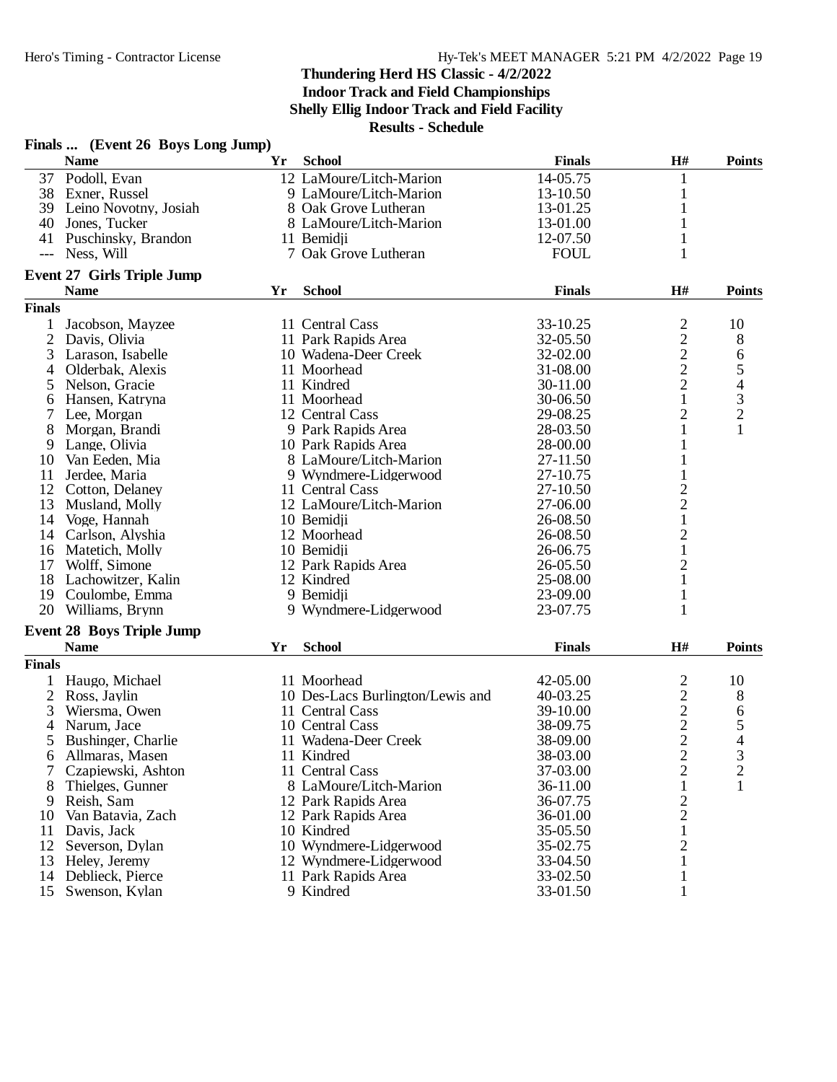**Indoor Track and Field Championships**

**Shelly Ellig Indoor Track and Field Facility**

|                | Finals  (Event 26 Boys Long Jump) |    |                                  |               |                                            |                |
|----------------|-----------------------------------|----|----------------------------------|---------------|--------------------------------------------|----------------|
|                | <b>Name</b>                       | Yr | <b>School</b>                    | <b>Finals</b> | H#                                         | <b>Points</b>  |
| 37             | Podoll, Evan                      |    | 12 LaMoure/Litch-Marion          | 14-05.75      | 1                                          |                |
|                | 38 Exner, Russel                  |    | 9 LaMoure/Litch-Marion           | 13-10.50      | $\mathbf{1}$                               |                |
|                | 39 Leino Novotny, Josiah          |    | 8 Oak Grove Lutheran             | 13-01.25      | $\mathbf{1}$                               |                |
| 40             | Jones, Tucker                     |    | 8 LaMoure/Litch-Marion           | 13-01.00      | 1                                          |                |
|                | 41 Puschinsky, Brandon            |    | 11 Bemidji                       | 12-07.50      |                                            |                |
| $---$          | Ness, Will                        |    | 7 Oak Grove Lutheran             | <b>FOUL</b>   | 1                                          |                |
|                | <b>Event 27 Girls Triple Jump</b> |    |                                  |               |                                            |                |
|                | <b>Name</b>                       | Yr | <b>School</b>                    | <b>Finals</b> | H#                                         | <b>Points</b>  |
| <b>Finals</b>  |                                   |    |                                  |               |                                            |                |
| 1              | Jacobson, Mayzee                  |    | 11 Central Cass                  | 33-10.25      | $\overline{c}$                             | 10             |
| $\overline{c}$ | Davis, Olivia                     |    | 11 Park Rapids Area              | 32-05.50      |                                            | 8              |
| 3              | Larason, Isabelle                 |    | 10 Wadena-Deer Creek             | 32-02.00      |                                            | 6              |
| 4              | Olderbak, Alexis                  |    | 11 Moorhead                      | 31-08.00      |                                            |                |
| 5              | Nelson, Gracie                    |    | 11 Kindred                       | 30-11.00      | $\begin{array}{c} 2 \\ 2 \\ 2 \end{array}$ | $\frac{5}{4}$  |
| 6              | Hansen, Katryna                   |    | 11 Moorhead                      | 30-06.50      | $\mathbf{1}$                               |                |
| 7              | Lee, Morgan                       |    | 12 Central Cass                  | 29-08.25      | $\overline{2}$                             | $\frac{3}{2}$  |
| 8              | Morgan, Brandi                    |    | 9 Park Rapids Area               | 28-03.50      | $\mathbf{1}$                               | $\mathbf{1}$   |
| 9              | Lange, Olivia                     |    | 10 Park Rapids Area              | 28-00.00      | 1                                          |                |
| 10             | Van Eeden, Mia                    |    | 8 LaMoure/Litch-Marion           | 27-11.50      | 1                                          |                |
| 11             | Jerdee, Maria                     |    | 9 Wyndmere-Lidgerwood            | 27-10.75      | $\mathbf{1}$                               |                |
| 12             | Cotton, Delaney                   |    | 11 Central Cass                  | 27-10.50      | $\overline{\mathbf{c}}$                    |                |
| 13             | Musland, Molly                    |    | 12 LaMoure/Litch-Marion          | 27-06.00      | $\overline{c}$                             |                |
| 14             | Voge, Hannah                      |    | 10 Bemidji                       | 26-08.50      | $\,1$                                      |                |
| 14             | Carlson, Alyshia                  |    | 12 Moorhead                      | 26-08.50      | $\overline{c}$                             |                |
|                | 16 Matetich, Molly                |    | 10 Bemidji                       | 26-06.75      | $\mathbf{1}$                               |                |
| 17             | Wolff, Simone                     |    | 12 Park Rapids Area              | 26-05.50      | $\overline{c}$                             |                |
| 18             | Lachowitzer, Kalin                |    | 12 Kindred                       | 25-08.00      | $\mathbf{1}$                               |                |
| 19             | Coulombe, Emma                    |    | 9 Bemidji                        | 23-09.00      | $\mathbf{1}$                               |                |
| 20             | Williams, Brynn                   |    | 9 Wyndmere-Lidgerwood            | 23-07.75      | $\mathbf{1}$                               |                |
|                |                                   |    |                                  |               |                                            |                |
|                | <b>Event 28 Boys Triple Jump</b>  |    |                                  |               |                                            |                |
|                | <b>Name</b>                       | Yr | <b>School</b>                    | <b>Finals</b> | H#                                         | <b>Points</b>  |
| <b>Finals</b>  |                                   |    |                                  |               |                                            |                |
| 1              | Haugo, Michael                    |    | 11 Moorhead                      | 42-05.00      | $\overline{c}$                             | 10             |
| $\overline{2}$ | Ross, Jaylin                      |    | 10 Des-Lacs Burlington/Lewis and | 40-03.25      | $\frac{2}{2}$                              | 8              |
| 3              | Wiersma, Owen                     |    | 11 Central Cass                  | 39-10.00      |                                            | 6              |
| 4              | Narum, Jace                       |    | 10 Central Cass                  | 38-09.75      | $\overline{c}$                             | 5              |
| 5              | Bushinger, Charlie                |    | 11 Wadena-Deer Creek             | 38-09.00      | $\overline{2}$                             | 4              |
| 6              | Allmaras, Masen                   |    | 11 Kindred                       | 38-03.00      | $\overline{c}$                             | 3              |
| 7              | Czapiewski, Ashton                |    | 11 Central Cass                  | 37-03.00      | $\overline{2}$                             | $\overline{c}$ |
| 8              | Thielges, Gunner                  |    | 8 LaMoure/Litch-Marion           | 36-11.00      | $\mathbf{1}$                               | 1              |
| 9              | Reish, Sam                        |    | 12 Park Rapids Area              | 36-07.75      | $\overline{c}$                             |                |
|                | 10 Van Batavia, Zach              |    | 12 Park Rapids Area              | 36-01.00      | $\overline{c}$                             |                |
| 11             | Davis, Jack                       |    | 10 Kindred                       | 35-05.50      | $\mathbf{1}$                               |                |
| 12             | Severson, Dylan                   |    | 10 Wyndmere-Lidgerwood           | 35-02.75      | $\overline{c}$                             |                |
| 13             | Heley, Jeremy                     |    | 12 Wyndmere-Lidgerwood           | 33-04.50      |                                            |                |
| 14             | Deblieck, Pierce                  |    | 11 Park Rapids Area              | 33-02.50      | 1                                          |                |
| 15             | Swenson, Kylan                    |    | 9 Kindred                        | 33-01.50      | 1                                          |                |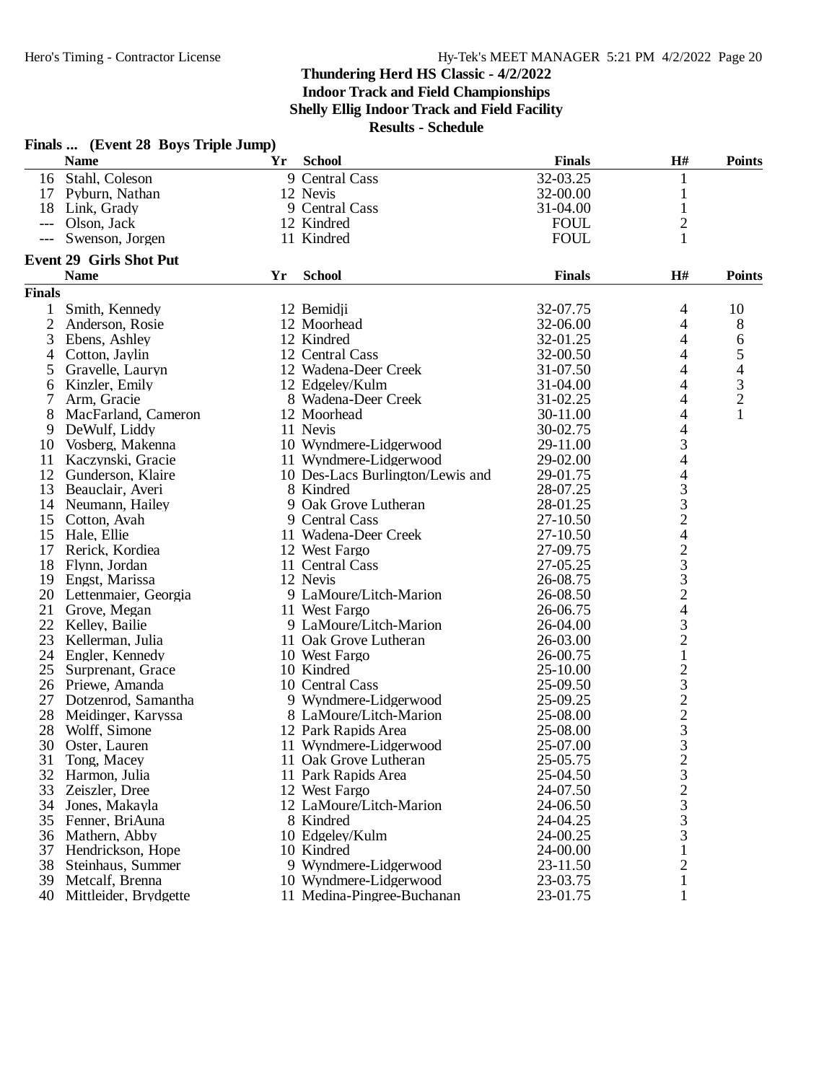**Indoor Track and Field Championships**

**Shelly Ellig Indoor Track and Field Facility**

|                | Finals  (Event 28 Boys Triple Jump)    |    |                                  |                      |                              |                |
|----------------|----------------------------------------|----|----------------------------------|----------------------|------------------------------|----------------|
|                | <b>Name</b>                            | Yr | <b>School</b>                    | <b>Finals</b>        | H#                           | <b>Points</b>  |
| 16             | Stahl, Coleson                         |    | 9 Central Cass                   | 32-03.25             | 1                            |                |
|                | 17 Pyburn, Nathan                      |    | 12 Nevis                         | 32-00.00             | 1                            |                |
|                | 18 Link, Grady                         |    | 9 Central Cass                   | 31-04.00             | $\mathbf{1}$                 |                |
| ---            | Olson, Jack                            |    | 12 Kindred                       | <b>FOUL</b>          | $\overline{c}$               |                |
|                | Swenson, Jorgen                        |    | 11 Kindred                       | <b>FOUL</b>          | 1                            |                |
|                | <b>Event 29 Girls Shot Put</b>         |    |                                  |                      |                              |                |
|                | <b>Name</b>                            | Yr | <b>School</b>                    | <b>Finals</b>        | H#                           | <b>Points</b>  |
| <b>Finals</b>  |                                        |    |                                  |                      |                              |                |
|                | Smith, Kennedy                         |    | 12 Bemidii                       | 32-07.75             | 4                            | 10             |
| $\overline{2}$ | Anderson, Rosie                        |    | 12 Moorhead                      | 32-06.00             | 4                            | 8              |
| 3              | Ebens, Ashley                          |    | 12 Kindred                       | 32-01.25             | 4                            | 6              |
| 4              | Cotton, Jaylin                         |    | 12 Central Cass                  | 32-00.50             | 4                            | $\mathfrak{S}$ |
| 5              | Gravelle, Lauryn                       |    | 12 Wadena-Deer Creek             | 31-07.50             | 4                            | 4              |
| 6              | Kinzler, Emily                         |    | 12 Edgeley/Kulm                  | 31-04.00             | 4                            | $\mathfrak{Z}$ |
|                | Arm, Gracie                            |    | 8 Wadena-Deer Creek              | 31-02.25             | 4                            | $\overline{c}$ |
| 8              | MacFarland, Cameron                    |    | 12 Moorhead                      | 30-11.00             | $\overline{\mathcal{A}}$     | $\mathbf{1}$   |
| 9              | DeWulf, Liddy                          |    | 11 Nevis                         | 30-02.75             | 4                            |                |
| 10             | Vosberg, Makenna                       |    | 10 Wyndmere-Lidgerwood           | 29-11.00             | 3                            |                |
| 11             | Kaczynski, Gracie                      |    | 11 Wyndmere-Lidgerwood           | 29-02.00             | 4                            |                |
| 12             | Gunderson, Klaire                      |    | 10 Des-Lacs Burlington/Lewis and | 29-01.75             | 4                            |                |
| 13             | Beauclair, Averi                       |    | 8 Kindred                        | 28-07.25             | 3                            |                |
| 14             | Neumann, Hailey                        |    | 9 Oak Grove Lutheran             | 28-01.25             | 3                            |                |
| 15             | Cotton, Avah                           |    | 9 Central Cass                   | 27-10.50             | $\overline{c}$               |                |
| 15             | Hale, Ellie                            |    | 11 Wadena-Deer Creek             | 27-10.50             | 4                            |                |
| 17             | Rerick, Kordiea                        |    | 12 West Fargo                    | 27-09.75             |                              |                |
| 18             | Flynn, Jordan                          |    | 11 Central Cass                  | 27-05.25             | $\frac{2}{3}$                |                |
| 19             | Engst, Marissa                         |    | 12 Nevis                         | 26-08.75             |                              |                |
| 20             | Lettenmaier, Georgia                   |    | 9 LaMoure/Litch-Marion           | 26-08.50             | $\frac{3}{2}$                |                |
|                | 21 Grove, Megan                        |    | 11 West Fargo                    | 26-06.75             | $\overline{\mathcal{A}}$     |                |
| 22             | Kelley, Bailie                         |    | 9 LaMoure/Litch-Marion           | 26-04.00             | 3                            |                |
| 23             | Kellerman, Julia                       |    | 11 Oak Grove Lutheran            | 26-03.00             | $\overline{c}$               |                |
|                | 24 Engler, Kennedy                     |    | 10 West Fargo                    | 26-00.75             | $\mathbf{1}$                 |                |
| 25             | Surprenant, Grace                      |    | 10 Kindred                       | 25-10.00             |                              |                |
| 26             | Priewe, Amanda                         |    | 10 Central Cass                  | 25-09.50             | $\frac{2}{3}$                |                |
| 27             | Dotzenrod, Samantha                    |    | 9 Wyndmere-Lidgerwood            | 25-09.25             | $\overline{c}$               |                |
| 28             | Meidinger, Karyssa                     |    | 8 LaMoure/Litch-Marion           | 25-08.00             |                              |                |
| 28             | Wolff, Simone                          |    | 12 Park Rapids Area              | 25-08.00             | $\frac{2}{3}$                |                |
|                | 30 Oster, Lauren                       |    | 11 Wyndmere-Lidgerwood           | 25-07.00             | 3                            |                |
| 31             | Tong, Macey                            |    | 11 Oak Grove Lutheran            | 25-05.75             |                              |                |
| 32             | Harmon, Julia                          |    | 11 Park Rapids Area              | 25-04.50             | $\overline{\mathbf{c}}$<br>3 |                |
| 33             | Zeiszler, Dree                         |    | 12 West Fargo                    | 24-07.50             | $\overline{c}$               |                |
| 34             | Jones, Makayla                         |    | 12 LaMoure/Litch-Marion          | 24-06.50             | 3                            |                |
| 35             | Fenner, BriAuna                        |    | 8 Kindred                        | 24-04.25             | 3                            |                |
| 36             | Mathern, Abby                          |    | 10 Edgeley/Kulm                  | 24-00.25             | 3                            |                |
| 37             |                                        |    | 10 Kindred                       |                      |                              |                |
| 38             | Hendrickson, Hope<br>Steinhaus, Summer |    | 9 Wyndmere-Lidgerwood            | 24-00.00<br>23-11.50 | 2                            |                |
|                | 39 Metcalf, Brenna                     |    | 10 Wyndmere-Lidgerwood           | 23-03.75             | 1                            |                |
|                | 40 Mittleider, Brydgette               |    | 11 Medina-Pingree-Buchanan       | 23-01.75             | 1                            |                |
|                |                                        |    |                                  |                      |                              |                |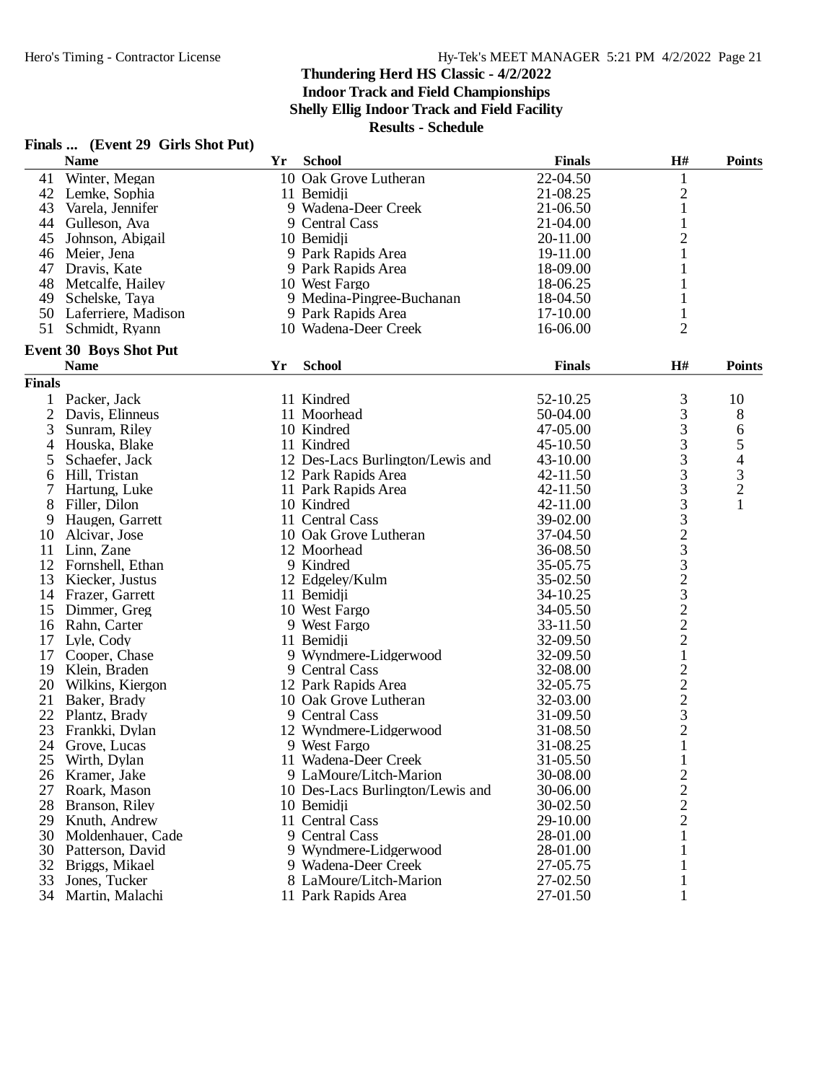|                | Finals  (Event 29 Girls Shot Put) |    |                                  |               |                |                                                 |
|----------------|-----------------------------------|----|----------------------------------|---------------|----------------|-------------------------------------------------|
|                | <b>Name</b>                       | Yr | <b>School</b>                    | <b>Finals</b> | H#             | <b>Points</b>                                   |
| 41             | Winter, Megan                     |    | 10 Oak Grove Lutheran            | 22-04.50      | $\mathbf{1}$   |                                                 |
|                | 42 Lemke, Sophia                  |    | 11 Bemidji                       | 21-08.25      | $\overline{c}$ |                                                 |
| 43             | Varela, Jennifer                  |    | 9 Wadena-Deer Creek              | 21-06.50      | $\mathbf{1}$   |                                                 |
| 44             | Gulleson, Ava                     |    | 9 Central Cass                   | 21-04.00      | $\mathbf{1}$   |                                                 |
| 45             | Johnson, Abigail                  |    | 10 Bemidii                       | 20-11.00      | $\overline{c}$ |                                                 |
| 46             | Meier, Jena                       |    | 9 Park Rapids Area               | 19-11.00      | $\mathbf{1}$   |                                                 |
| 47             | Dravis, Kate                      |    | 9 Park Rapids Area               | 18-09.00      | 1              |                                                 |
|                | 48 Metcalfe, Hailey               |    | 10 West Fargo                    | 18-06.25      | 1              |                                                 |
| 49             | Schelske, Taya                    |    | 9 Medina-Pingree-Buchanan        | 18-04.50      | 1              |                                                 |
|                | 50 Laferriere, Madison            |    | 9 Park Rapids Area               | 17-10.00      | 1              |                                                 |
| 51             | Schmidt, Ryann                    |    | 10 Wadena-Deer Creek             | 16-06.00      | $\overline{2}$ |                                                 |
|                | <b>Event 30 Boys Shot Put</b>     |    |                                  |               |                |                                                 |
|                | <b>Name</b>                       | Yr | <b>School</b>                    | <b>Finals</b> | H#             | <b>Points</b>                                   |
| <b>Finals</b>  |                                   |    |                                  |               |                |                                                 |
| 1              | Packer, Jack                      |    | 11 Kindred                       | 52-10.25      | 3              | 10                                              |
| $\overline{2}$ | Davis, Elinneus                   |    | 11 Moorhead                      | 50-04.00      | 3              | $8\,$                                           |
| 3              | Sunram, Riley                     |    | 10 Kindred                       | 47-05.00      | 3              | 6                                               |
| 4              | Houska, Blake                     |    | 11 Kindred                       | 45-10.50      | 3              | 5                                               |
|                |                                   |    |                                  | 43-10.00      | 3              |                                                 |
| 5              | Schaefer, Jack                    |    | 12 Des-Lacs Burlington/Lewis and |               | 3              | $\begin{array}{c} 4 \\ 3 \\ 2 \\ 1 \end{array}$ |
| 6              | Hill, Tristan                     |    | 12 Park Rapids Area              | 42-11.50      |                |                                                 |
| 7              | Hartung, Luke                     |    | 11 Park Rapids Area              | 42-11.50      | 3              |                                                 |
| 8              | Filler, Dilon                     |    | 10 Kindred                       | 42-11.00      | 3              |                                                 |
| 9              | Haugen, Garrett                   |    | 11 Central Cass                  | 39-02.00      |                |                                                 |
| 10             | Alcivar, Jose                     |    | 10 Oak Grove Lutheran            | 37-04.50      |                |                                                 |
| 11             | Linn, Zane                        |    | 12 Moorhead                      | 36-08.50      |                |                                                 |
| 12             | Fornshell, Ethan                  |    | 9 Kindred                        | 35-05.75      | 32323222       |                                                 |
| 13             | Kiecker, Justus                   |    | 12 Edgeley/Kulm                  | 35-02.50      |                |                                                 |
| 14             | Frazer, Garrett                   |    | 11 Bemidji                       | 34-10.25      |                |                                                 |
| 15             | Dimmer, Greg                      |    | 10 West Fargo                    | 34-05.50      |                |                                                 |
| 16             | Rahn, Carter                      |    | 9 West Fargo                     | 33-11.50      |                |                                                 |
| 17             | Lyle, Cody                        |    | 11 Bemidii                       | 32-09.50      |                |                                                 |
| 17             | Cooper, Chase                     |    | 9 Wyndmere-Lidgerwood            | 32-09.50      | $\mathbf 1$    |                                                 |
| 19             | Klein, Braden                     |    | 9 Central Cass                   | 32-08.00      | $\overline{c}$ |                                                 |
| 20             | Wilkins, Kiergon                  |    | 12 Park Rapids Area              | 32-05.75      | $\frac{2}{3}$  |                                                 |
| 21             | Baker, Brady                      |    | 10 Oak Grove Lutheran            | 32-03.00      |                |                                                 |
| 22             | Plantz, Brady                     |    | 9 Central Cass                   | 31-09.50      |                |                                                 |
| 23             | Frankki, Dylan                    |    | 12 Wyndmere-Lidgerwood           | 31-08.50      | $\overline{2}$ |                                                 |
| 24             | Grove, Lucas                      |    | 9 West Fargo                     | 31-08.25      | 1              |                                                 |
| 25             | Wirth, Dylan                      |    | 11 Wadena-Deer Creek             | 31-05.50      | $\mathbf 1$    |                                                 |
| 26             | Kramer, Jake                      |    | 9 LaMoure/Litch-Marion           | 30-08.00      | $\overline{c}$ |                                                 |
| 27             | Roark, Mason                      |    | 10 Des-Lacs Burlington/Lewis and | 30-06.00      | $\frac{2}{2}$  |                                                 |
| 28             | Branson, Riley                    |    | 10 Bemidji                       | 30-02.50      |                |                                                 |
| 29             | Knuth, Andrew                     |    | 11 Central Cass                  | 29-10.00      |                |                                                 |
| 30             | Moldenhauer, Cade                 |    | 9 Central Cass                   | 28-01.00      | 1              |                                                 |
| 30             | Patterson, David                  |    | 9 Wyndmere-Lidgerwood            | 28-01.00      |                |                                                 |
| 32             | Briggs, Mikael                    |    | 9 Wadena-Deer Creek              | 27-05.75      |                |                                                 |
| 33             | Jones, Tucker                     |    | 8 LaMoure/Litch-Marion           | 27-02.50      |                |                                                 |
|                | 34 Martin, Malachi                |    | 11 Park Rapids Area              | 27-01.50      | 1              |                                                 |